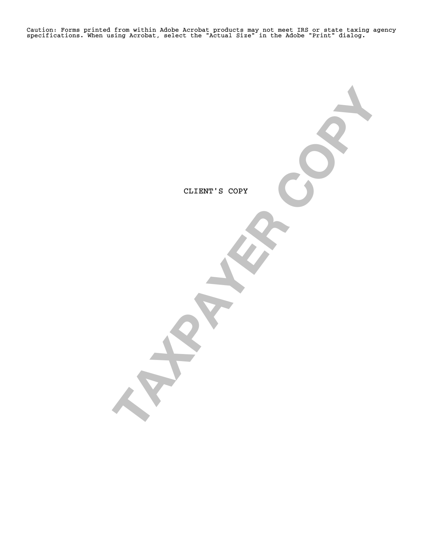Caution: Forms printed from within Adobe Acrobat products may not meet IRS or state taxing agency specifications. When using Acrobat, select the "Actual Size" in the Adobe "Print" dialog.

CLIENT'S COPY

**TAXPAYER COPY**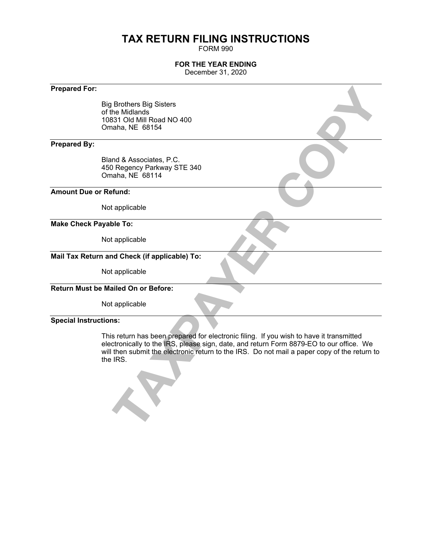# **TAX RETURN FILING INSTRUCTIONS**

FORM 990

### **FOR THE YEAR ENDING**

December 31, 2020

| <b>Big Brothers Big Sisters</b><br>of the Midlands<br>10831 Old Mill Road NO 400<br>Omaha, NE 68154                                                                                                                                                                                            |
|------------------------------------------------------------------------------------------------------------------------------------------------------------------------------------------------------------------------------------------------------------------------------------------------|
|                                                                                                                                                                                                                                                                                                |
| Bland & Associates, P.C.<br>450 Regency Parkway STE 340<br>Omaha, NE 68114                                                                                                                                                                                                                     |
| <b>Amount Due or Refund:</b>                                                                                                                                                                                                                                                                   |
| Not applicable                                                                                                                                                                                                                                                                                 |
| <b>Make Check Payable To:</b>                                                                                                                                                                                                                                                                  |
| Not applicable                                                                                                                                                                                                                                                                                 |
| Mail Tax Return and Check (if applicable) To:                                                                                                                                                                                                                                                  |
| Not applicable                                                                                                                                                                                                                                                                                 |
| <b>Return Must be Mailed On or Before:</b>                                                                                                                                                                                                                                                     |
| Not applicable                                                                                                                                                                                                                                                                                 |
| <b>Special Instructions:</b>                                                                                                                                                                                                                                                                   |
| This return has been prepared for electronic filing. If you wish to have it transmitted<br>electronically to the IRS, please sign, date, and return Form 8879-EO to our office. We<br>will then submit the electronic return to the IRS. Do not mail a paper copy of the return to<br>the IRS. |
|                                                                                                                                                                                                                                                                                                |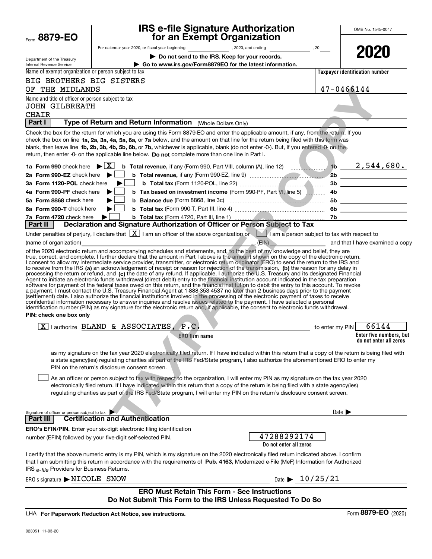|                                                                                                                                                                                                                                                                                                   | <b>IRS e-file Signature Authorization</b>                                                                                                                                                                                                                                                                                                                                                                                                                                                                                                                                                                                                                                                                                                                                                                                                                                                                                                                                                                                                                                                                                                                                                                                                                                                                                                                                                                                                                                                                                                                                                                                                                                                                                                                                                                                                                                                                                                                                                                                                                                                                                                                                                                                                                                                                                                                                                                                                                                                                                                                                                                                                                                                                                                               | OMB No. 1545-0047                                 |
|---------------------------------------------------------------------------------------------------------------------------------------------------------------------------------------------------------------------------------------------------------------------------------------------------|---------------------------------------------------------------------------------------------------------------------------------------------------------------------------------------------------------------------------------------------------------------------------------------------------------------------------------------------------------------------------------------------------------------------------------------------------------------------------------------------------------------------------------------------------------------------------------------------------------------------------------------------------------------------------------------------------------------------------------------------------------------------------------------------------------------------------------------------------------------------------------------------------------------------------------------------------------------------------------------------------------------------------------------------------------------------------------------------------------------------------------------------------------------------------------------------------------------------------------------------------------------------------------------------------------------------------------------------------------------------------------------------------------------------------------------------------------------------------------------------------------------------------------------------------------------------------------------------------------------------------------------------------------------------------------------------------------------------------------------------------------------------------------------------------------------------------------------------------------------------------------------------------------------------------------------------------------------------------------------------------------------------------------------------------------------------------------------------------------------------------------------------------------------------------------------------------------------------------------------------------------------------------------------------------------------------------------------------------------------------------------------------------------------------------------------------------------------------------------------------------------------------------------------------------------------------------------------------------------------------------------------------------------------------------------------------------------------------------------------------------------|---------------------------------------------------|
| Form 8879-EO                                                                                                                                                                                                                                                                                      | for an Exempt Organization                                                                                                                                                                                                                                                                                                                                                                                                                                                                                                                                                                                                                                                                                                                                                                                                                                                                                                                                                                                                                                                                                                                                                                                                                                                                                                                                                                                                                                                                                                                                                                                                                                                                                                                                                                                                                                                                                                                                                                                                                                                                                                                                                                                                                                                                                                                                                                                                                                                                                                                                                                                                                                                                                                                              |                                                   |
|                                                                                                                                                                                                                                                                                                   | For calendar year 2020, or fiscal year beginning and the state of the state of the state of the state of the state of the state of the state of the state of the state of the state of the state of the state of the state of                                                                                                                                                                                                                                                                                                                                                                                                                                                                                                                                                                                                                                                                                                                                                                                                                                                                                                                                                                                                                                                                                                                                                                                                                                                                                                                                                                                                                                                                                                                                                                                                                                                                                                                                                                                                                                                                                                                                                                                                                                                                                                                                                                                                                                                                                                                                                                                                                                                                                                                           | 2020                                              |
| Department of the Treasury<br>Internal Revenue Service                                                                                                                                                                                                                                            | Do not send to the IRS. Keep for your records.<br>Go to www.irs.gov/Form8879EO for the latest information.                                                                                                                                                                                                                                                                                                                                                                                                                                                                                                                                                                                                                                                                                                                                                                                                                                                                                                                                                                                                                                                                                                                                                                                                                                                                                                                                                                                                                                                                                                                                                                                                                                                                                                                                                                                                                                                                                                                                                                                                                                                                                                                                                                                                                                                                                                                                                                                                                                                                                                                                                                                                                                              |                                                   |
| Name of exempt organization or person subject to tax                                                                                                                                                                                                                                              |                                                                                                                                                                                                                                                                                                                                                                                                                                                                                                                                                                                                                                                                                                                                                                                                                                                                                                                                                                                                                                                                                                                                                                                                                                                                                                                                                                                                                                                                                                                                                                                                                                                                                                                                                                                                                                                                                                                                                                                                                                                                                                                                                                                                                                                                                                                                                                                                                                                                                                                                                                                                                                                                                                                                                         | Taxpayer identification number                    |
| BIG BROTHERS BIG SISTERS                                                                                                                                                                                                                                                                          |                                                                                                                                                                                                                                                                                                                                                                                                                                                                                                                                                                                                                                                                                                                                                                                                                                                                                                                                                                                                                                                                                                                                                                                                                                                                                                                                                                                                                                                                                                                                                                                                                                                                                                                                                                                                                                                                                                                                                                                                                                                                                                                                                                                                                                                                                                                                                                                                                                                                                                                                                                                                                                                                                                                                                         |                                                   |
| OF THE MIDLANDS                                                                                                                                                                                                                                                                                   |                                                                                                                                                                                                                                                                                                                                                                                                                                                                                                                                                                                                                                                                                                                                                                                                                                                                                                                                                                                                                                                                                                                                                                                                                                                                                                                                                                                                                                                                                                                                                                                                                                                                                                                                                                                                                                                                                                                                                                                                                                                                                                                                                                                                                                                                                                                                                                                                                                                                                                                                                                                                                                                                                                                                                         | $47 - 0466144$                                    |
| Name and title of officer or person subject to tax                                                                                                                                                                                                                                                |                                                                                                                                                                                                                                                                                                                                                                                                                                                                                                                                                                                                                                                                                                                                                                                                                                                                                                                                                                                                                                                                                                                                                                                                                                                                                                                                                                                                                                                                                                                                                                                                                                                                                                                                                                                                                                                                                                                                                                                                                                                                                                                                                                                                                                                                                                                                                                                                                                                                                                                                                                                                                                                                                                                                                         |                                                   |
| <b>JOHN GILBREATH</b>                                                                                                                                                                                                                                                                             |                                                                                                                                                                                                                                                                                                                                                                                                                                                                                                                                                                                                                                                                                                                                                                                                                                                                                                                                                                                                                                                                                                                                                                                                                                                                                                                                                                                                                                                                                                                                                                                                                                                                                                                                                                                                                                                                                                                                                                                                                                                                                                                                                                                                                                                                                                                                                                                                                                                                                                                                                                                                                                                                                                                                                         |                                                   |
| <b>CHAIR</b>                                                                                                                                                                                                                                                                                      |                                                                                                                                                                                                                                                                                                                                                                                                                                                                                                                                                                                                                                                                                                                                                                                                                                                                                                                                                                                                                                                                                                                                                                                                                                                                                                                                                                                                                                                                                                                                                                                                                                                                                                                                                                                                                                                                                                                                                                                                                                                                                                                                                                                                                                                                                                                                                                                                                                                                                                                                                                                                                                                                                                                                                         |                                                   |
| Part I                                                                                                                                                                                                                                                                                            | Type of Return and Return Information (Whole Dollars Only)                                                                                                                                                                                                                                                                                                                                                                                                                                                                                                                                                                                                                                                                                                                                                                                                                                                                                                                                                                                                                                                                                                                                                                                                                                                                                                                                                                                                                                                                                                                                                                                                                                                                                                                                                                                                                                                                                                                                                                                                                                                                                                                                                                                                                                                                                                                                                                                                                                                                                                                                                                                                                                                                                              |                                                   |
| 1a Form 990 check here $\blacktriangleright \overline{X}$<br>2a Form 990-EZ check here $\blacktriangleright$<br>3a Form 1120-POL check here<br>4a Form 990-PF check here<br>5a Form 8868 check here<br>6a Form 990-T check here<br>7a Form 4720 check here<br>Part II  <br>(name of organization) | Check the box for the return for which you are using this Form 8879-EO and enter the applicable amount, if any, from the return. If you<br>check the box on line 1a, 2a, 3a, 4a, 5a, 6a, or 7a below, and the amount on that line for the return being filed with this form was<br>blank, then leave line 1b, 2b, 3b, 4b, 5b, 6b, or 7b, whichever is applicable, blank (do not enter -0-). But, if you entered -0- on the<br>return, then enter -0- on the applicable line below. Do not complete more than one line in Part I.<br>▶<br>b Tax based on investment income (Form 990-PF, Part VI, line 5) 40<br>▶<br>▶<br>$\blacktriangleright$<br>Declaration and Signature Authorization of Officer or Person Subject to Tax<br>Under penalties of perjury, I declare that $\boxed{\mathbf{X}}$ I am an officer of the above organization or $\boxed{\phantom{\mathbf{X}}\phantom{\mathbf{X}}}$ 1 am a person subject to tax with respect to<br>and that I have examined a copy of the state of the state of the state of the state of the state of the state of the state of the state of the state of the state of the state of the state of the state of the state of the s<br>of the 2020 electronic return and accompanying schedules and statements, and, to the best of my knowledge and belief, they are<br>true, correct, and complete. I further declare that the amount in Part I above is the amount shown on the copy of the electronic return.<br>I consent to allow my intermediate service provider, transmitter, or electronic return originator (ERO) to send the return to the IRS and<br>to receive from the IRS (a) an acknowledgement of receipt or reason for rejection of the transmission, (b) the reason for any delay in<br>processing the return or refund, and (c) the date of any refund. If applicable, I authorize the U.S. Treasury and its designated Financial<br>Agent to initiate an electronic funds withdrawal (direct debit) entry to the financial institution account indicated in the tax preparation<br>software for payment of the federal taxes owed on this return, and the financial institution to debit the entry to this account. To revoke<br>a payment, I must contact the U.S. Treasury Financial Agent at 1-888-353-4537 no later than 2 business days prior to the payment<br>(settlement) date. I also authorize the financial institutions involved in the processing of the electronic payment of taxes to receive<br>confidential information necessary to answer inquiries and resolve issues related to the payment. I have selected a personal<br>identification number (PIN) as my signature for the electronic return and, if applicable, the consent to electronic funds withdrawal. | $1b$ 2,544,680.<br>5b ____________________        |
| PIN: check one box only                                                                                                                                                                                                                                                                           |                                                                                                                                                                                                                                                                                                                                                                                                                                                                                                                                                                                                                                                                                                                                                                                                                                                                                                                                                                                                                                                                                                                                                                                                                                                                                                                                                                                                                                                                                                                                                                                                                                                                                                                                                                                                                                                                                                                                                                                                                                                                                                                                                                                                                                                                                                                                                                                                                                                                                                                                                                                                                                                                                                                                                         |                                                   |
|                                                                                                                                                                                                                                                                                                   | $\boxed{X}$   authorize BLAND & ASSOCIATES, $P.C.$                                                                                                                                                                                                                                                                                                                                                                                                                                                                                                                                                                                                                                                                                                                                                                                                                                                                                                                                                                                                                                                                                                                                                                                                                                                                                                                                                                                                                                                                                                                                                                                                                                                                                                                                                                                                                                                                                                                                                                                                                                                                                                                                                                                                                                                                                                                                                                                                                                                                                                                                                                                                                                                                                                      | 66144<br>to enter my PIN                          |
|                                                                                                                                                                                                                                                                                                   | <b>ERO</b> firm name                                                                                                                                                                                                                                                                                                                                                                                                                                                                                                                                                                                                                                                                                                                                                                                                                                                                                                                                                                                                                                                                                                                                                                                                                                                                                                                                                                                                                                                                                                                                                                                                                                                                                                                                                                                                                                                                                                                                                                                                                                                                                                                                                                                                                                                                                                                                                                                                                                                                                                                                                                                                                                                                                                                                    | Enter five numbers, but<br>do not enter all zeros |
|                                                                                                                                                                                                                                                                                                   | as my signature on the tax year 2020 electronically filed return. If I have indicated within this return that a copy of the return is being filed with<br>a state agency(ies) regulating charities as part of the IRS Fed/State program, I also authorize the aforementioned ERO to enter my<br>PIN on the return's disclosure consent screen.<br>As an officer or person subject to tax with respect to the organization, I will enter my PIN as my signature on the tax year 2020<br>electronically filed return. If I have indicated within this return that a copy of the return is being filed with a state agency(ies)<br>regulating charities as part of the IRS Fed/State program, I will enter my PIN on the return's disclosure consent screen.                                                                                                                                                                                                                                                                                                                                                                                                                                                                                                                                                                                                                                                                                                                                                                                                                                                                                                                                                                                                                                                                                                                                                                                                                                                                                                                                                                                                                                                                                                                                                                                                                                                                                                                                                                                                                                                                                                                                                                                               |                                                   |
| Signature of officer or person subject to tax                                                                                                                                                                                                                                                     |                                                                                                                                                                                                                                                                                                                                                                                                                                                                                                                                                                                                                                                                                                                                                                                                                                                                                                                                                                                                                                                                                                                                                                                                                                                                                                                                                                                                                                                                                                                                                                                                                                                                                                                                                                                                                                                                                                                                                                                                                                                                                                                                                                                                                                                                                                                                                                                                                                                                                                                                                                                                                                                                                                                                                         | Date $\blacktriangleright$                        |
| Part III                                                                                                                                                                                                                                                                                          | <b>Certification and Authentication</b>                                                                                                                                                                                                                                                                                                                                                                                                                                                                                                                                                                                                                                                                                                                                                                                                                                                                                                                                                                                                                                                                                                                                                                                                                                                                                                                                                                                                                                                                                                                                                                                                                                                                                                                                                                                                                                                                                                                                                                                                                                                                                                                                                                                                                                                                                                                                                                                                                                                                                                                                                                                                                                                                                                                 |                                                   |
|                                                                                                                                                                                                                                                                                                   | <b>ERO's EFIN/PIN.</b> Enter your six-digit electronic filing identification                                                                                                                                                                                                                                                                                                                                                                                                                                                                                                                                                                                                                                                                                                                                                                                                                                                                                                                                                                                                                                                                                                                                                                                                                                                                                                                                                                                                                                                                                                                                                                                                                                                                                                                                                                                                                                                                                                                                                                                                                                                                                                                                                                                                                                                                                                                                                                                                                                                                                                                                                                                                                                                                            |                                                   |
|                                                                                                                                                                                                                                                                                                   | 47288292174<br>number (EFIN) followed by your five-digit self-selected PIN.<br>Do not enter all zeros                                                                                                                                                                                                                                                                                                                                                                                                                                                                                                                                                                                                                                                                                                                                                                                                                                                                                                                                                                                                                                                                                                                                                                                                                                                                                                                                                                                                                                                                                                                                                                                                                                                                                                                                                                                                                                                                                                                                                                                                                                                                                                                                                                                                                                                                                                                                                                                                                                                                                                                                                                                                                                                   |                                                   |
| IRS e-file Providers for Business Returns.                                                                                                                                                                                                                                                        | I certify that the above numeric entry is my PIN, which is my signature on the 2020 electronically filed return indicated above. I confirm<br>that I am submitting this return in accordance with the requirements of Pub. 4163, Modernized e-File (MeF) Information for Authorized                                                                                                                                                                                                                                                                                                                                                                                                                                                                                                                                                                                                                                                                                                                                                                                                                                                                                                                                                                                                                                                                                                                                                                                                                                                                                                                                                                                                                                                                                                                                                                                                                                                                                                                                                                                                                                                                                                                                                                                                                                                                                                                                                                                                                                                                                                                                                                                                                                                                     |                                                   |
| ERO's signature MICOLE SNOW                                                                                                                                                                                                                                                                       | Date $\triangleright$ 10/25/21                                                                                                                                                                                                                                                                                                                                                                                                                                                                                                                                                                                                                                                                                                                                                                                                                                                                                                                                                                                                                                                                                                                                                                                                                                                                                                                                                                                                                                                                                                                                                                                                                                                                                                                                                                                                                                                                                                                                                                                                                                                                                                                                                                                                                                                                                                                                                                                                                                                                                                                                                                                                                                                                                                                          |                                                   |
|                                                                                                                                                                                                                                                                                                   | <b>ERO Must Retain This Form - See Instructions</b><br>Do Not Submit This Form to the IRS Unless Requested To Do So                                                                                                                                                                                                                                                                                                                                                                                                                                                                                                                                                                                                                                                                                                                                                                                                                                                                                                                                                                                                                                                                                                                                                                                                                                                                                                                                                                                                                                                                                                                                                                                                                                                                                                                                                                                                                                                                                                                                                                                                                                                                                                                                                                                                                                                                                                                                                                                                                                                                                                                                                                                                                                     |                                                   |
|                                                                                                                                                                                                                                                                                                   | LHA For Paperwork Reduction Act Notice, see instructions.                                                                                                                                                                                                                                                                                                                                                                                                                                                                                                                                                                                                                                                                                                                                                                                                                                                                                                                                                                                                                                                                                                                                                                                                                                                                                                                                                                                                                                                                                                                                                                                                                                                                                                                                                                                                                                                                                                                                                                                                                                                                                                                                                                                                                                                                                                                                                                                                                                                                                                                                                                                                                                                                                               | Form 8879-EO (2020)                               |
|                                                                                                                                                                                                                                                                                                   |                                                                                                                                                                                                                                                                                                                                                                                                                                                                                                                                                                                                                                                                                                                                                                                                                                                                                                                                                                                                                                                                                                                                                                                                                                                                                                                                                                                                                                                                                                                                                                                                                                                                                                                                                                                                                                                                                                                                                                                                                                                                                                                                                                                                                                                                                                                                                                                                                                                                                                                                                                                                                                                                                                                                                         |                                                   |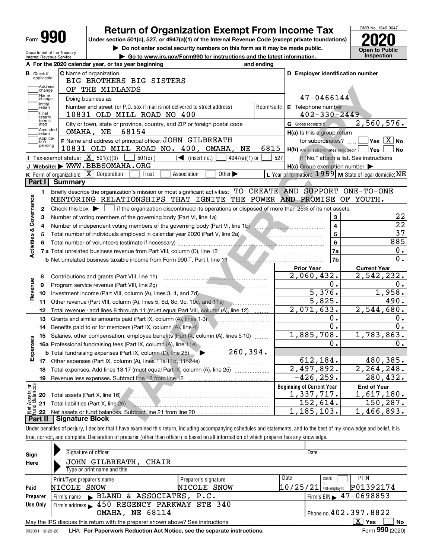| Form |  |
|------|--|
|------|--|

Department of the Treasury Internal Revenue Service

# **Return of Organization Exempt From Income Tax**

**Under section 501(c), 527, or 4947(a)(1) of the Internal Revenue Code (except private foundations) 2020**

**| Do not enter social security numbers on this form as it may be made public.**

**| Go to www.irs.gov/Form990 for instructions and the latest information. Inspection**



|                                         | A For the 2020 calendar year, or tax year beginning<br>and ending                                                                           |                                                                                                                  |                                          |
|-----------------------------------------|---------------------------------------------------------------------------------------------------------------------------------------------|------------------------------------------------------------------------------------------------------------------|------------------------------------------|
| В<br>Check if<br>applicable:            | <b>C</b> Name of organization<br>BIG BROTHERS BIG SISTERS                                                                                   | D Employer identification number                                                                                 |                                          |
|                                         | Address<br>OF THE MIDLANDS<br>change                                                                                                        |                                                                                                                  |                                          |
|                                         | Name<br>Doing business as<br>change                                                                                                         | 47-0466144                                                                                                       |                                          |
| Initial<br>Final                        | Number and street (or P.O. box if mail is not delivered to street address)<br>return<br>10831 OLD MILL ROAD NO 400                          | Room/suite E Telephone number<br>$402 - 330 - 2449$                                                              |                                          |
|                                         | return/<br>termin-<br>ated<br>City or town, state or province, country, and ZIP or foreign postal code                                      | G Gross receipts \$                                                                                              | 2,560,576.                               |
|                                         | Amended<br>68154<br>OMAHA, NE<br>return                                                                                                     | H(a) Is this a group return                                                                                      |                                          |
| tion                                    | Applica-<br>F Name and address of principal officer: JOHN GILBREATH                                                                         | for subordinates?                                                                                                | $Yes \ \boxed{X}$ No                     |
|                                         | pending<br>10831 OLD MILL ROAD NO. 400, OMAHA,<br>6815<br>ΝE                                                                                | H(b) Are all subordinates included? Ves                                                                          | No                                       |
|                                         | <b>I</b> Tax-exempt status: $\boxed{\mathbf{X}}$ 501(c)(3) $\boxed{\phantom{0}}$ 501(c)( $\phantom{0}$ ) (insert no.)<br>$4947(a)(1)$ or    | 527                                                                                                              | If "No," attach a list. See instructions |
|                                         | J Website: WWW.BBBSOMAHA.ORG                                                                                                                |                                                                                                                  |                                          |
|                                         | K Form of organization: $\boxed{\mathbf{X}}$ Corporation<br>Trust<br>Association<br>Other $\blacktriangleright$                             | $H(c)$ Group exemption number $\blacktriangleright$<br>L Year of formation: 1959   M State of legal domicile: NE |                                          |
| Part I                                  | <b>Summary</b>                                                                                                                              |                                                                                                                  |                                          |
|                                         |                                                                                                                                             |                                                                                                                  |                                          |
| 1.                                      | Briefly describe the organization's mission or most significant activities: TO_CREATE_AND_SUPPORT_ONE-TO-ONE                                |                                                                                                                  |                                          |
|                                         | MENTORING RELATIONSHIPS THAT IGNITE THE POWER AND PROMISE OF YOUTH.                                                                         |                                                                                                                  |                                          |
| Activities & Governance<br>$\mathbf{2}$ | Check this box $\blacktriangleright$ $\Box$ if the organization discontinued its operations or disposed of more than 25% of its net assets. |                                                                                                                  |                                          |
| з                                       | Number of voting members of the governing body (Part VI, line 1a)                                                                           | 3                                                                                                                | 22                                       |
| 4                                       | Number of independent voting members of the governing body (Part VI, line 1b)                                                               | $\overline{\mathbf{A}}$                                                                                          | $\overline{22}$                          |
| 5                                       | Total number of individuals employed in calendar year 2020 (Part V, line 2a) manuscription of individuals                                   | $\overline{5}$                                                                                                   | 37                                       |
| 6                                       |                                                                                                                                             | 6                                                                                                                | 885                                      |
|                                         | 7 a Total unrelated business revenue from Part VIII, column (C), line 12                                                                    | 7a                                                                                                               | 0.                                       |
|                                         | b Net unrelated business taxable income from Form 990-T, Part I, line 11 manus and contain the university of the U                          | 7 <sub>b</sub>                                                                                                   | $\overline{0}$ .                         |
|                                         |                                                                                                                                             | <b>Prior Year</b>                                                                                                | <b>Current Year</b>                      |
| 8                                       | Contributions and grants (Part VIII, line 1h)                                                                                               | 2,060,432.                                                                                                       | 2,542,232.                               |
| 9                                       | Program service revenue (Part VIII, line 2g)                                                                                                | О.                                                                                                               | 0.                                       |
| Revenue<br>10                           | Investment income (Part VIII, column (A), lines 3, 4, and 7d)                                                                               | 5,376.                                                                                                           | 1,958.                                   |
| 11                                      |                                                                                                                                             | 5,825.                                                                                                           | 490.                                     |
| 12                                      | Total revenue - add lines 8 through 11 (must equal Part VIII, column (A), line 12)                                                          | $\overline{2,071,633}$ .                                                                                         | 2,544,680.                               |
| 13                                      | Grants and similar amounts paid (Part IX, column (A), lines 1-3)                                                                            | 0.                                                                                                               | 0.                                       |
| 14                                      | Benefits paid to or for members (Part IX, column (A), line 4)                                                                               | 0.                                                                                                               | 0.                                       |
| 15                                      | Salaries, other compensation, employee benefits (Part IX, column (A), lines 5-10)                                                           | 1,885,708.                                                                                                       | 1,783,863.                               |
|                                         |                                                                                                                                             | 0.                                                                                                               | 0.                                       |
| Expenses                                | $\blacktriangleright$ __260,394.<br><b>b</b> Total fundraising expenses (Part IX, column (D), line 25)                                      |                                                                                                                  |                                          |
|                                         |                                                                                                                                             | 612,184.                                                                                                         | 480,385.                                 |
| 18                                      | Total expenses. Add lines 13-17 (must equal Part IX, column (A), line 25) <i></i>                                                           | $\overline{2,497,892}$ .                                                                                         | 2, 264, 248.                             |
| 19                                      | Revenue less expenses. Subtract line 18 from line 12                                                                                        | $-426, 259.$                                                                                                     | 280,432.                                 |
| ងថ្                                     |                                                                                                                                             | <b>Beginning of Current Year</b>                                                                                 | <b>End of Year</b>                       |
| Sets<br>aland                           | <b>20</b> Total assets (Part X, line 16)                                                                                                    | 1,337,717.                                                                                                       | 1,617,180.                               |
|                                         | 21 Total liabilities (Part X, line 26)                                                                                                      | 152,614.                                                                                                         | 150, 287.                                |
|                                         |                                                                                                                                             | 1, 185, 103.                                                                                                     | 1,466,893.                               |
|                                         |                                                                                                                                             |                                                                                                                  |                                          |

Under penalties of perjury, I declare that I have examined this return, including accompanying schedules and statements, and to the best of my knowledge and belief, it is true, correct, and complete. Declaration of preparer (other than officer) is based on all information of which preparer has any knowledge.

| Sign            | Signature of officer                                                                                                |                      |      | Date                                        |  |  |  |
|-----------------|---------------------------------------------------------------------------------------------------------------------|----------------------|------|---------------------------------------------|--|--|--|
| Here            | JOHN GILBREATH,<br>CHAIR                                                                                            |                      |      |                                             |  |  |  |
|                 | Type or print name and title                                                                                        |                      |      |                                             |  |  |  |
|                 | Print/Type preparer's name                                                                                          | Preparer's signature | Date | <b>PTIN</b><br>Check                        |  |  |  |
| Paid            | NICOLE SNOW                                                                                                         | NICOLE SNOW          |      | P01392174<br>$10/25/21$ self-employed       |  |  |  |
| Preparer        | Firm's name BLAND & ASSOCIATES, P.C.                                                                                |                      |      | Firm's EIN $\blacktriangleright$ 47-0698853 |  |  |  |
| Use Only        | Firm's address > 450 REGENCY PARKWAY STE 340                                                                        |                      |      |                                             |  |  |  |
|                 | <b>OMAHA, NE 68114</b>                                                                                              |                      |      | Phone no. 402.397.8822                      |  |  |  |
|                 | $\mathbf{x}$<br><b>No</b><br>Yes<br>May the IRS discuss this return with the preparer shown above? See instructions |                      |      |                                             |  |  |  |
| 032001 12-23-20 | LHA For Paperwork Reduction Act Notice, see the separate instructions.                                              |                      |      | Form 990 (2020)                             |  |  |  |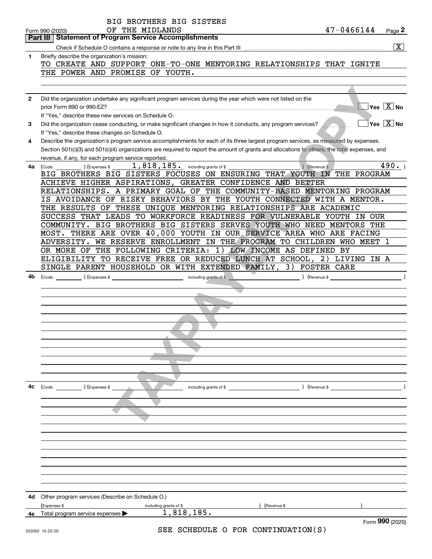|              | BIG BROTHERS BIG SISTERS                                                                                                                                                    |            |                                        |
|--------------|-----------------------------------------------------------------------------------------------------------------------------------------------------------------------------|------------|----------------------------------------|
|              | OF THE MIDLANDS<br>Form 990 (2020)                                                                                                                                          | 47-0466144 | Page 2                                 |
|              | Part III   Statement of Program Service Accomplishments                                                                                                                     |            |                                        |
|              |                                                                                                                                                                             |            | $ \overline{\mathrm{X}} $              |
| 1            | Briefly describe the organization's mission:                                                                                                                                |            |                                        |
|              | TO CREATE AND SUPPORT ONE-TO-ONE MENTORING RELATIONSHIPS THAT IGNITE                                                                                                        |            |                                        |
|              | THE POWER AND PROMISE OF YOUTH.                                                                                                                                             |            |                                        |
|              |                                                                                                                                                                             |            |                                        |
|              |                                                                                                                                                                             |            |                                        |
| $\mathbf{2}$ | Did the organization undertake any significant program services during the year which were not listed on the                                                                |            |                                        |
|              | prior Form 990 or 990-EZ?                                                                                                                                                   |            | $\exists$ Yes $\boxed{\text{X}}$ No    |
|              | If "Yes," describe these new services on Schedule O.                                                                                                                        |            |                                        |
|              |                                                                                                                                                                             |            | $\sqrt{}$ Yes $\sqrt{}$ X $\sqrt{}$ No |
| 3            | Did the organization cease conducting, or make significant changes in how it conducts, any program services?                                                                |            |                                        |
|              | If "Yes," describe these changes on Schedule O.                                                                                                                             |            |                                        |
| 4            | Describe the organization's program service accomplishments for each of its three largest program services, as measured by expenses.                                        |            |                                        |
|              | Section 501(c)(3) and 501(c)(4) organizations are required to report the amount of grants and allocations to others, the total expenses, and                                |            |                                        |
|              | revenue, if any, for each program service reported.<br>the control of the control of the                                                                                    |            |                                        |
| 4a -         | $1$ , $818$ , $185$ $_{\color{red}\bullet\hspace{-.8em}\cdot\hspace{-.8em}\cdot}$ including grants of \$ $_{\color{red}\text{}}$<br>) (Revenue \$<br>(Expenses \$<br>(Code: |            | 490.                                   |
|              | BIG BROTHERS BIG SISTERS FOCUSES ON ENSURING THAT YOUTH IN THE PROGRAM                                                                                                      |            |                                        |
|              | ACHIEVE HIGHER ASPIRATIONS, GREATER CONFIDENCE AND BETTER                                                                                                                   |            |                                        |
|              | RELATIONSHIPS. A PRIMARY GOAL OF THE COMMUNITY-BASED MENTORING PROGRAM                                                                                                      |            |                                        |
|              | IS AVOIDANCE OF RISKY BEHAVIORS BY THE YOUTH CONNECTED WITH A MENTOR.                                                                                                       |            |                                        |
|              | THE RESULTS OF THESE UNIQUE MENTORING RELATIONSHIPS ARE ACADEMIC                                                                                                            |            |                                        |
|              | SUCCESS THAT LEADS TO WORKFORCE READINESS FOR VULNERABLE YOUTH IN OUR                                                                                                       |            |                                        |
|              | COMMUNITY. BIG BROTHERS BIG SISTERS SERVES YOUTH WHO NEED MENTORS THE                                                                                                       |            |                                        |
|              | MOST. THERE ARE OVER 40,000 YOUTH IN OUR SERVICE AREA WHO ARE FACING                                                                                                        |            |                                        |
|              | ADVERSITY. WE RESERVE ENROLLMENT IN THE PROGRAM TO CHILDREN WHO MEET 1                                                                                                      |            |                                        |
|              | OR MORE OF THE FOLLOWING CRITERIA: 1) LOW INCOME AS DEFINED BY                                                                                                              |            |                                        |
|              | ELIGIBILITY TO RECEIVE FREE OR REDUCED LUNCH AT SCHOOL, 2) LIVING IN A                                                                                                      |            |                                        |
|              | SINGLE PARENT HOUSEHOLD OR WITH EXTENDED FAMILY, 3) FOSTER CARE                                                                                                             |            |                                        |
| 4b           |                                                                                                                                                                             |            |                                        |
|              |                                                                                                                                                                             |            |                                        |
|              |                                                                                                                                                                             |            |                                        |
|              |                                                                                                                                                                             |            |                                        |
|              |                                                                                                                                                                             |            |                                        |
|              |                                                                                                                                                                             |            |                                        |
|              |                                                                                                                                                                             |            |                                        |
|              |                                                                                                                                                                             |            |                                        |
|              |                                                                                                                                                                             |            |                                        |
|              |                                                                                                                                                                             |            |                                        |
|              |                                                                                                                                                                             |            |                                        |
|              |                                                                                                                                                                             |            |                                        |
|              |                                                                                                                                                                             |            |                                        |
|              |                                                                                                                                                                             |            |                                        |
| 4с           | $\left(\text{Code:}\begin{array}{c}\right.\ \text{(Code:}\end{array}\right)$<br>including grants of \$                                                                      |            |                                        |
|              |                                                                                                                                                                             |            |                                        |
|              |                                                                                                                                                                             |            |                                        |
|              |                                                                                                                                                                             |            |                                        |
|              |                                                                                                                                                                             |            |                                        |
|              |                                                                                                                                                                             |            |                                        |
|              |                                                                                                                                                                             |            |                                        |
|              |                                                                                                                                                                             |            |                                        |
|              |                                                                                                                                                                             |            |                                        |
|              |                                                                                                                                                                             |            |                                        |
|              |                                                                                                                                                                             |            |                                        |
|              |                                                                                                                                                                             |            |                                        |
|              |                                                                                                                                                                             |            |                                        |
| 4d           | Other program services (Describe on Schedule O.)                                                                                                                            |            |                                        |
|              | (Expenses \$<br>(Revenue \$<br>including grants of \$                                                                                                                       |            |                                        |
| 4е           | 1,818,185.<br>Total program service expenses                                                                                                                                |            |                                        |
|              |                                                                                                                                                                             |            | Form 990 (2020)                        |
|              |                                                                                                                                                                             |            |                                        |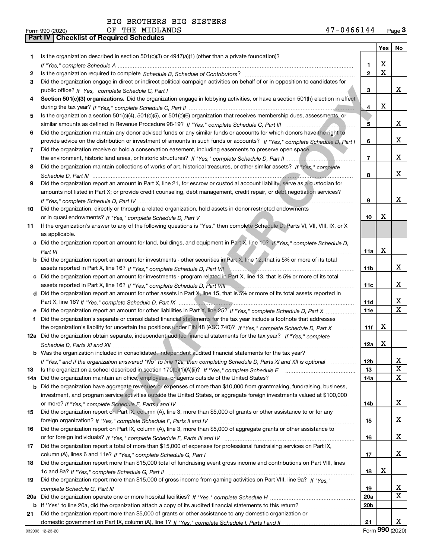| Form 990 (2020) |                                                  | OF | THE MIDLANDS | 7-0466144 | Page $3$ |
|-----------------|--------------------------------------------------|----|--------------|-----------|----------|
|                 | <b>Part IV   Checklist of Required Schedules</b> |    |              |           |          |

|     |                                                                                                                                  |                          | Yes | No          |
|-----|----------------------------------------------------------------------------------------------------------------------------------|--------------------------|-----|-------------|
| 1   | Is the organization described in section $501(c)(3)$ or $4947(a)(1)$ (other than a private foundation)?                          |                          |     |             |
|     |                                                                                                                                  | 1                        | х   |             |
| 2   |                                                                                                                                  | $\overline{2}$           | X   |             |
| 3   | Did the organization engage in direct or indirect political campaign activities on behalf of or in opposition to candidates for  |                          |     |             |
|     |                                                                                                                                  | 3                        |     | x           |
| 4   | Section 501(c)(3) organizations. Did the organization engage in lobbying activities, or have a section 501(h) election in effect |                          |     |             |
|     |                                                                                                                                  | 4                        | х   |             |
| 5   | Is the organization a section 501(c)(4), 501(c)(5), or 501(c)(6) organization that receives membership dues, assessments, or     |                          |     |             |
|     |                                                                                                                                  | 5                        |     | x           |
| 6   | Did the organization maintain any donor advised funds or any similar funds or accounts for which donors have the right to        |                          |     |             |
|     | provide advice on the distribution or investment of amounts in such funds or accounts? If "Yes," complete Schedule D, Part I     | 6                        |     | x           |
| 7   | Did the organization receive or hold a conservation easement, including easements to preserve open space,                        |                          |     |             |
|     |                                                                                                                                  | $\overline{\phantom{a}}$ |     | x           |
| 8   | Did the organization maintain collections of works of art, historical treasures, or other similar assets? If "Yes," complete     |                          |     |             |
|     |                                                                                                                                  | 8                        |     | x           |
|     |                                                                                                                                  |                          |     |             |
| 9   | Did the organization report an amount in Part X, line 21, for escrow or custodial account liability, serve as a custodian for    |                          |     |             |
|     | amounts not listed in Part X; or provide credit counseling, debt management, credit repair, or debt negotiation services?        |                          |     | х           |
|     |                                                                                                                                  | 9                        |     |             |
| 10  | Did the organization, directly or through a related organization, hold assets in donor-restricted endowments                     |                          |     |             |
|     |                                                                                                                                  | 10                       | х   |             |
| 11  | If the organization's answer to any of the following questions is "Yes," then complete Schedule D, Parts VI, VII, VIII, IX, or X |                          |     |             |
|     | as applicable.                                                                                                                   |                          |     |             |
|     | Did the organization report an amount for land, buildings, and equipment in Part X, line 10? If "Yes," complete Schedule D.      |                          |     |             |
|     |                                                                                                                                  | 11a                      | х   |             |
| b   | Did the organization report an amount for investments - other securities in Part X, line 12, that is 5% or more of its total     |                          |     |             |
|     |                                                                                                                                  | 11 <sub>b</sub>          |     | x           |
| с   | Did the organization report an amount for investments - program related in Part X, line 13, that is 5% or more of its total      |                          |     |             |
|     |                                                                                                                                  | 11c                      |     | х           |
|     | d Did the organization report an amount for other assets in Part X, line 15, that is 5% or more of its total assets reported in  |                          |     |             |
|     |                                                                                                                                  | 11d                      |     | х           |
|     | Did the organization report an amount for other liabilities in Part X, line 25? If "Yes," complete Schedule D, Part X            | 11e                      |     | $\mathbf X$ |
| f   | Did the organization's separate or consolidated financial statements for the tax year include a footnote that addresses          |                          |     |             |
|     | the organization's liability for uncertain tax positions under FIN 48 (ASC 740)? If "Yes," complete Schedule D, Part X           | 11f                      | X   |             |
|     | 12a Did the organization obtain separate, independent audited financial statements for the tax year? If "Yes," complete          |                          |     |             |
|     |                                                                                                                                  | 12a                      | X   |             |
|     | <b>b</b> Was the organization included in consolidated, independent audited financial statements for the tax year?               |                          |     |             |
|     | If "Yes," and if the organization answered "No" to line 12a, then completing Schedule D, Parts XI and XII is optional            | 12 <sub>b</sub>          |     | Х           |
| 13  | Is the organization a school described in section $170(b)(1)(A)(ii)?$ If "Yes," complete Schedule E                              | 13                       |     | X           |
| 14a | Did the organization maintain an office, employees, or agents outside of the United States?                                      | 14a                      |     | x           |
| b   | Did the organization have aggregate revenues or expenses of more than \$10,000 from grantmaking, fundraising, business,          |                          |     |             |
|     | investment, and program service activities outside the United States, or aggregate foreign investments valued at \$100,000       |                          |     |             |
|     |                                                                                                                                  | 14b                      |     | x           |
| 15  | Did the organization report on Part IX, column (A), line 3, more than \$5,000 of grants or other assistance to or for any        |                          |     |             |
|     |                                                                                                                                  | 15                       |     | x           |
| 16  | Did the organization report on Part IX, column (A), line 3, more than \$5,000 of aggregate grants or other assistance to         |                          |     |             |
|     |                                                                                                                                  | 16                       |     | x           |
| 17  | Did the organization report a total of more than \$15,000 of expenses for professional fundraising services on Part IX,          |                          |     |             |
|     |                                                                                                                                  | 17                       |     | x           |
| 18  | Did the organization report more than \$15,000 total of fundraising event gross income and contributions on Part VIII, lines     |                          |     |             |
|     |                                                                                                                                  | 18                       | х   |             |
| 19  | Did the organization report more than \$15,000 of gross income from gaming activities on Part VIII, line 9a? If "Yes."           |                          |     |             |
|     |                                                                                                                                  | 19                       |     | x           |
| 20a |                                                                                                                                  | 20a                      |     | X           |
| b   | If "Yes" to line 20a, did the organization attach a copy of its audited financial statements to this return?                     | 20 <sub>b</sub>          |     |             |
| 21  | Did the organization report more than \$5,000 of grants or other assistance to any domestic organization or                      |                          |     |             |
|     |                                                                                                                                  | 21                       |     | х           |
|     |                                                                                                                                  |                          |     |             |

Form (2020) **990**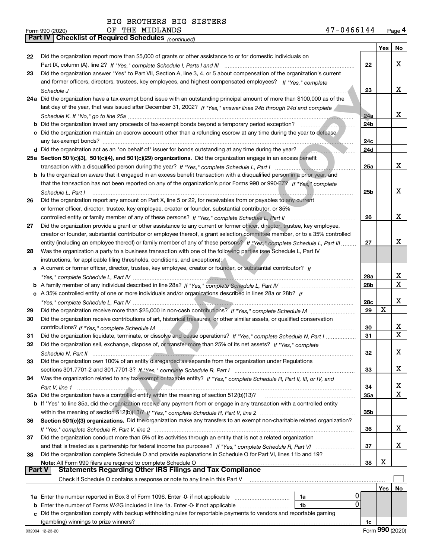| $0.000$ ( $0.000$ ) |  |
|---------------------|--|

|               | OF THE MIDLANDS<br>Form 990 (2020)                                                                                                                                                                            | 47-0466144  |     | Page 4 |
|---------------|---------------------------------------------------------------------------------------------------------------------------------------------------------------------------------------------------------------|-------------|-----|--------|
|               | Part IV   Checklist of Required Schedules (continued)                                                                                                                                                         |             |     |        |
|               |                                                                                                                                                                                                               |             | Yes | No     |
| 22            | Did the organization report more than \$5,000 of grants or other assistance to or for domestic individuals on                                                                                                 |             |     |        |
|               |                                                                                                                                                                                                               | 22          |     | X      |
| 23            | Did the organization answer "Yes" to Part VII, Section A, line 3, 4, or 5 about compensation of the organization's current                                                                                    |             |     |        |
|               | and former officers, directors, trustees, key employees, and highest compensated employees? If "Yes," complete                                                                                                |             |     |        |
|               |                                                                                                                                                                                                               | 23          |     | x      |
|               | 24a Did the organization have a tax-exempt bond issue with an outstanding principal amount of more than \$100,000 as of the                                                                                   |             |     |        |
|               | last day of the year, that was issued after December 31, 2002? If "Yes," answer lines 24b through 24d and complete                                                                                            |             |     |        |
|               |                                                                                                                                                                                                               | 24a         |     | x      |
|               | b Did the organization invest any proceeds of tax-exempt bonds beyond a temporary period exception?                                                                                                           | 24b         |     |        |
|               | c Did the organization maintain an escrow account other than a refunding escrow at any time during the year to defease                                                                                        |             |     |        |
|               |                                                                                                                                                                                                               | 24с         |     |        |
|               | d Did the organization act as an "on behalf of" issuer for bonds outstanding at any time during the year?                                                                                                     | 24d         |     |        |
|               | 25a Section 501(c)(3), 501(c)(4), and 501(c)(29) organizations. Did the organization engage in an excess benefit                                                                                              |             |     |        |
|               | transaction with a disqualified person during the year? If "Yes," complete Schedule L, Part I manufactured and manufactured with a disqualified person during the year? If "Yes," complete Schedule L, Part I | 25a         |     | X      |
|               | b Is the organization aware that it engaged in an excess benefit transaction with a disqualified person in a prior year, and                                                                                  |             |     |        |
|               | that the transaction has not been reported on any of the organization's prior Forms 990 or 990-EZ? If "Yes," complete                                                                                         |             |     | X      |
|               | Schedule L, Part I<br>Did the organization report any amount on Part X, line 5 or 22, for receivables from or payables to any current                                                                         | 25b         |     |        |
| 26            | or former officer, director, trustee, key employee, creator or founder, substantial contributor, or 35%                                                                                                       |             |     |        |
|               | controlled entity or family member of any of these persons? If "Yes," complete Schedule L, Part II                                                                                                            | 26          |     | x      |
| 27            | Did the organization provide a grant or other assistance to any current or former officer, director, trustee, key employee,                                                                                   |             |     |        |
|               | creator or founder, substantial contributor or employee thereof, a grant selection committee member, or to a 35% controlled                                                                                   |             |     |        |
|               | entity (including an employee thereof) or family member of any of these persons? If "Yes," complete Schedule L, Part III                                                                                      | 27          |     | x      |
| 28            | Was the organization a party to a business transaction with one of the following parties (see Schedule L, Part IV                                                                                             |             |     |        |
|               | instructions, for applicable filing thresholds, conditions, and exceptions):                                                                                                                                  |             |     |        |
|               | a A current or former officer, director, trustee, key employee, creator or founder, or substantial contributor? If                                                                                            |             |     |        |
|               |                                                                                                                                                                                                               | 28a         |     | x      |
|               |                                                                                                                                                                                                               | 28b         |     | X      |
|               | c A 35% controlled entity of one or more individuals and/or organizations described in lines 28a or 28b? If                                                                                                   |             |     |        |
|               |                                                                                                                                                                                                               | 28c         |     | x      |
| 29            |                                                                                                                                                                                                               | 29          | X   |        |
| 30            | Did the organization receive contributions of art, historical treasures, or other similar assets, or qualified conservation                                                                                   |             |     |        |
|               |                                                                                                                                                                                                               | 30          |     | x      |
| 31            | Did the organization liquidate, terminate, or dissolve and cease operations? If "Yes," complete Schedule N, Part I                                                                                            | 31          |     | X      |
| 32            | Did the organization sell, exchange, dispose of, or transfer more than 25% of its net assets? If "Yes," complete                                                                                              |             |     |        |
|               |                                                                                                                                                                                                               | 32          |     | x      |
| 33            | Did the organization own 100% of an entity disregarded as separate from the organization under Regulations                                                                                                    |             |     |        |
|               |                                                                                                                                                                                                               | 33          |     | х      |
| 34            | Was the organization related to any tax-exempt or taxable entity? If "Yes," complete Schedule R, Part II, III, or IV, and                                                                                     |             |     |        |
|               |                                                                                                                                                                                                               | 34          |     | х      |
|               | 35a Did the organization have a controlled entity within the meaning of section 512(b)(13)?                                                                                                                   | 35a         |     | X      |
|               | b If "Yes" to line 35a, did the organization receive any payment from or engage in any transaction with a controlled entity                                                                                   |             |     |        |
|               |                                                                                                                                                                                                               | 35b         |     |        |
| 36            | Section 501(c)(3) organizations. Did the organization make any transfers to an exempt non-charitable related organization?                                                                                    |             |     |        |
|               |                                                                                                                                                                                                               | 36          |     | x      |
| 37            | Did the organization conduct more than 5% of its activities through an entity that is not a related organization                                                                                              |             |     |        |
|               |                                                                                                                                                                                                               | 37          |     | х      |
| 38            | Did the organization complete Schedule O and provide explanations in Schedule O for Part VI, lines 11b and 19?                                                                                                |             |     |        |
| <b>Part V</b> | Note: All Form 990 filers are required to complete Schedule O<br><b>Statements Regarding Other IRS Filings and Tax Compliance</b>                                                                             | 38          | х   |        |
|               | Check if Schedule O contains a response or note to any line in this Part V                                                                                                                                    |             |     |        |
|               |                                                                                                                                                                                                               |             | Yes |        |
|               | 1a                                                                                                                                                                                                            | 0           |     | No     |
|               | <b>b</b> Enter the number of Forms W-2G included in line 1a. Enter -0- if not applicable <i>manumumumum</i><br>1b                                                                                             | $\mathbf 0$ |     |        |
|               | o Did the organization comply with backup withholding rules for reportable payments to vendors and reportable gaming                                                                                          |             |     |        |

 ${\bf c}$  Did the organization comply with backup withholding rules for reportable payments to vendors and reportable gaming (gambling) winnings to prize winners?

**1c**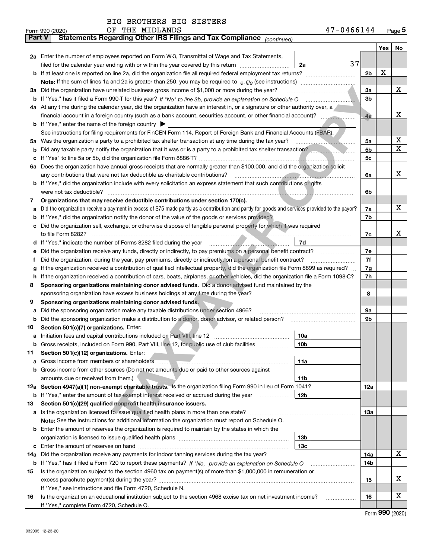|  | BIG BROTHERS BIG SISTERS |  |  |
|--|--------------------------|--|--|
|--|--------------------------|--|--|

|        | 47-0466144<br>THE MIDLANDS<br>OF<br>Form 990 (2020)                                                                                                                                                                                                                                                                 |                |     | Page $5$ |
|--------|---------------------------------------------------------------------------------------------------------------------------------------------------------------------------------------------------------------------------------------------------------------------------------------------------------------------|----------------|-----|----------|
| Part V | Statements Regarding Other IRS Filings and Tax Compliance (continued)                                                                                                                                                                                                                                               |                |     |          |
|        |                                                                                                                                                                                                                                                                                                                     |                | Yes | No       |
|        | 2a Enter the number of employees reported on Form W-3, Transmittal of Wage and Tax Statements,                                                                                                                                                                                                                      |                |     |          |
|        | 37<br>filed for the calendar year ending with or within the year covered by this return <i>manumumumum</i><br>2a                                                                                                                                                                                                    |                |     |          |
|        |                                                                                                                                                                                                                                                                                                                     | 2 <sub>b</sub> | х   |          |
|        |                                                                                                                                                                                                                                                                                                                     |                |     |          |
| За     | Did the organization have unrelated business gross income of \$1,000 or more during the year?                                                                                                                                                                                                                       | 3a             |     | х        |
| b      |                                                                                                                                                                                                                                                                                                                     | 3b             |     |          |
|        | 4a At any time during the calendar year, did the organization have an interest in, or a signature or other authority over, a                                                                                                                                                                                        |                |     |          |
|        |                                                                                                                                                                                                                                                                                                                     | 4a             |     | x        |
|        | <b>b</b> If "Yes," enter the name of the foreign country $\blacktriangleright$                                                                                                                                                                                                                                      |                |     |          |
|        | See instructions for filing requirements for FinCEN Form 114, Report of Foreign Bank and Financial Accounts (FBAB).                                                                                                                                                                                                 |                |     |          |
| 5a     | Was the organization a party to a prohibited tax shelter transaction at any time during the tax year?                                                                                                                                                                                                               | 5a             |     | х        |
| b      | Did any taxable party notify the organization that it was or is a party to a prohibited tax shelter transaction?                                                                                                                                                                                                    | 5 <sub>b</sub> |     | X        |
| с      |                                                                                                                                                                                                                                                                                                                     | 5c             |     |          |
|        | 6a Does the organization have annual gross receipts that are normally greater than \$100,000, and did the organization solicit                                                                                                                                                                                      |                |     |          |
|        | <u> Estados de la contrador de la contrador de la contrador de la contrador de la contrador de la contrador de la contrador de la contrador de la contrador de la contrador de la contrador de la contrador de la contrador de l</u><br>any contributions that were not tax deductible as charitable contributions? | 6a             |     | x        |
|        | b If "Yes," did the organization include with every solicitation an express statement that such contributions or gifts                                                                                                                                                                                              |                |     |          |
|        | were not tax deductible?                                                                                                                                                                                                                                                                                            | 6b             |     |          |
| 7      | Organizations that may receive deductible contributions under section 170(c).                                                                                                                                                                                                                                       |                |     |          |
| a      | Did the organization receive a payment in excess of \$75 made partly as a contribution and partly for goods and services provided to the payor?                                                                                                                                                                     | 7a             |     | х        |
| b      | If "Yes," did the organization notify the donor of the value of the goods or services provided?                                                                                                                                                                                                                     | 7b             |     |          |
|        | Did the organization sell, exchange, or otherwise dispose of tangible personal property for which it was required                                                                                                                                                                                                   |                |     | x        |
|        | 7d                                                                                                                                                                                                                                                                                                                  | 7c             |     |          |
| d      |                                                                                                                                                                                                                                                                                                                     | 7e             |     |          |
| е<br>f | Did the organization receive any funds, directly or indirectly, to pay premiums on a personal benefit contract?<br>Did the organization, during the year, pay premiums, directly or indirectly, on a personal benefit contract?                                                                                     | 7f             |     |          |
|        | If the organization received a contribution of qualified intellectual property, did the organization file Form 8899 as required?                                                                                                                                                                                    | 7g             |     |          |
| g<br>h | If the organization received a contribution of cars, boats, airplanes, or other vehicles, did the organization file a Form 1098-C?                                                                                                                                                                                  | 7h             |     |          |
| 8      | Sponsoring organizations maintaining donor advised funds. Did a donor advised fund maintained by the                                                                                                                                                                                                                |                |     |          |
|        | sponsoring organization have excess business holdings at any time during the year?                                                                                                                                                                                                                                  | 8              |     |          |
| 9      | Sponsoring organizations maintaining donor advised funds.                                                                                                                                                                                                                                                           |                |     |          |
| a      | Did the sponsoring organization make any taxable distributions under section 4966?                                                                                                                                                                                                                                  | 9а             |     |          |
| b      | Did the sponsoring organization make a distribution to a donor, donor advisor, or related person?                                                                                                                                                                                                                   | 9b             |     |          |
| 10     | Section 501(c)(7) organizations. Enter:                                                                                                                                                                                                                                                                             |                |     |          |
|        | 10a<br>a Initiation fees and capital contributions included on Part VIII, line 12 [11, 111] [11] [11] [11] [11] [11]                                                                                                                                                                                                |                |     |          |
|        | 10b<br>Gross receipts, included on Form 990, Part VIII, line 12, for public use of club facilities                                                                                                                                                                                                                  |                |     |          |
| 11     | Section 501(c)(12) organizations. Enter:                                                                                                                                                                                                                                                                            |                |     |          |
| a      | 11a                                                                                                                                                                                                                                                                                                                 |                |     |          |
| b      | Gross income from other sources (Do not net amounts due or paid to other sources against                                                                                                                                                                                                                            |                |     |          |
|        | 11 <sub>b</sub><br>amounts due or received from them.)                                                                                                                                                                                                                                                              |                |     |          |
|        | 12a Section 4947(a)(1) non-exempt charitable trusts. Is the organization filing Form 990 in lieu of Form 1041?                                                                                                                                                                                                      | <b>12a</b>     |     |          |
|        | <b>b</b> If "Yes," enter the amount of tax-exempt interest received or accrued during the year<br>12 <sub>b</sub>                                                                                                                                                                                                   |                |     |          |
| 13     | Section 501(c)(29) qualified nonprofit health insurance issuers.                                                                                                                                                                                                                                                    |                |     |          |
|        | a Is the organization licensed to issue qualified health plans in more than one state?                                                                                                                                                                                                                              | <b>13a</b>     |     |          |
|        | Note: See the instructions for additional information the organization must report on Schedule O.                                                                                                                                                                                                                   |                |     |          |
|        | <b>b</b> Enter the amount of reserves the organization is required to maintain by the states in which the                                                                                                                                                                                                           |                |     |          |
|        | 13 <sub>b</sub>                                                                                                                                                                                                                                                                                                     |                |     |          |
| c      | 13 <sub>c</sub>                                                                                                                                                                                                                                                                                                     |                |     |          |
| 14a    | Did the organization receive any payments for indoor tanning services during the tax year?                                                                                                                                                                                                                          | 14a            |     | x        |
|        |                                                                                                                                                                                                                                                                                                                     | 14b            |     |          |
| 15     | Is the organization subject to the section 4960 tax on payment(s) of more than \$1,000,000 in remuneration or                                                                                                                                                                                                       |                |     |          |
|        | excess parachute payment(s) during the year?                                                                                                                                                                                                                                                                        | 15             |     | х        |
|        | If "Yes," see instructions and file Form 4720, Schedule N.                                                                                                                                                                                                                                                          |                |     |          |
| 16     | Is the organization an educational institution subject to the section 4968 excise tax on net investment income?                                                                                                                                                                                                     | 16             |     | х        |
|        | If "Yes," complete Form 4720, Schedule O.                                                                                                                                                                                                                                                                           |                |     |          |

Form (2020) **990**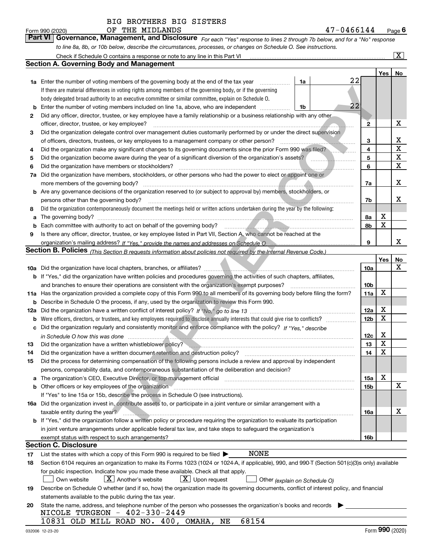*For each "Yes" response to lines 2 through 7b below, and for a "No" response to line 8a, 8b, or 10b below, describe the circumstances, processes, or changes on Schedule O. See instructions.* Form 990 (2020) **CHEMIDLANDS** Form 990 (2020) **Page 6**<br>**Part VI Governance, Management, and Disclosure** For each "Yes" response to lines 2 through 7b below, and for a "No" response Check if Schedule O contains a response or note to any line in this Part VI **Section A. Governing Body and Management**  $\boxed{\text{X}}$ 

|     |                                                                                                                                                              |                 | Yes            | No          |
|-----|--------------------------------------------------------------------------------------------------------------------------------------------------------------|-----------------|----------------|-------------|
|     | 22<br><b>1a</b> Enter the number of voting members of the governing body at the end of the tax year<br>1a                                                    |                 |                |             |
|     | If there are material differences in voting rights among members of the governing body, or if the governing                                                  |                 |                |             |
|     | body delegated broad authority to an executive committee or similar committee, explain on Schedule O.                                                        |                 |                |             |
| b   | 22<br>Enter the number of voting members included on line 1a, above, who are independent<br>1b                                                               |                 |                |             |
| 2   | Did any officer, director, trustee, or key employee have a family relationship or a business relationship with any other                                     |                 |                |             |
|     | officer, director, trustee, or key employee?                                                                                                                 | $\overline{2}$  |                | X           |
| З   | Did the organization delegate control over management duties customarily performed by or under the direct supervision                                        |                 |                |             |
|     | of officers, directors, trustees, or key employees to a management company or other person?                                                                  | 3               |                | х           |
| 4   | Did the organization make any significant changes to its governing documents since the prior Form 990 was filed?                                             | 4               |                | $\mathbf X$ |
| 5   | Did the organization become aware during the year of a significant diversion of the organization's assets?                                                   | 5               |                | X           |
| 6   | Did the organization have members or stockholders?                                                                                                           | 6               |                | $\mathbf X$ |
| 7a  | Did the organization have members, stockholders, or other persons who had the power to elect or appoint one or                                               |                 |                |             |
|     | more members of the governing body?                                                                                                                          | 7a              |                | X           |
|     | <b>b</b> Are any governance decisions of the organization reserved to (or subject to approval by) members, stockholders, or                                  |                 |                |             |
|     | persons other than the governing body?                                                                                                                       | 7b              |                | х           |
| 8   | Did the organization contemporaneously document the meetings held or written actions undertaken during the year by the following:                            |                 |                |             |
| a   |                                                                                                                                                              | 8а              | X              |             |
| b   |                                                                                                                                                              | 8b              | X              |             |
| 9   | Is there any officer, director, trustee, or key employee listed in Part VII, Section A, who cannot be reached at the                                         |                 |                |             |
|     |                                                                                                                                                              | 9               |                | X           |
|     | Section B. Policies (This Section B requests information about policies not required by the Internal Revenue Code.)                                          |                 |                |             |
|     |                                                                                                                                                              |                 | Yes            | No          |
|     |                                                                                                                                                              | 10a             |                | х           |
|     | <b>b</b> If "Yes," did the organization have written policies and procedures governing the activities of such chapters, affiliates,                          |                 |                |             |
|     | and branches to ensure their operations are consistent with the organization's exempt purposes?                                                              | 10 <sub>b</sub> |                |             |
|     | 11a Has the organization provided a complete copy of this Form 990 to all members of its governing body before filing the form?                              | 11a             | X              |             |
|     | <b>b</b> Describe in Schedule O the process, if any, used by the organization to review this Form 990.                                                       |                 |                |             |
| 12a |                                                                                                                                                              | 12a             | X              |             |
| b   |                                                                                                                                                              | 12 <sub>b</sub> | X              |             |
| c   | Did the organization regularly and consistently monitor and enforce compliance with the policy? If "Yes." describe                                           |                 |                |             |
|     |                                                                                                                                                              | 12c             | х              |             |
| 13  | Did the organization have a written whistleblower policy?                                                                                                    | 13              | X              |             |
| 14  |                                                                                                                                                              | 14              | X              |             |
| 15  | Did the process for determining compensation of the following persons include a review and approval by independent                                           |                 |                |             |
|     | persons, comparability data, and contemporaneous substantiation of the deliberation and decision?                                                            |                 | X              |             |
|     |                                                                                                                                                              | 15a             |                | Χ           |
|     | Other officers or key employees of the organization                                                                                                          | 15 <sub>b</sub> |                |             |
|     | If "Yes" to line 15a or 15b, describe the process in Schedule O (see instructions).                                                                          |                 |                |             |
|     | 16a Did the organization invest in, contribute assets to, or participate in a joint venture or similar arrangement with a<br>taxable entity during the year? |                 |                | х           |
|     | b If "Yes," did the organization follow a written policy or procedure requiring the organization to evaluate its participation                               | 16a             |                |             |
|     |                                                                                                                                                              |                 |                |             |
|     | in joint venture arrangements under applicable federal tax law, and take steps to safeguard the organization's                                               |                 |                |             |
|     | exempt status with respect to such arrangements?<br><b>Section C. Disclosure</b>                                                                             | 16b             |                |             |
| 17  | NONE<br>List the states with which a copy of this Form 990 is required to be filed $\blacktriangleright$                                                     |                 |                |             |
| 18  | Section 6104 requires an organization to make its Forms 1023 (1024 or 1024-A, if applicable), 990, and 990-T (Section 501(c)(3)s only) available             |                 |                |             |
|     | for public inspection. Indicate how you made these available. Check all that apply.                                                                          |                 |                |             |
|     | $X$ Another's website<br>$X$ Upon request<br>Own website<br>Other (explain on Schedule O)                                                                    |                 |                |             |
| 19  | Describe on Schedule O whether (and if so, how) the organization made its governing documents, conflict of interest policy, and financial                    |                 |                |             |
|     | statements available to the public during the tax year.                                                                                                      |                 |                |             |
| 20  | State the name, address, and telephone number of the person who possesses the organization's books and records                                               |                 |                |             |
|     | NICOLE TURGEON - 402-330-2449                                                                                                                                |                 |                |             |
|     | 68154<br>10831 OLD MILL ROAD NO. 400, OMAHA,<br>ΝE                                                                                                           |                 |                |             |
|     | 032006 12-23-20                                                                                                                                              |                 | Form 990 (2020 |             |

| 90 (2020) |  |  |
|-----------|--|--|

|  | rm 990 (2020) |  |
|--|---------------|--|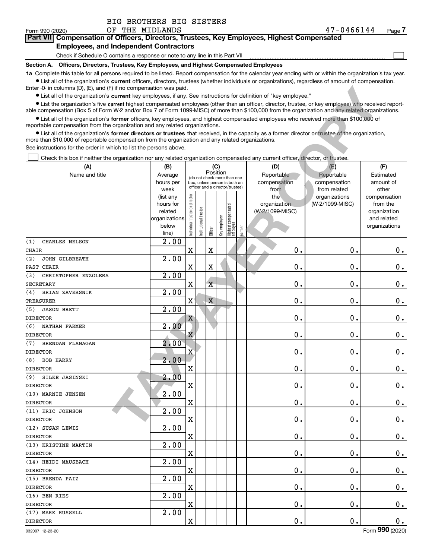$\mathcal{L}^{\text{max}}$ 

# **7Part VII Compensation of Officers, Directors, Trustees, Key Employees, Highest Compensated Employees, and Independent Contractors**

Check if Schedule O contains a response or note to any line in this Part VII

**Section A. Officers, Directors, Trustees, Key Employees, and Highest Compensated Employees**

**1a**  Complete this table for all persons required to be listed. Report compensation for the calendar year ending with or within the organization's tax year. **•** List all of the organization's current officers, directors, trustees (whether individuals or organizations), regardless of amount of compensation.

| Enter -0- in columns (D), (E), and (F) if no compensation was paid.                                                                                                                                                                                                                                       |                   |                                |                      |                         |              |                                                                  |        |                      |                              |                    |  |
|-----------------------------------------------------------------------------------------------------------------------------------------------------------------------------------------------------------------------------------------------------------------------------------------------------------|-------------------|--------------------------------|----------------------|-------------------------|--------------|------------------------------------------------------------------|--------|----------------------|------------------------------|--------------------|--|
| • List all of the organization's current key employees, if any. See instructions for definition of "key employee."                                                                                                                                                                                        |                   |                                |                      |                         |              |                                                                  |        |                      |                              |                    |  |
| • List the organization's five current highest compensated employees (other than an officer, director, trustee, or key employee) who received report-<br>able compensation (Box 5 of Form W-2 and/or Box 7 of Form 1099-MISC) of more than \$100,000 from the organization and any related organizations. |                   |                                |                      |                         |              |                                                                  |        |                      |                              |                    |  |
| • List all of the organization's former officers, key employees, and highest compensated employees who received more than \$100,000 of<br>reportable compensation from the organization and any related organizations.                                                                                    |                   |                                |                      |                         |              |                                                                  |        |                      |                              |                    |  |
| • List all of the organization's former directors or trustees that received, in the capacity as a former director or trustee of the organization,<br>more than \$10,000 of reportable compensation from the organization and any related organizations.                                                   |                   |                                |                      |                         |              |                                                                  |        |                      |                              |                    |  |
| See instructions for the order in which to list the persons above.                                                                                                                                                                                                                                        |                   |                                |                      |                         |              |                                                                  |        |                      |                              |                    |  |
|                                                                                                                                                                                                                                                                                                           |                   |                                |                      |                         |              |                                                                  |        |                      |                              |                    |  |
| Check this box if neither the organization nor any related organization compensated any current officer, director, or trustee.                                                                                                                                                                            |                   |                                |                      |                         |              |                                                                  |        |                      |                              |                    |  |
| (A)                                                                                                                                                                                                                                                                                                       | (B)               |                                |                      | (C)<br>Position         |              |                                                                  |        | (D)                  | (E)                          | (F)                |  |
| Name and title                                                                                                                                                                                                                                                                                            | Average           |                                |                      |                         |              | (do not check more than one                                      |        | Reportable           | Reportable                   | Estimated          |  |
|                                                                                                                                                                                                                                                                                                           | hours per<br>week |                                |                      |                         |              | box, unless person is both an<br>officer and a director/trustee) |        | compensation<br>from | compensation<br>from related | amount of<br>other |  |
|                                                                                                                                                                                                                                                                                                           | (list any         |                                |                      |                         |              |                                                                  |        | the                  | organizations                | compensation       |  |
|                                                                                                                                                                                                                                                                                                           | hours for         |                                |                      |                         |              |                                                                  |        | organization         | (W-2/1099-MISC)              | from the           |  |
|                                                                                                                                                                                                                                                                                                           | related           | Individual trustee or director |                      |                         |              | Highest compensated<br>employee                                  |        | (W-2/1099-MISC)      |                              | organization       |  |
|                                                                                                                                                                                                                                                                                                           | organizations     |                                | nstitutional trustee |                         | Key employee |                                                                  |        |                      |                              | and related        |  |
|                                                                                                                                                                                                                                                                                                           | below             |                                |                      | Officer                 |              |                                                                  | Former |                      |                              | organizations      |  |
|                                                                                                                                                                                                                                                                                                           | line)             |                                |                      |                         |              |                                                                  |        |                      |                              |                    |  |
| (1)<br>CHARLES NELSON<br>CHAIR                                                                                                                                                                                                                                                                            | 2.00              | $\mathbf x$                    |                      | $\overline{\textbf{X}}$ |              |                                                                  |        | $\mathbf 0$ .        | $\mathbf 0$ .                | $\mathbf 0$ .      |  |
| <b>JOHN GILBREATH</b><br>(2)                                                                                                                                                                                                                                                                              | 2.00              |                                |                      |                         |              |                                                                  |        |                      |                              |                    |  |
| PAST CHAIR                                                                                                                                                                                                                                                                                                |                   | $\mathbf X$                    |                      | X                       |              |                                                                  |        | 0.                   | $\mathbf 0$ .                | $\mathbf 0$ .      |  |
| CHRISTOPHER ENZOLERA<br>(3)                                                                                                                                                                                                                                                                               | 2.00              |                                |                      |                         |              |                                                                  |        |                      |                              |                    |  |
| <b>SECRETARY</b>                                                                                                                                                                                                                                                                                          |                   | X                              |                      | $\mathbf x$             |              |                                                                  |        | 0.                   | $\mathbf 0$ .                | $\mathbf 0$ .      |  |
| BRIAN ZAVERSNIK<br>(4)                                                                                                                                                                                                                                                                                    | 2.00              |                                |                      |                         |              |                                                                  |        |                      |                              |                    |  |
| TREASURER                                                                                                                                                                                                                                                                                                 |                   | $\mathbf X$                    |                      | $\overline{\text{X}}$   |              |                                                                  |        | $\mathbf 0$ .        | $\mathbf 0$ .                | $\mathbf 0$ .      |  |
| <b>JASON BRETT</b><br>(5)                                                                                                                                                                                                                                                                                 | 2.00              |                                |                      |                         |              |                                                                  |        |                      |                              |                    |  |
| <b>DIRECTOR</b>                                                                                                                                                                                                                                                                                           |                   | X                              |                      |                         |              |                                                                  |        | $\mathbf 0$ .        | $\mathbf 0$ .                | $\mathbf 0$ .      |  |
| NATHAN FARMER<br>(6)                                                                                                                                                                                                                                                                                      | 2.00              |                                |                      |                         |              |                                                                  |        |                      |                              |                    |  |
| <b>DIRECTOR</b>                                                                                                                                                                                                                                                                                           |                   | X                              |                      |                         |              |                                                                  |        | $\mathbf 0$ .        | $\mathbf 0$ .                | $\mathbf 0$ .      |  |
| BRENDAN FLANAGAN<br>(7)                                                                                                                                                                                                                                                                                   | 2.00              |                                |                      |                         |              |                                                                  |        |                      |                              |                    |  |
| <b>DIRECTOR</b>                                                                                                                                                                                                                                                                                           |                   | $\overline{\mathbf{X}}$        |                      |                         |              |                                                                  |        | $\mathbf 0$ .        | $\mathbf 0$ .                | $\mathbf 0$ .      |  |
| <b>BOB HARRY</b><br>(8)                                                                                                                                                                                                                                                                                   | 2.00              |                                |                      |                         |              |                                                                  |        |                      |                              |                    |  |
| <b>DIRECTOR</b>                                                                                                                                                                                                                                                                                           |                   | $\mathbf x$                    |                      |                         |              |                                                                  |        | $\mathbf 0$ .        | $\mathbf 0$ .                | $\mathbf 0$ .      |  |
| SILKE JASINSKI<br>(9)                                                                                                                                                                                                                                                                                     | 2.00              |                                |                      |                         |              |                                                                  |        |                      |                              |                    |  |
| <b>DIRECTOR</b>                                                                                                                                                                                                                                                                                           |                   | X                              |                      |                         |              |                                                                  |        | $\mathbf 0$ .        | $\mathbf 0$ .                | $\mathbf 0$ .      |  |
| (10) MARNIE JENSEN                                                                                                                                                                                                                                                                                        | 2.00              |                                |                      |                         |              |                                                                  |        |                      |                              |                    |  |
| <b>DIRECTOR</b>                                                                                                                                                                                                                                                                                           |                   | $\mathbf X$                    |                      |                         |              |                                                                  |        | $\mathbf 0$ .        | $\mathbf 0$ .                | $0\cdot$           |  |
| (11) ERIC JOHNSON                                                                                                                                                                                                                                                                                         | 2.00              |                                |                      |                         |              |                                                                  |        |                      |                              |                    |  |
| <b>DIRECTOR</b>                                                                                                                                                                                                                                                                                           |                   | X                              |                      |                         |              |                                                                  |        | 0.                   | 0.                           | $0\,.$             |  |
| (12) SUSAN LEWIS                                                                                                                                                                                                                                                                                          | 2.00              |                                |                      |                         |              |                                                                  |        |                      |                              |                    |  |
| <b>DIRECTOR</b>                                                                                                                                                                                                                                                                                           |                   | X                              |                      |                         |              |                                                                  |        | $\mathbf 0$ .        | 0.                           | $\mathbf 0$ .      |  |
| (13) KRISTINE MARTIN                                                                                                                                                                                                                                                                                      | 2.00              |                                |                      |                         |              |                                                                  |        |                      |                              |                    |  |
| <b>DIRECTOR</b>                                                                                                                                                                                                                                                                                           |                   | X                              |                      |                         |              |                                                                  |        | $0$ .                | $\mathbf 0$ .                | $\mathbf 0$ .      |  |
| (14) HEIDI MAUSBACH                                                                                                                                                                                                                                                                                       | 2.00              |                                |                      |                         |              |                                                                  |        |                      |                              |                    |  |
| <b>DIRECTOR</b>                                                                                                                                                                                                                                                                                           |                   | X                              |                      |                         |              |                                                                  |        | $0$ .                | $\mathbf 0$ .                | $\mathbf 0$ .      |  |
| (15) BRENDA PAIZ                                                                                                                                                                                                                                                                                          | 2.00              |                                |                      |                         |              |                                                                  |        |                      |                              |                    |  |
| <b>DIRECTOR</b>                                                                                                                                                                                                                                                                                           |                   | X                              |                      |                         |              |                                                                  |        | $\mathbf 0$ .        | 0.                           | $\mathbf 0$ .      |  |
| (16) BEN RIES                                                                                                                                                                                                                                                                                             | 2.00              |                                |                      |                         |              |                                                                  |        |                      |                              |                    |  |
| <b>DIRECTOR</b>                                                                                                                                                                                                                                                                                           |                   | X                              |                      |                         |              |                                                                  |        | $0$ .                | 0.                           | $0\,.$             |  |
| (17) MARK RUSSELL                                                                                                                                                                                                                                                                                         | 2.00              |                                |                      |                         |              |                                                                  |        |                      |                              |                    |  |
| <b>DIRECTOR</b>                                                                                                                                                                                                                                                                                           |                   | x                              |                      |                         |              |                                                                  |        | 0.                   | $\mathbf 0$ .                | $0$ .              |  |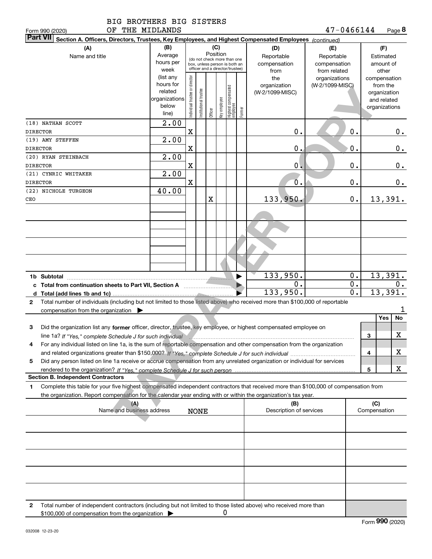|  |                   | BIG BROTHERS BIG SISTERS |
|--|-------------------|--------------------------|
|  | סתזוג זחדא סטח סס |                          |

| OF THE MIDLANDS<br>Form 990 (2020)                                                                                                                                                                                                                          |                                                                                                             |                                |                       |                            |              |                                                                                                                                        |        |                                                                                     | 47-0466144                                                                            |                  |                                                                                                                    | Page 8 |
|-------------------------------------------------------------------------------------------------------------------------------------------------------------------------------------------------------------------------------------------------------------|-------------------------------------------------------------------------------------------------------------|--------------------------------|-----------------------|----------------------------|--------------|----------------------------------------------------------------------------------------------------------------------------------------|--------|-------------------------------------------------------------------------------------|---------------------------------------------------------------------------------------|------------------|--------------------------------------------------------------------------------------------------------------------|--------|
| Part VII Section A. Officers, Directors, Trustees, Key Employees, and Highest Compensated Employees (continued)                                                                                                                                             |                                                                                                             |                                |                       |                            |              |                                                                                                                                        |        |                                                                                     |                                                                                       |                  |                                                                                                                    |        |
| (A)<br>Name and title                                                                                                                                                                                                                                       | (B)<br>Average<br>hours per<br>week<br>(list any<br>hours for<br>related<br>organizations<br>below<br>line) | Individual trustee or director | Institutional trustee | (C)<br>Position<br>Officer | key employee | (do not check more than one<br>box, unless person is both an<br>officer and a director/trustee)<br>  Highest compensated<br>  employee | Former | (D)<br>Reportable<br>compensation<br>from<br>the<br>organization<br>(W-2/1099-MISC) | (E)<br>Reportable<br>compensation<br>from related<br>organizations<br>(W-2/1099-MISC) |                  | (F)<br>Estimated<br>amount of<br>other<br>compensation<br>from the<br>organization<br>and related<br>organizations |        |
| (18) NATHAN SCOTT                                                                                                                                                                                                                                           | 2.00                                                                                                        |                                |                       |                            |              |                                                                                                                                        |        |                                                                                     |                                                                                       |                  |                                                                                                                    |        |
| <b>DIRECTOR</b>                                                                                                                                                                                                                                             |                                                                                                             | Χ                              |                       |                            |              |                                                                                                                                        |        | 0.                                                                                  |                                                                                       | 0.               |                                                                                                                    | $0$ .  |
| (19) AMY STEFFEN                                                                                                                                                                                                                                            | 2.00                                                                                                        | $\mathbf X$                    |                       |                            |              |                                                                                                                                        |        | 0.                                                                                  |                                                                                       | 0.               |                                                                                                                    |        |
| <b>DIRECTOR</b><br>(20) RYAN STEINBACH                                                                                                                                                                                                                      | 2.00                                                                                                        |                                |                       |                            |              |                                                                                                                                        |        |                                                                                     |                                                                                       |                  |                                                                                                                    | 0.     |
| <b>DIRECTOR</b>                                                                                                                                                                                                                                             |                                                                                                             | $\mathbf X$                    |                       |                            |              |                                                                                                                                        |        | 0.                                                                                  |                                                                                       | 0.               |                                                                                                                    | 0.     |
| (21) CYNRIC WHITAKER                                                                                                                                                                                                                                        | 2.00                                                                                                        |                                |                       |                            |              |                                                                                                                                        |        |                                                                                     |                                                                                       |                  |                                                                                                                    |        |
| <b>DIRECTOR</b>                                                                                                                                                                                                                                             |                                                                                                             | $\mathbf X$                    |                       |                            |              |                                                                                                                                        |        | $\mathfrak{o}$ .                                                                    |                                                                                       | 0.               |                                                                                                                    | $0$ .  |
| (22) NICHOLE TURGEON                                                                                                                                                                                                                                        | 40.00                                                                                                       |                                |                       |                            |              |                                                                                                                                        |        |                                                                                     |                                                                                       |                  |                                                                                                                    |        |
| CEO                                                                                                                                                                                                                                                         |                                                                                                             |                                |                       | X                          |              |                                                                                                                                        |        | 133,950.                                                                            |                                                                                       | 0.               | 13,391.                                                                                                            |        |
|                                                                                                                                                                                                                                                             |                                                                                                             |                                |                       |                            |              |                                                                                                                                        |        |                                                                                     |                                                                                       |                  |                                                                                                                    |        |
|                                                                                                                                                                                                                                                             |                                                                                                             |                                |                       |                            |              |                                                                                                                                        |        |                                                                                     |                                                                                       |                  |                                                                                                                    |        |
|                                                                                                                                                                                                                                                             |                                                                                                             |                                |                       |                            |              |                                                                                                                                        |        |                                                                                     |                                                                                       |                  |                                                                                                                    |        |
|                                                                                                                                                                                                                                                             |                                                                                                             |                                |                       |                            |              |                                                                                                                                        |        |                                                                                     |                                                                                       |                  |                                                                                                                    |        |
| 1b Subtotal                                                                                                                                                                                                                                                 |                                                                                                             |                                |                       |                            |              |                                                                                                                                        |        | 133, 950.                                                                           |                                                                                       | 0.               | 13,391.                                                                                                            |        |
| c Total from continuation sheets to Part VII, Section A                                                                                                                                                                                                     |                                                                                                             |                                |                       |                            |              |                                                                                                                                        |        | 0.                                                                                  |                                                                                       | 0.               |                                                                                                                    | 0.     |
|                                                                                                                                                                                                                                                             |                                                                                                             |                                |                       |                            |              |                                                                                                                                        |        | 133,950.                                                                            |                                                                                       | $\overline{0}$ . | 13,391.                                                                                                            |        |
| Total number of individuals (including but not limited to those listed above) who received more than \$100,000 of reportable<br>2<br>compensation from the organization $\blacktriangleright$                                                               |                                                                                                             |                                |                       |                            |              |                                                                                                                                        |        |                                                                                     |                                                                                       |                  |                                                                                                                    | 1      |
|                                                                                                                                                                                                                                                             |                                                                                                             |                                |                       |                            |              |                                                                                                                                        |        |                                                                                     |                                                                                       |                  | Yes                                                                                                                | No     |
| Did the organization list any former officer, director, trustee, key employee, or highest compensated employee on<br>3                                                                                                                                      |                                                                                                             |                                |                       |                            |              |                                                                                                                                        |        |                                                                                     |                                                                                       |                  |                                                                                                                    |        |
| line 1a? If "Yes," complete Schedule J for such individual manufactured contains and the 1a? If "Yes," complete Schedule J for such individual                                                                                                              |                                                                                                             |                                |                       |                            |              |                                                                                                                                        |        |                                                                                     |                                                                                       | 3                |                                                                                                                    | х      |
| For any individual listed on line 1a, is the sum of reportable compensation and other compensation from the organization<br>4                                                                                                                               |                                                                                                             |                                |                       |                            |              |                                                                                                                                        |        |                                                                                     |                                                                                       |                  |                                                                                                                    |        |
| Did any person listed on line 1a receive or accrue compensation from any unrelated organization or individual for services<br>5                                                                                                                             |                                                                                                             |                                |                       |                            |              |                                                                                                                                        |        |                                                                                     |                                                                                       | 4                |                                                                                                                    | х      |
|                                                                                                                                                                                                                                                             |                                                                                                             |                                |                       |                            |              |                                                                                                                                        |        |                                                                                     |                                                                                       | 5                |                                                                                                                    | X      |
| <b>Section B. Independent Contractors</b>                                                                                                                                                                                                                   |                                                                                                             |                                |                       |                            |              |                                                                                                                                        |        |                                                                                     |                                                                                       |                  |                                                                                                                    |        |
| Complete this table for your five highest compensated independent contractors that received more than \$100,000 of compensation from<br>1<br>the organization. Report compensation for the calendar year ending with or within the organization's tax year. |                                                                                                             |                                |                       |                            |              |                                                                                                                                        |        |                                                                                     |                                                                                       |                  |                                                                                                                    |        |
| (A)<br>Name and business address                                                                                                                                                                                                                            |                                                                                                             |                                | <b>NONE</b>           |                            |              |                                                                                                                                        |        | (B)<br>Description of services                                                      |                                                                                       |                  | (C)<br>Compensation                                                                                                |        |
|                                                                                                                                                                                                                                                             |                                                                                                             |                                |                       |                            |              |                                                                                                                                        |        |                                                                                     |                                                                                       |                  |                                                                                                                    |        |

|              | (A)<br>Name and business address<br><b>NONE</b>                                                                                                                       | (B)<br>Description of services | (C)<br>Compensation |
|--------------|-----------------------------------------------------------------------------------------------------------------------------------------------------------------------|--------------------------------|---------------------|
|              |                                                                                                                                                                       |                                |                     |
|              |                                                                                                                                                                       |                                |                     |
|              |                                                                                                                                                                       |                                |                     |
|              |                                                                                                                                                                       |                                |                     |
|              |                                                                                                                                                                       |                                |                     |
| $\mathbf{2}$ | Total number of independent contractors (including but not limited to those listed above) who received more than<br>\$100,000 of compensation from the organization > |                                |                     |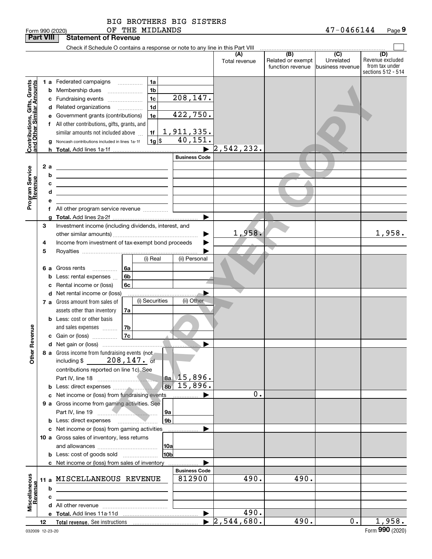|  |  | BIG BROTHERS BIG SISTERS |
|--|--|--------------------------|
|  |  |                          |

|                                                           | <b>Part VIII</b>            | <b>Statement of Revenue</b>                                                                                                                                                                                                                                                                                                                                                                                                                                                                                                   |                                  |                                              |                                                   |                                                                 |
|-----------------------------------------------------------|-----------------------------|-------------------------------------------------------------------------------------------------------------------------------------------------------------------------------------------------------------------------------------------------------------------------------------------------------------------------------------------------------------------------------------------------------------------------------------------------------------------------------------------------------------------------------|----------------------------------|----------------------------------------------|---------------------------------------------------|-----------------------------------------------------------------|
|                                                           |                             | Check if Schedule O contains a response or note to any line in this Part VIII                                                                                                                                                                                                                                                                                                                                                                                                                                                 |                                  |                                              |                                                   |                                                                 |
|                                                           |                             |                                                                                                                                                                                                                                                                                                                                                                                                                                                                                                                               | Total revenue                    | (B)<br>Related or exempt<br>function revenue | $\overline{(C)}$<br>Unrelated<br>business revenue | (D)<br>Revenue excluded<br>from tax under<br>sections 512 - 514 |
| Contributions, Gifts, Grants<br>and Other Similar Amounts |                             | 1 a Federated campaigns<br>1a<br>1 <sub>b</sub><br><b>b</b> Membership dues<br>$\ldots \ldots \ldots \ldots \ldots$<br>208,147.<br>1 <sub>c</sub><br>c Fundraising events<br>1 <sub>d</sub><br>d Related organizations<br>$\overline{\phantom{a}}$<br>422,750.<br>1e<br>e Government grants (contributions)<br>f All other contributions, gifts, grants, and<br>$\frac{1,911,335.}{40,151.}$<br>1f<br>similar amounts not included above<br>$1g$ \$<br>Noncash contributions included in lines 1a-1f<br>$\blacktriangleright$ | 2,542,232.                       |                                              |                                                   |                                                                 |
|                                                           |                             | <b>Business Code</b>                                                                                                                                                                                                                                                                                                                                                                                                                                                                                                          |                                  |                                              |                                                   |                                                                 |
| Program Service<br>Revenue                                | 2a<br>b<br>с<br>d<br>е<br>a | <u> 1989 - Johann Barn, mars ann an t-Amhain an t-Amhain an t-Amhain an t-Amhain an t-Amhain an t-Amhain an t-Amh</u><br>the contract of the contract of the contract of the contract of the contract of<br><u> 1989 - Johann Barn, mars ann an t-Amhain an t-Amhain an t-Amhain an t-Amhain an t-Amhain an t-Amhain an t-A</u><br><u> 1989 - Johann Barn, amerikansk politiker (d. 1989)</u><br>▶                                                                                                                            |                                  |                                              |                                                   |                                                                 |
|                                                           | 3                           | Investment income (including dividends, interest, and                                                                                                                                                                                                                                                                                                                                                                                                                                                                         |                                  |                                              |                                                   |                                                                 |
|                                                           | 4<br>5                      | Income from investment of tax-exempt bond proceeds                                                                                                                                                                                                                                                                                                                                                                                                                                                                            | 1,958.                           |                                              |                                                   | 1,958.                                                          |
|                                                           | 6а<br>b<br>с                | (i) Real<br>(ii) Personal<br>Gross rents<br>6a<br>.<br>6 <sub>b</sub><br>Less: rental expenses<br>6c<br>Rental income or (loss)                                                                                                                                                                                                                                                                                                                                                                                               |                                  |                                              |                                                   |                                                                 |
|                                                           |                             | d Net rental income or (loss)<br>(i) Securities<br>(ii) Other<br>7 a Gross amount from sales of<br>assets other than inventory<br>7a                                                                                                                                                                                                                                                                                                                                                                                          |                                  |                                              |                                                   |                                                                 |
| Revenue                                                   |                             | <b>b</b> Less: cost or other basis<br>7b<br>and sales expenses<br>7c<br>c Gain or (loss)                                                                                                                                                                                                                                                                                                                                                                                                                                      |                                  |                                              |                                                   |                                                                 |
| 늦<br><b>Other</b>                                         |                             | 8 a Gross income from fundraising events (not<br>$208$ , $147$ . $\,$ of<br>including \$<br>contributions reported on line 1c). See<br>15,896.<br>8a                                                                                                                                                                                                                                                                                                                                                                          |                                  |                                              |                                                   |                                                                 |
|                                                           |                             | 15,896.<br>8 <sub>b</sub>                                                                                                                                                                                                                                                                                                                                                                                                                                                                                                     |                                  |                                              |                                                   |                                                                 |
|                                                           |                             | c Net income or (loss) from fundraising events                                                                                                                                                                                                                                                                                                                                                                                                                                                                                | 0.                               |                                              |                                                   |                                                                 |
|                                                           |                             | 9 a Gross income from gaming activities. See<br> 9a<br>9 <sub>b</sub><br><b>b</b> Less: direct expenses <b>manually and the set of the set of the set of the set of the set of the set of the set of the set of the set of the set of the set of the set of the set of the set of the set of the set of the se</b>                                                                                                                                                                                                            |                                  |                                              |                                                   |                                                                 |
|                                                           |                             | c Net income or (loss) from gaming activities<br>10 a Gross sales of inventory, less returns<br> 10a                                                                                                                                                                                                                                                                                                                                                                                                                          |                                  |                                              |                                                   |                                                                 |
|                                                           |                             | 10b<br><b>b</b> Less: cost of goods sold                                                                                                                                                                                                                                                                                                                                                                                                                                                                                      |                                  |                                              |                                                   |                                                                 |
|                                                           |                             | c Net income or (loss) from sales of inventory                                                                                                                                                                                                                                                                                                                                                                                                                                                                                |                                  |                                              |                                                   |                                                                 |
|                                                           |                             | <b>Business Code</b>                                                                                                                                                                                                                                                                                                                                                                                                                                                                                                          |                                  |                                              |                                                   |                                                                 |
| Miscellaneous<br>Revenue                                  |                             | 812900<br>11 a MISCELLANEOUS REVENUE                                                                                                                                                                                                                                                                                                                                                                                                                                                                                          | 490.                             | 490.                                         |                                                   |                                                                 |
|                                                           | b                           |                                                                                                                                                                                                                                                                                                                                                                                                                                                                                                                               |                                  |                                              |                                                   |                                                                 |
|                                                           | c                           |                                                                                                                                                                                                                                                                                                                                                                                                                                                                                                                               |                                  |                                              |                                                   |                                                                 |
|                                                           |                             |                                                                                                                                                                                                                                                                                                                                                                                                                                                                                                                               | 490.                             |                                              |                                                   |                                                                 |
|                                                           | 12                          |                                                                                                                                                                                                                                                                                                                                                                                                                                                                                                                               | $\blacktriangleright$ 2,544,680. | 490.                                         | 0.                                                | 1,958.                                                          |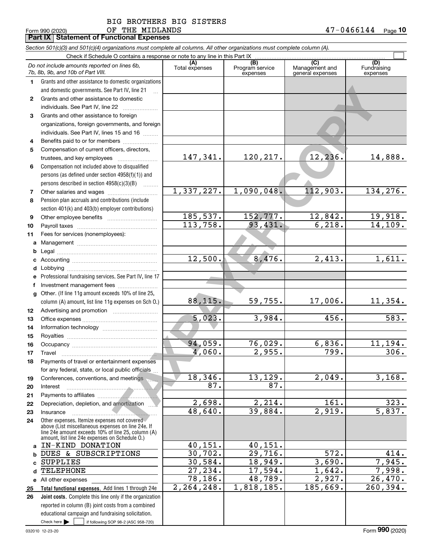|                | Section 501(c)(3) and 501(c)(4) organizations must complete all columns. All other organizations must complete column (A).                               |                |                             |                                    |                                |
|----------------|----------------------------------------------------------------------------------------------------------------------------------------------------------|----------------|-----------------------------|------------------------------------|--------------------------------|
|                | Check if Schedule O contains a response or note to any line in this Part IX                                                                              | (A)            | (B)                         | (C)                                |                                |
|                | Do not include amounts reported on lines 6b,<br>7b, 8b, 9b, and 10b of Part VIII.                                                                        | Total expenses | Program service<br>expenses | Management and<br>general expenses | (D)<br>Fundraising<br>expenses |
| 1.             | Grants and other assistance to domestic organizations                                                                                                    |                |                             |                                    |                                |
|                | and domestic governments. See Part IV, line 21                                                                                                           |                |                             |                                    |                                |
| $\mathbf{2}$   | Grants and other assistance to domestic                                                                                                                  |                |                             |                                    |                                |
|                | individuals. See Part IV, line 22                                                                                                                        |                |                             |                                    |                                |
| 3              | Grants and other assistance to foreign                                                                                                                   |                |                             |                                    |                                |
|                | organizations, foreign governments, and foreign                                                                                                          |                |                             |                                    |                                |
|                | individuals. See Part IV, lines 15 and 16                                                                                                                |                |                             |                                    |                                |
| 4              | Benefits paid to or for members                                                                                                                          |                |                             |                                    |                                |
| 5              | Compensation of current officers, directors,                                                                                                             |                |                             |                                    |                                |
|                | trustees, and key employees                                                                                                                              | 147,341.       | 120, 217.                   | 12, 236.                           | 14,888.                        |
| 6              | Compensation not included above to disqualified                                                                                                          |                |                             |                                    |                                |
|                | persons (as defined under section 4958(f)(1)) and                                                                                                        |                |                             |                                    |                                |
|                | persons described in section 4958(c)(3)(B)                                                                                                               | 1,337,227.     | 1,090,048.                  | 112,903.                           | 134, 276.                      |
| $\overline{7}$ |                                                                                                                                                          |                |                             |                                    |                                |
| 8              | Pension plan accruals and contributions (include                                                                                                         |                |                             |                                    |                                |
|                | section 401(k) and 403(b) employer contributions)                                                                                                        | 185,537.       | 152,777.                    | 12,842.                            |                                |
| 9              |                                                                                                                                                          | 113,758.       | 93,431.                     | 6,218.                             | $\frac{19,918.}{14,109.}$      |
| 10             |                                                                                                                                                          |                |                             |                                    |                                |
| 11             | Fees for services (nonemployees):                                                                                                                        |                |                             |                                    |                                |
| a              |                                                                                                                                                          |                |                             |                                    |                                |
| b<br>c         |                                                                                                                                                          | 12,500.        | 8,476.                      | 2,413.                             | 1,611.                         |
| d              |                                                                                                                                                          |                |                             |                                    |                                |
| e              | Professional fundraising services. See Part IV, line 17                                                                                                  |                |                             |                                    |                                |
| f              | Investment management fees                                                                                                                               |                |                             |                                    |                                |
| g              | Other. (If line 11g amount exceeds 10% of line 25,                                                                                                       |                |                             |                                    |                                |
|                | column (A) amount, list line 11g expenses on Sch 0.)                                                                                                     | 88,115.        | 59,755.                     | 17,006.                            | 11,354.                        |
| 12             |                                                                                                                                                          |                |                             |                                    |                                |
| 13             |                                                                                                                                                          | 5,023.         | 3,984.                      | 456.                               | 583.                           |
| 14             |                                                                                                                                                          |                |                             |                                    |                                |
| 15             |                                                                                                                                                          |                |                             |                                    |                                |
| 16             |                                                                                                                                                          | 94,059.        | 76,029.                     | 6,836.                             | 11,194.                        |
| 17             |                                                                                                                                                          | 4,060.         | 2,955.                      | 799.                               | 306.                           |
| 18             | Payments of travel or entertainment expenses                                                                                                             |                |                             |                                    |                                |
|                | for any federal, state, or local public officials                                                                                                        |                |                             |                                    |                                |
| 19             | Conferences, conventions, and meetings                                                                                                                   | 18,346.        | 13,129.                     | 2,049.                             | 3,168.                         |
| 20             | Interest                                                                                                                                                 | 87.            | 87.                         |                                    |                                |
| 21             |                                                                                                                                                          |                |                             |                                    |                                |
| 22             | Depreciation, depletion, and amortization                                                                                                                | 2,698.         | 2,214.                      | 161.                               | 323.                           |
| 23             | Insurance                                                                                                                                                | 48,640.        | 39,884.                     | $\overline{2,919}$ .               | 5,837.                         |
| 24             | Other expenses. Itemize expenses not covered<br>above (List miscellaneous expenses on line 24e. If<br>line 24e amount exceeds 10% of line 25, column (A) |                |                             |                                    |                                |
|                | amount, list line 24e expenses on Schedule O.)                                                                                                           |                |                             |                                    |                                |
| a              | IN-KIND DONATION                                                                                                                                         | 40,151.        | 40,151.                     |                                    |                                |
| b              | DUES & SUBSCRIPTIONS                                                                                                                                     | 30, 702.       | 29,716.                     | 572.                               | 414.                           |
| c              | <b>SUPPLIES</b>                                                                                                                                          | 30,584.        | 18,949.                     | 3,690.                             | 7,945.                         |
| d              | <b>TELEPHONE</b>                                                                                                                                         | 27,234.        | 17,594.                     | 1,642.                             | 7,998.                         |
| е              | All other expenses                                                                                                                                       | 78,186.        | 48,789.                     | 2,927.                             | 26,470.                        |
| 25             | Total functional expenses. Add lines 1 through 24e                                                                                                       | 2,264,248.     | 1,818,185.                  | 185,669.                           | 260, 394.                      |
| 26             | <b>Joint costs.</b> Complete this line only if the organization                                                                                          |                |                             |                                    |                                |
|                | reported in column (B) joint costs from a combined                                                                                                       |                |                             |                                    |                                |
|                | educational campaign and fundraising solicitation.                                                                                                       |                |                             |                                    |                                |
|                | Check here $\blacktriangleright$<br>if following SOP 98-2 (ASC 958-720)                                                                                  |                |                             |                                    |                                |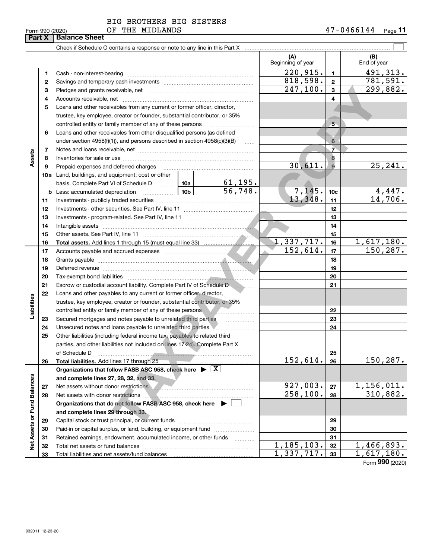|                 | BIG BROTHERS BIG SISTERS |            |                     |
|-----------------|--------------------------|------------|---------------------|
| Form 990 (2020) | OF THE MIDLANDS          | 47-0466144 | $P_{\text{aqe}}$ 11 |

|                             |    | Check if Schedule O contains a response or note to any line in this Part X                                                   |                 |                           |                          |                 |                               |
|-----------------------------|----|------------------------------------------------------------------------------------------------------------------------------|-----------------|---------------------------|--------------------------|-----------------|-------------------------------|
|                             |    |                                                                                                                              |                 |                           | (A)<br>Beginning of year |                 | (B)<br>End of year            |
|                             | 1  |                                                                                                                              |                 |                           | 220,915.                 | 1               | 491, 313.                     |
|                             | 2  |                                                                                                                              | 818,598.        | $\mathbf{2}$              | 781,591.                 |                 |                               |
|                             | 3  |                                                                                                                              | 247,100.        | 3                         | 299,882.                 |                 |                               |
|                             | 4  |                                                                                                                              |                 |                           |                          | 4               |                               |
|                             | 5  | Loans and other receivables from any current or former officer, director,                                                    |                 |                           |                          |                 |                               |
|                             |    | trustee, key employee, creator or founder, substantial contributor, or 35%                                                   |                 |                           |                          |                 |                               |
|                             |    | controlled entity or family member of any of these persons                                                                   |                 |                           |                          | 5               |                               |
|                             | 6  | Loans and other receivables from other disqualified persons (as defined                                                      |                 |                           |                          |                 |                               |
|                             |    | under section $4958(f)(1)$ , and persons described in section $4958(c)(3)(B)$                                                |                 | 1.1.1.1                   |                          | 6               |                               |
|                             | 7  |                                                                                                                              |                 |                           |                          | 7               |                               |
| Assets                      | 8  |                                                                                                                              |                 |                           |                          | 8               |                               |
|                             | 9  | Prepaid expenses and deferred charges                                                                                        |                 |                           | 30,611.                  | $\overline{9}$  | 25,241.                       |
|                             |    | <b>10a</b> Land, buildings, and equipment: cost or other                                                                     |                 |                           |                          |                 |                               |
|                             |    | basis. Complete Part VI of Schedule D  10a                                                                                   |                 | $\frac{61,195.}{56,748.}$ |                          |                 |                               |
|                             |    | <b>b</b> Less: accumulated depreciation<br>. 1                                                                               | 10 <sub>b</sub> |                           | 7,145.                   | 10 <sub>c</sub> | <u>4,447.</u>                 |
|                             | 11 |                                                                                                                              |                 |                           | 13,348.                  | 11              | 14,706.                       |
|                             | 12 |                                                                                                                              |                 |                           |                          | 12              |                               |
|                             | 13 | Investments - program-related. See Part IV, line 11                                                                          |                 | 13                        |                          |                 |                               |
|                             | 14 |                                                                                                                              |                 | 14                        |                          |                 |                               |
|                             | 15 |                                                                                                                              |                 | 15                        |                          |                 |                               |
|                             | 16 |                                                                                                                              |                 |                           | 1,337,717.               | 16              | 1,617,180.                    |
|                             | 17 |                                                                                                                              |                 |                           | 152,614.                 | 17              | 150,287.                      |
|                             | 18 |                                                                                                                              |                 | 18                        |                          |                 |                               |
|                             | 19 |                                                                                                                              |                 |                           |                          | 19              |                               |
|                             | 20 |                                                                                                                              |                 |                           |                          | 20              |                               |
|                             | 21 | Escrow or custodial account liability. Complete Part IV of Schedule D                                                        |                 |                           |                          | 21              |                               |
|                             | 22 | Loans and other payables to any current or former officer, director,                                                         |                 |                           |                          |                 |                               |
| Liabilities                 |    | trustee, key employee, creator or founder, substantial contributor, or 35%                                                   |                 |                           |                          | 22              |                               |
|                             | 23 | controlled entity or family member of any of these persons<br>Secured mortgages and notes payable to unrelated third parties |                 |                           |                          | 23              |                               |
|                             | 24 | Unsecured notes and loans payable to unrelated third parties                                                                 |                 |                           |                          | 24              |                               |
|                             | 25 | Other liabilities (including federal income tax, payables to related third                                                   |                 |                           |                          |                 |                               |
|                             |    | parties, and other liabilities not included on lines 17-24). Complete Part X                                                 |                 |                           |                          |                 |                               |
|                             |    | of Schedule D                                                                                                                |                 |                           |                          | 25              |                               |
|                             | 26 | Total liabilities. Add lines 17 through 25                                                                                   |                 |                           | 152, 614.                | 26              | 150,287.                      |
|                             |    | Organizations that follow FASB ASC 958, check here $\blacktriangleright \boxed{X}$                                           |                 |                           |                          |                 |                               |
|                             |    | and complete lines 27, 28, 32, and 33.                                                                                       |                 |                           |                          |                 |                               |
|                             | 27 | Net assets without donor restrictions                                                                                        |                 |                           | 927,003.                 | 27              | 1,156,011.                    |
|                             | 28 |                                                                                                                              |                 |                           | 258, 100.                | 28              | 310,882.                      |
|                             |    | Organizations that do not follow FASB ASC 958, check here $\blacktriangleright$                                              |                 |                           |                          |                 |                               |
|                             |    | and complete lines 29 through 33.                                                                                            |                 |                           |                          |                 |                               |
| Net Assets or Fund Balances | 29 |                                                                                                                              |                 |                           |                          | 29              |                               |
|                             | 30 | Paid-in or capital surplus, or land, building, or equipment fund                                                             |                 |                           |                          | 30              |                               |
|                             | 31 | Retained earnings, endowment, accumulated income, or other funds                                                             |                 |                           |                          | 31              |                               |
|                             | 32 |                                                                                                                              |                 |                           | $\overline{1,185,103.}$  | 32              | 1,466,893.                    |
|                             | 33 |                                                                                                                              |                 |                           | $\overline{1,337},717.$  | 33              | 1,617,180.<br>$000 \times 22$ |

Form (2020) **990**

# **Part X Balance Sheet**

|  | Form 990 (2020) |  |
|--|-----------------|--|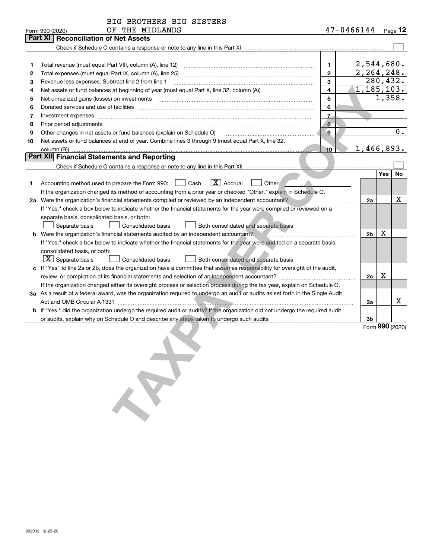|    | BIG BROTHERS BIG SISTERS                                                                                                                                                                                                       |                         |  |              |     |                        |
|----|--------------------------------------------------------------------------------------------------------------------------------------------------------------------------------------------------------------------------------|-------------------------|--|--------------|-----|------------------------|
|    | OF THE MIDLANDS<br>Form 990 (2020)                                                                                                                                                                                             |                         |  | 47-0466144   |     | $Page$ 12              |
|    | <b>Part XI   Reconciliation of Net Assets</b>                                                                                                                                                                                  |                         |  |              |     |                        |
|    |                                                                                                                                                                                                                                |                         |  |              |     |                        |
|    |                                                                                                                                                                                                                                |                         |  |              |     |                        |
| 1  |                                                                                                                                                                                                                                | $\mathbf{1}$            |  | 2,544,680.   |     |                        |
| 2  |                                                                                                                                                                                                                                | $\mathbf{2}$            |  | 2, 264, 248. |     |                        |
| 3  | Revenue less expenses. Subtract line 2 from line 1                                                                                                                                                                             | 3                       |  |              |     | $\overline{280,432}$ . |
| 4  |                                                                                                                                                                                                                                | $\overline{\mathbf{4}}$ |  | 1, 185, 103. |     |                        |
| 5  | Net unrealized gains (losses) on investments with an annumerous contract and a set of the set of the set of the                                                                                                                | 5                       |  |              |     | 1,358.                 |
| 6  |                                                                                                                                                                                                                                | 6                       |  |              |     |                        |
| 7  | Investment expenses www.communication.communication.com/www.communication.com/www.communication.com                                                                                                                            | $\mathbf{z}$            |  |              |     |                        |
| 8  | Prior period adjustments www.communication.communication.communication.com/                                                                                                                                                    | 8                       |  |              |     |                        |
| 9  | Other changes in net assets or fund balances (explain on Schedule O) [11] [11] Context context context context context context context context context context context context context context context context context context | 9                       |  |              |     | 0.                     |
| 10 | Net assets or fund balances at end of year. Combine lines 3 through 9 (must equal Part X, line 32,                                                                                                                             |                         |  |              |     |                        |
|    |                                                                                                                                                                                                                                | 10                      |  | 1,466,893.   |     |                        |
|    | <b>Part XII Financial Statements and Reporting</b>                                                                                                                                                                             |                         |  |              |     |                        |
|    | Check if Schedule O contains a response or note to any line in this Part XII must consume the container contains a matter of the state of the contains a response or note to any line in this Part XII must contain a containe |                         |  |              |     |                        |
|    |                                                                                                                                                                                                                                |                         |  |              | Yes | No                     |
| 1  | $\boxed{\textbf{X}}$ Accrual<br>Accounting method used to prepare the Form 990: <u>I</u> Cash<br>Other                                                                                                                         |                         |  |              |     |                        |
|    | If the organization changed its method of accounting from a prior year or checked "Other," explain in Schedule O.                                                                                                              |                         |  |              |     |                        |
|    | 2a Were the organization's financial statements compiled or reviewed by an independent accountant?                                                                                                                             |                         |  | 2a           |     | x                      |
|    | If "Yes," check a box below to indicate whether the financial statements for the year were compiled or reviewed on a                                                                                                           |                         |  |              |     |                        |
|    | separate basis, consolidated basis, or both:                                                                                                                                                                                   |                         |  |              |     |                        |
|    | Separate basis<br><b>Consolidated basis</b><br>Both consolidated and separate basis                                                                                                                                            |                         |  |              |     |                        |
|    | b Were the organization's financial statements audited by an independent accountant?                                                                                                                                           |                         |  |              | X   |                        |
|    | If "Yes," check a box below to indicate whether the financial statements for the year were audited on a separate basis,                                                                                                        |                         |  |              |     |                        |
|    | consolidated basis, or both:                                                                                                                                                                                                   |                         |  |              |     |                        |
|    | $\boxed{\textbf{X}}$ Separate basis<br><b>Consolidated basis</b><br>Both consolidated and separate basis                                                                                                                       |                         |  |              |     |                        |
|    | c If "Yes" to line 2a or 2b, does the organization have a committee that assumes responsibility for oversight of the audit,                                                                                                    |                         |  |              |     |                        |
|    |                                                                                                                                                                                                                                |                         |  | 2c           | х   |                        |
|    | If the organization changed either its oversight process or selection process during the tax year, explain on Schedule O.                                                                                                      |                         |  |              |     |                        |
|    | 3a As a result of a federal award, was the organization required to undergo an audit or audits as set forth in the Single Audit                                                                                                |                         |  |              |     |                        |
|    |                                                                                                                                                                                                                                |                         |  | 3a           |     | x                      |
|    | <b>b</b> If "Yes," did the organization undergo the required audit or audits? If the organization did not undergo the required audit                                                                                           |                         |  |              |     |                        |
|    |                                                                                                                                                                                                                                |                         |  | 3b           |     |                        |
|    |                                                                                                                                                                                                                                |                         |  |              |     | Form 990 (2020)        |
|    |                                                                                                                                                                                                                                |                         |  |              |     |                        |
|    |                                                                                                                                                                                                                                |                         |  |              |     |                        |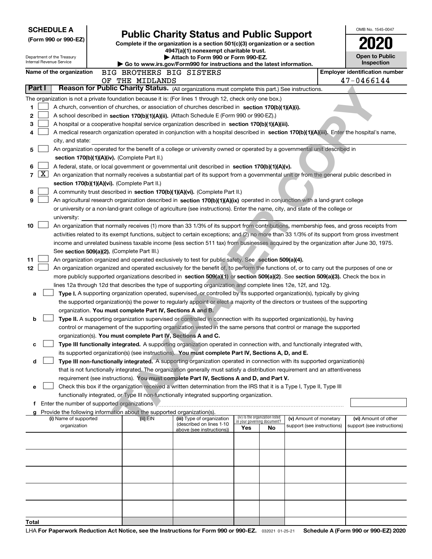| <b>SCHEDULE A</b>                             |  |                                                                                                                         |                                                                                                                                                                                                                                                      |                                    |    |                            | OMB No. 1545-0047 |                                       |  |
|-----------------------------------------------|--|-------------------------------------------------------------------------------------------------------------------------|------------------------------------------------------------------------------------------------------------------------------------------------------------------------------------------------------------------------------------------------------|------------------------------------|----|----------------------------|-------------------|---------------------------------------|--|
| (Form 990 or 990-EZ)                          |  | <b>Public Charity Status and Public Support</b>                                                                         |                                                                                                                                                                                                                                                      |                                    |    |                            |                   |                                       |  |
|                                               |  | Complete if the organization is a section 501(c)(3) organization or a section<br>4947(a)(1) nonexempt charitable trust. |                                                                                                                                                                                                                                                      |                                    |    |                            |                   |                                       |  |
| Department of the Treasury                    |  | Attach to Form 990 or Form 990-EZ.                                                                                      |                                                                                                                                                                                                                                                      |                                    |    |                            |                   | <b>Open to Public</b>                 |  |
| Internal Revenue Service                      |  |                                                                                                                         | Go to www.irs.gov/Form990 for instructions and the latest information.                                                                                                                                                                               |                                    |    |                            |                   | Inspection                            |  |
| Name of the organization                      |  | BIG BROTHERS BIG SISTERS                                                                                                |                                                                                                                                                                                                                                                      |                                    |    |                            |                   | <b>Employer identification number</b> |  |
| Part I                                        |  | OF THE MIDLANDS                                                                                                         |                                                                                                                                                                                                                                                      |                                    |    |                            |                   | 47-0466144                            |  |
|                                               |  |                                                                                                                         | Reason for Public Charity Status. (All organizations must complete this part.) See instructions.                                                                                                                                                     |                                    |    |                            |                   |                                       |  |
|                                               |  |                                                                                                                         | The organization is not a private foundation because it is: (For lines 1 through 12, check only one box.)                                                                                                                                            |                                    |    |                            |                   |                                       |  |
| 1                                             |  |                                                                                                                         | A church, convention of churches, or association of churches described in section 170(b)(1)(A)(i).                                                                                                                                                   |                                    |    |                            |                   |                                       |  |
| 2                                             |  |                                                                                                                         | A school described in section 170(b)(1)(A)(ii). (Attach Schedule E (Form 990 or 990-EZ).)                                                                                                                                                            |                                    |    |                            |                   |                                       |  |
| З                                             |  |                                                                                                                         | A hospital or a cooperative hospital service organization described in section 170(b)(1)(A)(iii).<br>A medical research organization operated in conjunction with a hospital described in section 170(b)(1)(A)(iii). Enter the hospital's name,      |                                    |    |                            |                   |                                       |  |
| city, and state:                              |  |                                                                                                                         |                                                                                                                                                                                                                                                      |                                    |    |                            |                   |                                       |  |
| 5                                             |  |                                                                                                                         | An organization operated for the benefit of a college or university owned or operated by a governmental unit described in                                                                                                                            |                                    |    |                            |                   |                                       |  |
|                                               |  | section 170(b)(1)(A)(iv). (Complete Part II.)                                                                           |                                                                                                                                                                                                                                                      |                                    |    |                            |                   |                                       |  |
| 6                                             |  |                                                                                                                         | A federal, state, or local government or governmental unit described in section 170(b)(1)(A)(v).                                                                                                                                                     |                                    |    |                            |                   |                                       |  |
| $\boxed{\text{X}}$<br>7                       |  |                                                                                                                         | An organization that normally receives a substantial part of its support from a governmental unit or from the general public described in                                                                                                            |                                    |    |                            |                   |                                       |  |
|                                               |  | section 170(b)(1)(A)(vi). (Complete Part II.)                                                                           |                                                                                                                                                                                                                                                      |                                    |    |                            |                   |                                       |  |
| 8                                             |  |                                                                                                                         | A community trust described in section 170(b)(1)(A)(vi). (Complete Part II.)                                                                                                                                                                         |                                    |    |                            |                   |                                       |  |
| 9                                             |  |                                                                                                                         | An agricultural research organization described in section 170(b)(1)(A)(ix) operated in conjunction with a land-grant college                                                                                                                        |                                    |    |                            |                   |                                       |  |
|                                               |  |                                                                                                                         | or university or a non-land-grant college of agriculture (see instructions). Enter the name, city, and state of the college or                                                                                                                       |                                    |    |                            |                   |                                       |  |
| university:                                   |  |                                                                                                                         |                                                                                                                                                                                                                                                      |                                    |    |                            |                   |                                       |  |
| 10                                            |  |                                                                                                                         | An organization that normally receives (1) more than 33 1/3% of its support from contributions, membership fees, and gross receipts from                                                                                                             |                                    |    |                            |                   |                                       |  |
|                                               |  |                                                                                                                         | activities related to its exempt functions, subject to certain exceptions; and (2) no more than 33 1/3% of its support from gross investment                                                                                                         |                                    |    |                            |                   |                                       |  |
|                                               |  |                                                                                                                         | income and unrelated business taxable income (less section 511 tax) from businesses acquired by the organization after June 30, 1975.                                                                                                                |                                    |    |                            |                   |                                       |  |
|                                               |  | See section 509(a)(2). (Complete Part III.)                                                                             |                                                                                                                                                                                                                                                      |                                    |    |                            |                   |                                       |  |
| 11                                            |  |                                                                                                                         | An organization organized and operated exclusively to test for public safety. See section 509(a)(4).                                                                                                                                                 |                                    |    |                            |                   |                                       |  |
| 12                                            |  |                                                                                                                         | An organization organized and operated exclusively for the benefit of, to perform the functions of, or to carry out the purposes of one or                                                                                                           |                                    |    |                            |                   |                                       |  |
|                                               |  |                                                                                                                         | more publicly supported organizations described in section 509(a)(1) or section 509(a)(2). See section 509(a)(3). Check the box in<br>lines 12a through 12d that describes the type of supporting organization and complete lines 12e, 12f, and 12g. |                                    |    |                            |                   |                                       |  |
| а                                             |  |                                                                                                                         | Type I. A supporting organization operated, supervised, or controlled by its supported organization(s), typically by giving                                                                                                                          |                                    |    |                            |                   |                                       |  |
|                                               |  |                                                                                                                         | the supported organization(s) the power to regularly appoint or elect a majority of the directors or trustees of the supporting                                                                                                                      |                                    |    |                            |                   |                                       |  |
|                                               |  | organization. You must complete Part IV, Sections A and B.                                                              |                                                                                                                                                                                                                                                      |                                    |    |                            |                   |                                       |  |
| b                                             |  |                                                                                                                         | Type II. A supporting organization supervised or controlled in connection with its supported organization(s), by having                                                                                                                              |                                    |    |                            |                   |                                       |  |
|                                               |  |                                                                                                                         | control or management of the supporting organization vested in the same persons that control or manage the supported                                                                                                                                 |                                    |    |                            |                   |                                       |  |
|                                               |  | organization(s). You must complete Part IV, Sections A and C.                                                           |                                                                                                                                                                                                                                                      |                                    |    |                            |                   |                                       |  |
| с                                             |  |                                                                                                                         | Type III functionally integrated. A supporting organization operated in connection with, and functionally integrated with,                                                                                                                           |                                    |    |                            |                   |                                       |  |
|                                               |  |                                                                                                                         | its supported organization(s) (see instructions). You must complete Part IV, Sections A, D, and E.                                                                                                                                                   |                                    |    |                            |                   |                                       |  |
| d                                             |  |                                                                                                                         | Type III non-functionally integrated. A supporting organization operated in connection with its supported organization(s)                                                                                                                            |                                    |    |                            |                   |                                       |  |
|                                               |  |                                                                                                                         | that is not functionally integrated. The organization generally must satisfy a distribution requirement and an attentiveness                                                                                                                         |                                    |    |                            |                   |                                       |  |
|                                               |  |                                                                                                                         | requirement (see instructions). You must complete Part IV, Sections A and D, and Part V.                                                                                                                                                             |                                    |    |                            |                   |                                       |  |
| е                                             |  |                                                                                                                         | Check this box if the organization received a written determination from the IRS that it is a Type I, Type II, Type III                                                                                                                              |                                    |    |                            |                   |                                       |  |
|                                               |  |                                                                                                                         | functionally integrated, or Type III non-functionally integrated supporting organization.                                                                                                                                                            |                                    |    |                            |                   |                                       |  |
| f Enter the number of supported organizations |  |                                                                                                                         |                                                                                                                                                                                                                                                      |                                    |    |                            |                   |                                       |  |
| (i) Name of supported                         |  | Provide the following information about the supported organization(s).<br>$(ii)$ EIN                                    | (iii) Type of organization                                                                                                                                                                                                                           | (iv) Is the organization listed    |    | (v) Amount of monetary     |                   | (vi) Amount of other                  |  |
| organization                                  |  |                                                                                                                         | (described on lines 1-10                                                                                                                                                                                                                             | in your governing document?<br>Yes | No | support (see instructions) |                   | support (see instructions)            |  |
|                                               |  |                                                                                                                         | above (see instructions))                                                                                                                                                                                                                            |                                    |    |                            |                   |                                       |  |
|                                               |  |                                                                                                                         |                                                                                                                                                                                                                                                      |                                    |    |                            |                   |                                       |  |
|                                               |  |                                                                                                                         |                                                                                                                                                                                                                                                      |                                    |    |                            |                   |                                       |  |
|                                               |  |                                                                                                                         |                                                                                                                                                                                                                                                      |                                    |    |                            |                   |                                       |  |
|                                               |  |                                                                                                                         |                                                                                                                                                                                                                                                      |                                    |    |                            |                   |                                       |  |
|                                               |  |                                                                                                                         |                                                                                                                                                                                                                                                      |                                    |    |                            |                   |                                       |  |
|                                               |  |                                                                                                                         |                                                                                                                                                                                                                                                      |                                    |    |                            |                   |                                       |  |
|                                               |  |                                                                                                                         |                                                                                                                                                                                                                                                      |                                    |    |                            |                   |                                       |  |
|                                               |  |                                                                                                                         |                                                                                                                                                                                                                                                      |                                    |    |                            |                   |                                       |  |
|                                               |  |                                                                                                                         |                                                                                                                                                                                                                                                      |                                    |    |                            |                   |                                       |  |
| Total                                         |  |                                                                                                                         |                                                                                                                                                                                                                                                      |                                    |    |                            |                   |                                       |  |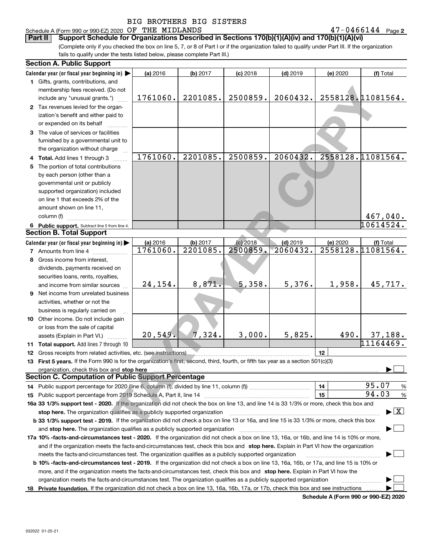### Schedule A (Form 990 or 990-EZ) 2020 Page OF THE MIDLANDS 47-0466144

**Part II Support Schedule for Organizations Described in Sections 170(b)(1)(A)(iv) and 170(b)(1)(A)(vi)**

(Complete only if you checked the box on line 5, 7, or 8 of Part I or if the organization failed to qualify under Part III. If the organization fails to qualify under the tests listed below, please complete Part III.)

|    | <b>Section A. Public Support</b>                                                                                                               |          |          |            |            |          |                                          |
|----|------------------------------------------------------------------------------------------------------------------------------------------------|----------|----------|------------|------------|----------|------------------------------------------|
|    | Calendar year (or fiscal year beginning in)                                                                                                    | (a) 2016 | (b) 2017 | $(c)$ 2018 | $(d)$ 2019 | (e) 2020 | (f) Total                                |
|    | 1 Gifts, grants, contributions, and                                                                                                            |          |          |            |            |          |                                          |
|    | membership fees received. (Do not                                                                                                              |          |          |            |            |          |                                          |
|    | include any "unusual grants.")                                                                                                                 | 1761060. | 2201085. | 2500859.   | 2060432.   |          | 2558128.11081564.                        |
|    | 2 Tax revenues levied for the organ-                                                                                                           |          |          |            |            |          |                                          |
|    | ization's benefit and either paid to                                                                                                           |          |          |            |            |          |                                          |
|    | or expended on its behalf                                                                                                                      |          |          |            |            |          |                                          |
|    | 3 The value of services or facilities                                                                                                          |          |          |            |            |          |                                          |
|    | furnished by a governmental unit to                                                                                                            |          |          |            |            |          |                                          |
|    | the organization without charge                                                                                                                |          |          |            |            |          |                                          |
|    | 4 Total. Add lines 1 through 3                                                                                                                 | 1761060. | 2201085. | 2500859.   | 2060432.   |          | 2558128.11081564.                        |
| 5. | The portion of total contributions                                                                                                             |          |          |            |            |          |                                          |
|    | by each person (other than a                                                                                                                   |          |          |            |            |          |                                          |
|    | governmental unit or publicly                                                                                                                  |          |          |            |            |          |                                          |
|    | supported organization) included                                                                                                               |          |          |            |            |          |                                          |
|    | on line 1 that exceeds 2% of the                                                                                                               |          |          |            |            |          |                                          |
|    | amount shown on line 11,                                                                                                                       |          |          |            |            |          |                                          |
|    |                                                                                                                                                |          |          |            |            |          |                                          |
|    | column (f)                                                                                                                                     |          |          |            |            |          | 467,040.<br>10614524.                    |
|    | 6 Public support. Subtract line 5 from line 4.<br><b>Section B. Total Support</b>                                                              |          |          |            |            |          |                                          |
|    |                                                                                                                                                |          |          |            |            |          |                                          |
|    | Calendar year (or fiscal year beginning in)                                                                                                    | (a) 2016 | (b) 2017 | $(c)$ 2018 | $(d)$ 2019 | (e) 2020 | (f) Total                                |
|    | <b>7</b> Amounts from line 4                                                                                                                   | 1761060. | 2201085. | 2500859.   | 2060432.   |          | 2558128.11081564.                        |
|    | 8 Gross income from interest,                                                                                                                  |          |          |            |            |          |                                          |
|    | dividends, payments received on                                                                                                                |          |          |            |            |          |                                          |
|    | securities loans, rents, royalties,                                                                                                            |          |          |            |            |          |                                          |
|    | and income from similar sources                                                                                                                | 24,154.  | 8,871.   | 5,358.     | 5,376.     | 1,958.   | 45,717.                                  |
|    | <b>9</b> Net income from unrelated business                                                                                                    |          |          |            |            |          |                                          |
|    | activities, whether or not the                                                                                                                 |          |          |            |            |          |                                          |
|    | business is regularly carried on                                                                                                               |          |          |            |            |          |                                          |
|    | 10 Other income. Do not include gain                                                                                                           |          |          |            |            |          |                                          |
|    | or loss from the sale of capital                                                                                                               |          |          |            |            |          |                                          |
|    | assets (Explain in Part VI.)                                                                                                                   | 20,549.  | 7,324.   | 3,000.     | 5,825.     | 490.     | 37,188.                                  |
|    | 11 Total support. Add lines 7 through 10                                                                                                       |          |          |            |            |          | 11164469.                                |
|    | 12 Gross receipts from related activities, etc. (see instructions)                                                                             |          |          |            |            | 12       |                                          |
|    | 13 First 5 years. If the Form 990 is for the organization's first, second, third, fourth, or fifth tax year as a section 501(c)(3)             |          |          |            |            |          |                                          |
|    | organization, check this box and stop here                                                                                                     |          |          |            |            |          |                                          |
|    | <b>Section C. Computation of Public Support Percentage</b>                                                                                     |          |          |            |            |          |                                          |
|    |                                                                                                                                                |          |          |            |            | 14       | 95.07<br>%                               |
|    |                                                                                                                                                |          |          |            |            | 15       | 94.03<br>%                               |
|    | 16a 33 1/3% support test - 2020. If the organization did not check the box on line 13, and line 14 is 33 1/3% or more, check this box and      |          |          |            |            |          |                                          |
|    | stop here. The organization qualifies as a publicly supported organization                                                                     |          |          |            |            |          | $\blacktriangleright$ $\boxed{\text{X}}$ |
|    | b 33 1/3% support test - 2019. If the organization did not check a box on line 13 or 16a, and line 15 is 33 1/3% or more, check this box       |          |          |            |            |          |                                          |
|    | and stop here. The organization qualifies as a publicly supported organization                                                                 |          |          |            |            |          |                                          |
|    | 17a 10% -facts-and-circumstances test - 2020. If the organization did not check a box on line 13, 16a, or 16b, and line 14 is 10% or more,     |          |          |            |            |          |                                          |
|    |                                                                                                                                                |          |          |            |            |          |                                          |
|    | and if the organization meets the facts-and-circumstances test, check this box and stop here. Explain in Part VI how the organization          |          |          |            |            |          |                                          |
|    | meets the facts-and-circumstances test. The organization qualifies as a publicly supported organization                                        |          |          |            |            |          |                                          |
|    | <b>b 10% -facts-and-circumstances test - 2019.</b> If the organization did not check a box on line 13, 16a, 16b, or 17a, and line 15 is 10% or |          |          |            |            |          |                                          |
|    | more, and if the organization meets the facts-and-circumstances test, check this box and stop here. Explain in Part VI how the                 |          |          |            |            |          |                                          |
|    | organization meets the facts-and-circumstances test. The organization qualifies as a publicly supported organization                           |          |          |            |            |          |                                          |
|    | 18 Private foundation. If the organization did not check a box on line 13, 16a, 16b, 17a, or 17b, check this box and see instructions          |          |          |            |            |          |                                          |

**Schedule A (Form 990 or 990-EZ) 2020**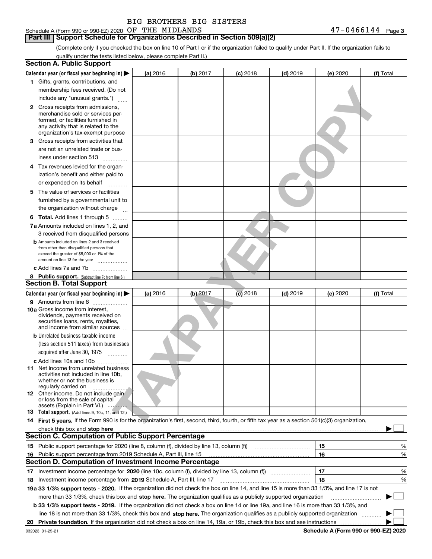### **Part III Support Schedule for Organizations Described in Section 509(a)(2)**

(Complete only if you checked the box on line 10 of Part I or if the organization failed to qualify under Part II. If the organization fails to qualify under the tests listed below, please complete Part II.)

|     | <b>Section A. Public Support</b>                                                                                                                                                                                                                                                                  |          |          |            |            |          |             |
|-----|---------------------------------------------------------------------------------------------------------------------------------------------------------------------------------------------------------------------------------------------------------------------------------------------------|----------|----------|------------|------------|----------|-------------|
|     | Calendar year (or fiscal year beginning in) $\blacktriangleright$                                                                                                                                                                                                                                 | (a) 2016 | (b) 2017 | $(c)$ 2018 | $(d)$ 2019 | (e) 2020 | (f) Total   |
|     | 1 Gifts, grants, contributions, and                                                                                                                                                                                                                                                               |          |          |            |            |          |             |
|     | membership fees received. (Do not                                                                                                                                                                                                                                                                 |          |          |            |            |          |             |
|     | include any "unusual grants.")                                                                                                                                                                                                                                                                    |          |          |            |            |          |             |
|     | <b>2</b> Gross receipts from admissions,                                                                                                                                                                                                                                                          |          |          |            |            |          |             |
|     | merchandise sold or services per-                                                                                                                                                                                                                                                                 |          |          |            |            |          |             |
|     | formed, or facilities furnished in                                                                                                                                                                                                                                                                |          |          |            |            |          |             |
|     | any activity that is related to the<br>organization's tax-exempt purpose                                                                                                                                                                                                                          |          |          |            |            |          |             |
|     | 3 Gross receipts from activities that                                                                                                                                                                                                                                                             |          |          |            |            |          |             |
|     | are not an unrelated trade or bus-                                                                                                                                                                                                                                                                |          |          |            |            |          |             |
|     | iness under section 513                                                                                                                                                                                                                                                                           |          |          |            |            |          |             |
|     | 4 Tax revenues levied for the organ-                                                                                                                                                                                                                                                              |          |          |            |            |          |             |
|     | ization's benefit and either paid to                                                                                                                                                                                                                                                              |          |          |            |            |          |             |
|     | or expended on its behalf                                                                                                                                                                                                                                                                         |          |          |            |            |          |             |
|     | 5 The value of services or facilities                                                                                                                                                                                                                                                             |          |          |            |            |          |             |
|     | furnished by a governmental unit to                                                                                                                                                                                                                                                               |          |          |            |            |          |             |
|     | the organization without charge                                                                                                                                                                                                                                                                   |          |          |            |            |          |             |
|     |                                                                                                                                                                                                                                                                                                   |          |          |            |            |          |             |
|     | <b>6 Total.</b> Add lines 1 through 5                                                                                                                                                                                                                                                             |          |          |            |            |          |             |
|     | 7a Amounts included on lines 1, 2, and                                                                                                                                                                                                                                                            |          |          |            |            |          |             |
|     | 3 received from disqualified persons                                                                                                                                                                                                                                                              |          |          |            |            |          |             |
|     | <b>b</b> Amounts included on lines 2 and 3 received<br>from other than disqualified persons that                                                                                                                                                                                                  |          |          |            |            |          |             |
|     | exceed the greater of \$5,000 or 1% of the                                                                                                                                                                                                                                                        |          |          |            |            |          |             |
|     | amount on line 13 for the year                                                                                                                                                                                                                                                                    |          |          |            |            |          |             |
|     | c Add lines 7a and 7b                                                                                                                                                                                                                                                                             |          |          |            |            |          |             |
|     | 8 Public support. (Subtract line 7c from line 6.)                                                                                                                                                                                                                                                 |          |          |            |            |          |             |
|     | <b>Section B. Total Support</b>                                                                                                                                                                                                                                                                   |          |          |            |            |          |             |
|     | Calendar year (or fiscal year beginning in)                                                                                                                                                                                                                                                       | (a) 2016 | (b) 2017 | $(c)$ 2018 | $(d)$ 2019 | (e) 2020 | (f) Total   |
|     | 9 Amounts from line 6                                                                                                                                                                                                                                                                             |          |          |            |            |          |             |
|     | <b>10a</b> Gross income from interest,                                                                                                                                                                                                                                                            |          |          |            |            |          |             |
|     | dividends, payments received on<br>securities loans, rents, royalties,                                                                                                                                                                                                                            |          |          |            |            |          |             |
|     | and income from similar sources                                                                                                                                                                                                                                                                   |          |          |            |            |          |             |
|     | <b>b</b> Unrelated business taxable income                                                                                                                                                                                                                                                        |          |          |            |            |          |             |
|     | (less section 511 taxes) from businesses                                                                                                                                                                                                                                                          |          |          |            |            |          |             |
|     | acquired after June 30, 1975                                                                                                                                                                                                                                                                      |          |          |            |            |          |             |
|     | c Add lines 10a and 10b                                                                                                                                                                                                                                                                           |          |          |            |            |          |             |
|     | 11 Net income from unrelated business                                                                                                                                                                                                                                                             |          |          |            |            |          |             |
|     | activities not included in line 10b,                                                                                                                                                                                                                                                              |          |          |            |            |          |             |
|     | whether or not the business is<br>regularly carried on                                                                                                                                                                                                                                            |          |          |            |            |          |             |
|     | <b>12</b> Other income. Do not include gain                                                                                                                                                                                                                                                       |          |          |            |            |          |             |
|     | or loss from the sale of capital                                                                                                                                                                                                                                                                  |          |          |            |            |          |             |
|     | assets (Explain in Part VI.)                                                                                                                                                                                                                                                                      |          |          |            |            |          |             |
|     | 13 Total support. (Add lines 9, 10c, 11, and 12.)                                                                                                                                                                                                                                                 |          |          |            |            |          |             |
|     | 14 First 5 years. If the Form 990 is for the organization's first, second, third, fourth, or fifth tax year as a section 501(c)(3) organization,                                                                                                                                                  |          |          |            |            |          |             |
|     | check this box and stop here <i>macuum content and accordination and accordination and</i> stop here and stop here and stop the state of the state of the state of the state of the state of the state of the state of the state of<br><b>Section C. Computation of Public Support Percentage</b> |          |          |            |            |          |             |
|     |                                                                                                                                                                                                                                                                                                   |          |          |            |            |          |             |
|     | 15 Public support percentage for 2020 (line 8, column (f), divided by line 13, column (f))                                                                                                                                                                                                        |          |          |            |            | 15       | %           |
| 16. | Public support percentage from 2019 Schedule A, Part III, line 15<br><b>Section D. Computation of Investment Income Percentage</b>                                                                                                                                                                |          |          |            |            | 16       | %           |
|     |                                                                                                                                                                                                                                                                                                   |          |          |            |            |          |             |
|     | 17 Investment income percentage for 2020 (line 10c, column (f), divided by line 13, column (f))                                                                                                                                                                                                   |          |          |            |            | 17       | %           |
|     | 18 Investment income percentage from 2019 Schedule A, Part III, line 17                                                                                                                                                                                                                           |          |          |            |            | 18       | %           |
|     | 19a 33 1/3% support tests - 2020. If the organization did not check the box on line 14, and line 15 is more than 33 1/3%, and line 17 is not                                                                                                                                                      |          |          |            |            |          |             |
|     | more than 33 1/3%, check this box and stop here. The organization qualifies as a publicly supported organization                                                                                                                                                                                  |          |          |            |            |          | $\sim$<br>▶ |
|     | b 33 1/3% support tests - 2019. If the organization did not check a box on line 14 or line 19a, and line 16 is more than 33 1/3%, and                                                                                                                                                             |          |          |            |            |          |             |
|     | line 18 is not more than 33 1/3%, check this box and stop here. The organization qualifies as a publicly supported organization                                                                                                                                                                   |          |          |            |            |          |             |
| 20  | Private foundation. If the organization did not check a box on line 14, 19a, or 19b, check this box and see instructions                                                                                                                                                                          |          |          |            |            |          |             |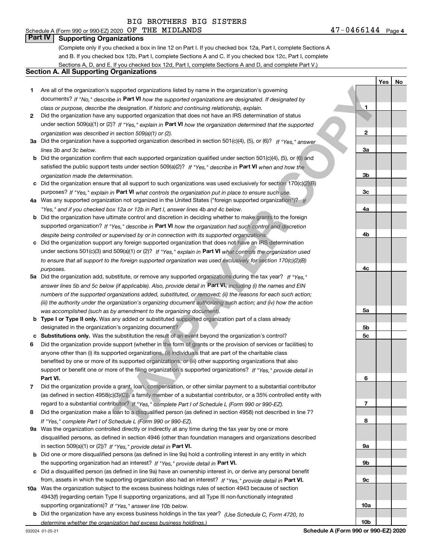### Schedule A (Form 990 or 990-EZ) 2020 Page OF THE MIDLANDS 47-0466144

**1**

**2**

**3a**

**3b**

**3c**

**4a**

**4b**

**4c**

**YesNo**

### **Part IV Supporting Organizations**

(Complete only if you checked a box in line 12 on Part I. If you checked box 12a, Part I, complete Sections A and B. If you checked box 12b, Part I, complete Sections A and C. If you checked box 12c, Part I, complete Sections A, D, and E. If you checked box 12d, Part I, complete Sections A and D, and complete Part V.)

### **Section A. All Supporting Organizations**

- **1** Are all of the organization's supported organizations listed by name in the organization's governing documents? If "No," describe in **Part VI** how the supported organizations are designated. If designated by *class or purpose, describe the designation. If historic and continuing relationship, explain.*
- **2** Did the organization have any supported organization that does not have an IRS determination of status under section 509(a)(1) or (2)? If "Yes," explain in Part VI how the organization determined that the supported *organization was described in section 509(a)(1) or (2).*
- **3a** Did the organization have a supported organization described in section 501(c)(4), (5), or (6)? If "Yes," answer *lines 3b and 3c below.*
- **b** Did the organization confirm that each supported organization qualified under section 501(c)(4), (5), or (6) and satisfied the public support tests under section 509(a)(2)? If "Yes," describe in **Part VI** when and how the *organization made the determination.*
- **c**Did the organization ensure that all support to such organizations was used exclusively for section 170(c)(2)(B) purposes? If "Yes," explain in **Part VI** what controls the organization put in place to ensure such use.
- **4a** Was any supported organization not organized in the United States ("foreign supported organization")? *If "Yes," and if you checked box 12a or 12b in Part I, answer lines 4b and 4c below.*
- **b** Did the organization have ultimate control and discretion in deciding whether to make grants to the foreign supported organization? If "Yes," describe in **Part VI** how the organization had such control and discretion *despite being controlled or supervised by or in connection with its supported organizations.*
- **c** Did the organization support any foreign supported organization that does not have an IRS determination under sections 501(c)(3) and 509(a)(1) or (2)? If "Yes," explain in **Part VI** what controls the organization used *to ensure that all support to the foreign supported organization was used exclusively for section 170(c)(2)(B) purposes.*
- **5a***If "Yes,"* Did the organization add, substitute, or remove any supported organizations during the tax year? answer lines 5b and 5c below (if applicable). Also, provide detail in **Part VI,** including (i) the names and EIN *numbers of the supported organizations added, substituted, or removed; (ii) the reasons for each such action; (iii) the authority under the organization's organizing document authorizing such action; and (iv) how the action was accomplished (such as by amendment to the organizing document).*
- **b** Type I or Type II only. Was any added or substituted supported organization part of a class already designated in the organization's organizing document?
- **cSubstitutions only.**  Was the substitution the result of an event beyond the organization's control?
- **6** Did the organization provide support (whether in the form of grants or the provision of services or facilities) to **Part VI.** *If "Yes," provide detail in* support or benefit one or more of the filing organization's supported organizations? anyone other than (i) its supported organizations, (ii) individuals that are part of the charitable class benefited by one or more of its supported organizations, or (iii) other supporting organizations that also **Explored to maximization is listed by rame in the organization and coverning of the system of the maximization of the maximization of the proported by suspected organization for the maximization of status and consider the**
- **7**Did the organization provide a grant, loan, compensation, or other similar payment to a substantial contributor *If "Yes," complete Part I of Schedule L (Form 990 or 990-EZ).* regard to a substantial contributor? (as defined in section 4958(c)(3)(C)), a family member of a substantial contributor, or a 35% controlled entity with
- **8** Did the organization make a loan to a disqualified person (as defined in section 4958) not described in line 7? *If "Yes," complete Part I of Schedule L (Form 990 or 990-EZ).*
- **9a** Was the organization controlled directly or indirectly at any time during the tax year by one or more in section 509(a)(1) or (2))? If "Yes," *provide detail in* <code>Part VI.</code> disqualified persons, as defined in section 4946 (other than foundation managers and organizations described
- **b** Did one or more disqualified persons (as defined in line 9a) hold a controlling interest in any entity in which the supporting organization had an interest? If "Yes," provide detail in P**art VI**.
- **c**Did a disqualified person (as defined in line 9a) have an ownership interest in, or derive any personal benefit from, assets in which the supporting organization also had an interest? If "Yes," provide detail in P**art VI.**
- **10a** Was the organization subject to the excess business holdings rules of section 4943 because of section supporting organizations)? If "Yes," answer line 10b below. 4943(f) (regarding certain Type II supporting organizations, and all Type III non-functionally integrated
- **b** Did the organization have any excess business holdings in the tax year? (Use Schedule C, Form 4720, to *determine whether the organization had excess business holdings.)*

**5a5b5c6789a 9b9c10a10b**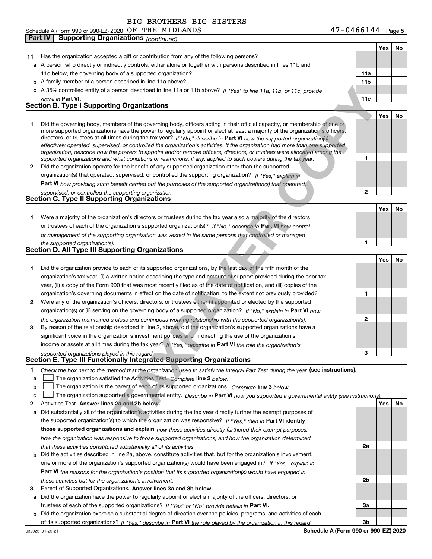**Part IV Supporting Organizations** *(continued)*

|             |                                                                                                                                                                                                                                                                                                                                                                                                                                                                                                                                                                                                                                                                                                                                                                          |     | Yes | No |
|-------------|--------------------------------------------------------------------------------------------------------------------------------------------------------------------------------------------------------------------------------------------------------------------------------------------------------------------------------------------------------------------------------------------------------------------------------------------------------------------------------------------------------------------------------------------------------------------------------------------------------------------------------------------------------------------------------------------------------------------------------------------------------------------------|-----|-----|----|
|             | 11 Has the organization accepted a gift or contribution from any of the following persons?                                                                                                                                                                                                                                                                                                                                                                                                                                                                                                                                                                                                                                                                               |     |     |    |
|             | a A person who directly or indirectly controls, either alone or together with persons described in lines 11b and                                                                                                                                                                                                                                                                                                                                                                                                                                                                                                                                                                                                                                                         |     |     |    |
|             | 11c below, the governing body of a supported organization?                                                                                                                                                                                                                                                                                                                                                                                                                                                                                                                                                                                                                                                                                                               | 11a |     |    |
|             | <b>b</b> A family member of a person described in line 11a above?                                                                                                                                                                                                                                                                                                                                                                                                                                                                                                                                                                                                                                                                                                        | 11b |     |    |
|             | c A 35% controlled entity of a person described in line 11a or 11b above? If "Yes" to line 11a, 11b, or 11c, provide                                                                                                                                                                                                                                                                                                                                                                                                                                                                                                                                                                                                                                                     |     |     |    |
|             | detail in Part VI.                                                                                                                                                                                                                                                                                                                                                                                                                                                                                                                                                                                                                                                                                                                                                       | 11c |     |    |
|             | <b>Section B. Type I Supporting Organizations</b>                                                                                                                                                                                                                                                                                                                                                                                                                                                                                                                                                                                                                                                                                                                        |     |     |    |
|             |                                                                                                                                                                                                                                                                                                                                                                                                                                                                                                                                                                                                                                                                                                                                                                          |     | Yes | No |
| 1           | Did the governing body, members of the governing body, officers acting in their official capacity, or membership of one or<br>more supported organizations have the power to regularly appoint or elect at least a majority of the organization's officers,<br>directors, or trustees at all times during the tax year? If "No," describe in Part VI how the supported organization(s)<br>effectively operated, supervised, or controlled the organization's activities. If the organization had more than one supported<br>organization, describe how the powers to appoint and/or remove officers, directors, or trustees were allocated among the<br>supported organizations and what conditions or restrictions, if any, applied to such powers during the tax year. | 1   |     |    |
| 2           | Did the organization operate for the benefit of any supported organization other than the supported                                                                                                                                                                                                                                                                                                                                                                                                                                                                                                                                                                                                                                                                      |     |     |    |
|             | organization(s) that operated, supervised, or controlled the supporting organization? If "Yes," explain in                                                                                                                                                                                                                                                                                                                                                                                                                                                                                                                                                                                                                                                               |     |     |    |
|             | Part VI how providing such benefit carried out the purposes of the supported organization(s) that operated,                                                                                                                                                                                                                                                                                                                                                                                                                                                                                                                                                                                                                                                              |     |     |    |
|             | supervised, or controlled the supporting organization.                                                                                                                                                                                                                                                                                                                                                                                                                                                                                                                                                                                                                                                                                                                   | 2   |     |    |
|             | Section C. Type II Supporting Organizations                                                                                                                                                                                                                                                                                                                                                                                                                                                                                                                                                                                                                                                                                                                              |     |     |    |
|             |                                                                                                                                                                                                                                                                                                                                                                                                                                                                                                                                                                                                                                                                                                                                                                          |     | Yes | No |
| 1.          | Were a majority of the organization's directors or trustees during the tax year also a majority of the directors                                                                                                                                                                                                                                                                                                                                                                                                                                                                                                                                                                                                                                                         |     |     |    |
|             | or trustees of each of the organization's supported organization(s)? If "No," describe in Part VI how control                                                                                                                                                                                                                                                                                                                                                                                                                                                                                                                                                                                                                                                            |     |     |    |
|             | or management of the supporting organization was vested in the same persons that controlled or managed                                                                                                                                                                                                                                                                                                                                                                                                                                                                                                                                                                                                                                                                   |     |     |    |
|             | the supported organization(s).                                                                                                                                                                                                                                                                                                                                                                                                                                                                                                                                                                                                                                                                                                                                           | 1   |     |    |
|             | Section D. All Type III Supporting Organizations                                                                                                                                                                                                                                                                                                                                                                                                                                                                                                                                                                                                                                                                                                                         |     |     |    |
|             |                                                                                                                                                                                                                                                                                                                                                                                                                                                                                                                                                                                                                                                                                                                                                                          |     | Yes | No |
| 1           | Did the organization provide to each of its supported organizations, by the last day of the fifth month of the                                                                                                                                                                                                                                                                                                                                                                                                                                                                                                                                                                                                                                                           |     |     |    |
|             | organization's tax year, (i) a written notice describing the type and amount of support provided during the prior tax                                                                                                                                                                                                                                                                                                                                                                                                                                                                                                                                                                                                                                                    |     |     |    |
|             | year, (ii) a copy of the Form 990 that was most recently filed as of the date of notification, and (iii) copies of the                                                                                                                                                                                                                                                                                                                                                                                                                                                                                                                                                                                                                                                   |     |     |    |
|             | organization's governing documents in effect on the date of notification, to the extent not previously provided?                                                                                                                                                                                                                                                                                                                                                                                                                                                                                                                                                                                                                                                         | 1   |     |    |
| 2           | Were any of the organization's officers, directors, or trustees either (i) appointed or elected by the supported                                                                                                                                                                                                                                                                                                                                                                                                                                                                                                                                                                                                                                                         |     |     |    |
|             | organization(s) or (ii) serving on the governing body of a supported organization? If "No," explain in Part VI how                                                                                                                                                                                                                                                                                                                                                                                                                                                                                                                                                                                                                                                       |     |     |    |
|             | the organization maintained a close and continuous working relationship with the supported organization(s).                                                                                                                                                                                                                                                                                                                                                                                                                                                                                                                                                                                                                                                              | 2   |     |    |
| 3           | By reason of the relationship described in line 2, above, did the organization's supported organizations have a                                                                                                                                                                                                                                                                                                                                                                                                                                                                                                                                                                                                                                                          |     |     |    |
|             | significant voice in the organization's investment policies and in directing the use of the organization's                                                                                                                                                                                                                                                                                                                                                                                                                                                                                                                                                                                                                                                               |     |     |    |
|             | income or assets at all times during the tax year? If "Yes," describe in Part VI the role the organization's                                                                                                                                                                                                                                                                                                                                                                                                                                                                                                                                                                                                                                                             |     |     |    |
|             | supported organizations played in this regard.                                                                                                                                                                                                                                                                                                                                                                                                                                                                                                                                                                                                                                                                                                                           | 3   |     |    |
|             | Section E. Type III Functionally Integrated Supporting Organizations                                                                                                                                                                                                                                                                                                                                                                                                                                                                                                                                                                                                                                                                                                     |     |     |    |
| 1<br>a<br>b | Check the box next to the method that the organization used to satisfy the Integral Part Test during the year (see instructions).<br>The organization satisfied the Activities Test. Complete line 2 below.<br>The organization is the parent of each of its supported organizations. Complete line 3 below.                                                                                                                                                                                                                                                                                                                                                                                                                                                             |     |     |    |
| c           | The organization supported a governmental entity. Describe in Part VI how you supported a governmental entity (see instructions).                                                                                                                                                                                                                                                                                                                                                                                                                                                                                                                                                                                                                                        |     |     |    |
| 2           | Activities Test. Answer lines 2a and 2b below.                                                                                                                                                                                                                                                                                                                                                                                                                                                                                                                                                                                                                                                                                                                           |     | Yes | No |
| а           | Did substantially all of the organization's activities during the tax year directly further the exempt purposes of                                                                                                                                                                                                                                                                                                                                                                                                                                                                                                                                                                                                                                                       |     |     |    |
|             | the supported organization(s) to which the organization was responsive? If "Yes." then in Part VI identify                                                                                                                                                                                                                                                                                                                                                                                                                                                                                                                                                                                                                                                               |     |     |    |
|             | those supported organizations and explain how these activities directly furthered their exempt purposes,                                                                                                                                                                                                                                                                                                                                                                                                                                                                                                                                                                                                                                                                 |     |     |    |
|             | how the organization was responsive to those supported organizations, and how the organization determined                                                                                                                                                                                                                                                                                                                                                                                                                                                                                                                                                                                                                                                                |     |     |    |
|             | that these activities constituted substantially all of its activities.                                                                                                                                                                                                                                                                                                                                                                                                                                                                                                                                                                                                                                                                                                   | 2a  |     |    |
|             | <b>b</b> Did the activities described in line 2a, above, constitute activities that, but for the organization's involvement,                                                                                                                                                                                                                                                                                                                                                                                                                                                                                                                                                                                                                                             |     |     |    |
|             | one or more of the organization's supported organization(s) would have been engaged in? If "Yes," explain in                                                                                                                                                                                                                                                                                                                                                                                                                                                                                                                                                                                                                                                             |     |     |    |
|             | <b>Part VI</b> the reasons for the organization's position that its supported organization(s) would have engaged in                                                                                                                                                                                                                                                                                                                                                                                                                                                                                                                                                                                                                                                      |     |     |    |
|             | these activities but for the organization's involvement.                                                                                                                                                                                                                                                                                                                                                                                                                                                                                                                                                                                                                                                                                                                 | 2b  |     |    |
| 3           | Parent of Supported Organizations. Answer lines 3a and 3b below.                                                                                                                                                                                                                                                                                                                                                                                                                                                                                                                                                                                                                                                                                                         |     |     |    |
| а           | Did the organization have the power to regularly appoint or elect a majority of the officers, directors, or                                                                                                                                                                                                                                                                                                                                                                                                                                                                                                                                                                                                                                                              |     |     |    |
|             | trustees of each of the supported organizations? If "Yes" or "No" provide details in Part VI.                                                                                                                                                                                                                                                                                                                                                                                                                                                                                                                                                                                                                                                                            | За  |     |    |
|             | <b>b</b> Did the organization exercise a substantial degree of direction over the policies, programs, and activities of each                                                                                                                                                                                                                                                                                                                                                                                                                                                                                                                                                                                                                                             |     |     |    |
|             | of its supported organizations? If "Yes." describe in Part VI the role played by the organization in this regard.                                                                                                                                                                                                                                                                                                                                                                                                                                                                                                                                                                                                                                                        | 3b  |     |    |
|             | Schedule A (Form 990 or 990-EZ) 2020<br>032025 01-25-21                                                                                                                                                                                                                                                                                                                                                                                                                                                                                                                                                                                                                                                                                                                  |     |     |    |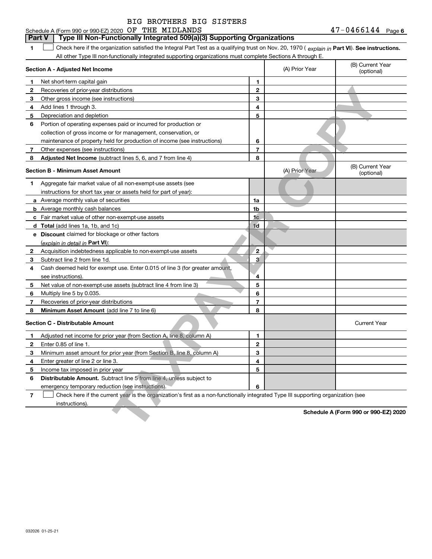#### **1Part VI** Check here if the organization satisfied the Integral Part Test as a qualifying trust on Nov. 20, 1970 ( explain in Part **VI**). See instructions. **Section A - Adjusted Net Income 123** Other gross income (see instructions) **4**Add lines 1 through 3. **56** Portion of operating expenses paid or incurred for production or **78** Adjusted Net Income (subtract lines 5, 6, and 7 from line 4) **8 8 1234567Section B - Minimum Asset Amount 1**Aggregate fair market value of all non-exempt-use assets (see **2**Acquisition indebtedness applicable to non-exempt-use assets **3** Subtract line 2 from line 1d. **4**Cash deemed held for exempt use. Enter 0.015 of line 3 (for greater amount, **5** Net value of non-exempt-use assets (subtract line 4 from line 3) **678a** Average monthly value of securities **b** Average monthly cash balances **c**Fair market value of other non-exempt-use assets **dTotal**  (add lines 1a, 1b, and 1c) **eDiscount** claimed for blockage or other factors **1a1b1c1d2345678**(explain in detail in Part VI): **Minimum Asset Amount**  (add line 7 to line 6) **Section C - Distributable Amount 12345612345Distributable Amount.** Subtract line 5 from line 4, unless subject to Schedule A (Form 990 or 990-EZ) 2020 Page OF THE MIDLANDS 47-0466144 All other Type III non-functionally integrated supporting organizations must complete Sections A through E. (B) Current Year (optional)(A) Prior Year Net short-term capital gain Recoveries of prior-year distributions Depreciation and depletion collection of gross income or for management, conservation, or maintenance of property held for production of income (see instructions) Other expenses (see instructions) (B) Current Year (optional)(A) Prior Year instructions for short tax year or assets held for part of year): see instructions). Multiply line 5 by 0.035. Recoveries of prior-year distributions Current Year Adjusted net income for prior year (from Section A, line 8, column A) Enter 0.85 of line 1. Minimum asset amount for prior year (from Section B, line 8, column A) Enter greater of line 2 or line 3. Income tax imposed in prior year **Part V** Type III Non-Functionally Integrated 509(a)(3) Supporting Organizations  $\mathcal{L}^{\text{max}}$ **Procedured and Controllering Controllering Controllering Controllering Controllering Controllering Controllering Controllering Controllering Controllering Controllering Controllering Controllering Controllering Controlle**

emergency temporary reduction (see instructions).

**7**Check here if the current year is the organization's first as a non-functionally integrated Type III supporting organization (see instructions). $\mathcal{L}^{\text{max}}$ 

**6**

**Schedule A (Form 990 or 990-EZ) 2020**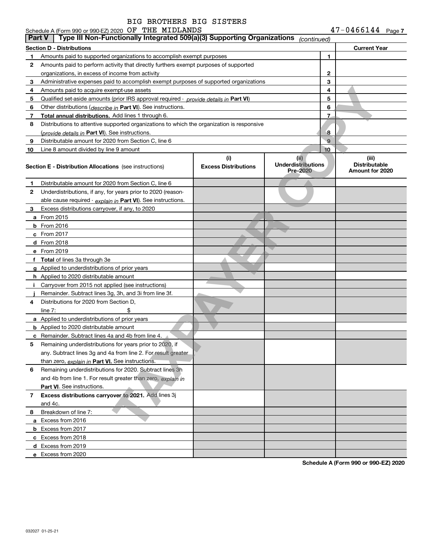| Type III Non-Functionally Integrated 509(a)(3) Supporting Organizations<br><b>Part V</b><br>(continued) |                                                                                                 |                                    |                                        |    |                                                  |  |  |  |  |
|---------------------------------------------------------------------------------------------------------|-------------------------------------------------------------------------------------------------|------------------------------------|----------------------------------------|----|--------------------------------------------------|--|--|--|--|
| <b>Section D - Distributions</b><br><b>Current Year</b>                                                 |                                                                                                 |                                    |                                        |    |                                                  |  |  |  |  |
| 1                                                                                                       | Amounts paid to supported organizations to accomplish exempt purposes                           |                                    | 1                                      |    |                                                  |  |  |  |  |
| 2                                                                                                       | Amounts paid to perform activity that directly furthers exempt purposes of supported            |                                    |                                        |    |                                                  |  |  |  |  |
|                                                                                                         | organizations, in excess of income from activity                                                |                                    |                                        | 2  |                                                  |  |  |  |  |
| 3                                                                                                       | Administrative expenses paid to accomplish exempt purposes of supported organizations           |                                    |                                        | 3  |                                                  |  |  |  |  |
| 4                                                                                                       | Amounts paid to acquire exempt-use assets                                                       |                                    |                                        | 4  |                                                  |  |  |  |  |
| 5                                                                                                       | Qualified set aside amounts (prior IRS approval required - provide details in Part VI)          |                                    |                                        | 5  |                                                  |  |  |  |  |
| 6                                                                                                       | Other distributions (describe in Part VI). See instructions.                                    |                                    |                                        | 6  |                                                  |  |  |  |  |
| 7                                                                                                       | Total annual distributions. Add lines 1 through 6.                                              |                                    |                                        | 7. |                                                  |  |  |  |  |
| 8                                                                                                       | Distributions to attentive supported organizations to which the organization is responsive      |                                    |                                        |    |                                                  |  |  |  |  |
|                                                                                                         | (provide details in Part VI). See instructions.                                                 |                                    |                                        | 8  |                                                  |  |  |  |  |
| 9                                                                                                       | Distributable amount for 2020 from Section C, line 6                                            |                                    |                                        | 9  |                                                  |  |  |  |  |
| 10                                                                                                      | Line 8 amount divided by line 9 amount                                                          |                                    |                                        | 10 |                                                  |  |  |  |  |
|                                                                                                         | <b>Section E - Distribution Allocations</b> (see instructions)                                  | (i)<br><b>Excess Distributions</b> | (ii)<br>Underdistributions<br>Pre-2020 |    | (iii)<br><b>Distributable</b><br>Amount for 2020 |  |  |  |  |
| 1                                                                                                       | Distributable amount for 2020 from Section C, line 6                                            |                                    |                                        |    |                                                  |  |  |  |  |
| 2                                                                                                       | Underdistributions, if any, for years prior to 2020 (reason-                                    |                                    |                                        |    |                                                  |  |  |  |  |
|                                                                                                         | able cause required - explain in Part VI). See instructions.                                    |                                    |                                        |    |                                                  |  |  |  |  |
| 3                                                                                                       | Excess distributions carryover, if any, to 2020                                                 |                                    |                                        |    |                                                  |  |  |  |  |
|                                                                                                         | a From 2015                                                                                     |                                    |                                        |    |                                                  |  |  |  |  |
|                                                                                                         | <b>b</b> From 2016                                                                              |                                    |                                        |    |                                                  |  |  |  |  |
|                                                                                                         | c From 2017                                                                                     |                                    |                                        |    |                                                  |  |  |  |  |
|                                                                                                         | d From 2018                                                                                     |                                    |                                        |    |                                                  |  |  |  |  |
|                                                                                                         | e From 2019                                                                                     |                                    |                                        |    |                                                  |  |  |  |  |
|                                                                                                         | f Total of lines 3a through 3e                                                                  |                                    |                                        |    |                                                  |  |  |  |  |
|                                                                                                         | g Applied to underdistributions of prior years                                                  |                                    |                                        |    |                                                  |  |  |  |  |
|                                                                                                         | <b>h</b> Applied to 2020 distributable amount                                                   |                                    |                                        |    |                                                  |  |  |  |  |
| Ť.                                                                                                      | Carryover from 2015 not applied (see instructions)                                              |                                    |                                        |    |                                                  |  |  |  |  |
|                                                                                                         | Remainder. Subtract lines 3g, 3h, and 3i from line 3f.                                          |                                    |                                        |    |                                                  |  |  |  |  |
| 4                                                                                                       | Distributions for 2020 from Section D,                                                          |                                    |                                        |    |                                                  |  |  |  |  |
|                                                                                                         | line $7:$                                                                                       |                                    |                                        |    |                                                  |  |  |  |  |
|                                                                                                         | a Applied to underdistributions of prior years<br><b>b</b> Applied to 2020 distributable amount |                                    |                                        |    |                                                  |  |  |  |  |
|                                                                                                         | c Remainder. Subtract lines 4a and 4b from line 4.                                              |                                    |                                        |    |                                                  |  |  |  |  |
|                                                                                                         | 5 Remaining underdistributions for years prior to 2020, if                                      |                                    |                                        |    |                                                  |  |  |  |  |
|                                                                                                         | any. Subtract lines 3g and 4a from line 2. For result greater                                   |                                    |                                        |    |                                                  |  |  |  |  |
|                                                                                                         | than zero, explain in Part VI. See instructions.                                                |                                    |                                        |    |                                                  |  |  |  |  |
| 6                                                                                                       | Remaining underdistributions for 2020. Subtract lines 3h                                        |                                    |                                        |    |                                                  |  |  |  |  |
|                                                                                                         | and 4b from line 1. For result greater than zero, explain in                                    |                                    |                                        |    |                                                  |  |  |  |  |
|                                                                                                         | Part VI. See instructions.                                                                      |                                    |                                        |    |                                                  |  |  |  |  |
| 7                                                                                                       | Excess distributions carryover to 2021. Add lines 3j                                            |                                    |                                        |    |                                                  |  |  |  |  |
|                                                                                                         | and 4c.                                                                                         |                                    |                                        |    |                                                  |  |  |  |  |
| 8                                                                                                       | Breakdown of line 7:                                                                            |                                    |                                        |    |                                                  |  |  |  |  |
|                                                                                                         | a Excess from 2016                                                                              |                                    |                                        |    |                                                  |  |  |  |  |
|                                                                                                         | <b>b</b> Excess from 2017                                                                       |                                    |                                        |    |                                                  |  |  |  |  |
|                                                                                                         | c Excess from 2018                                                                              |                                    |                                        |    |                                                  |  |  |  |  |
|                                                                                                         | d Excess from 2019                                                                              |                                    |                                        |    |                                                  |  |  |  |  |
|                                                                                                         | e Excess from 2020                                                                              |                                    |                                        |    |                                                  |  |  |  |  |
|                                                                                                         |                                                                                                 |                                    |                                        |    |                                                  |  |  |  |  |

**Schedule A (Form 990 or 990-EZ) 2020**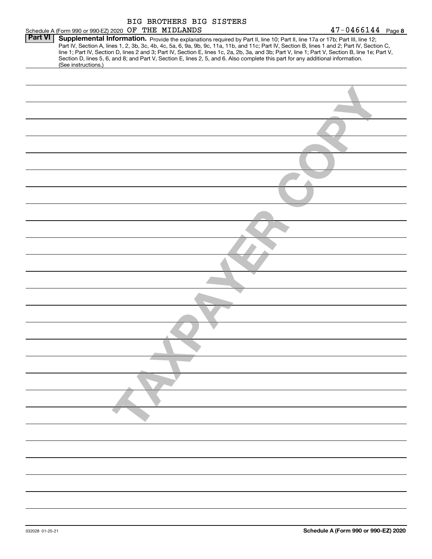|                |                                                      | BIG BROTHERS BIG SISTERS |                                                                                                                                                                                                                                                                                     |                       |
|----------------|------------------------------------------------------|--------------------------|-------------------------------------------------------------------------------------------------------------------------------------------------------------------------------------------------------------------------------------------------------------------------------------|-----------------------|
| <b>Part VI</b> | Schedule A (Form 990 or 990-EZ) 2020 OF THE MIDLANDS |                          | Supplemental Information. Provide the explanations required by Part II, line 10; Part II, line 17a or 17b; Part III, line 12;<br>Part IV, Section A, lines 1, 2, 3b, 3c, 4b, 4c, 5a, 6, 9a, 9b, 9c, 11a, 11b, and 11c; Part IV, Section B, lines 1 and 2; Part IV, Section C,       | $47 - 0466144$ Page 8 |
|                | (See instructions.)                                  |                          | line 1; Part IV, Section D, lines 2 and 3; Part IV, Section E, lines 1c, 2a, 2b, 3a, and 3b; Part V, line 1; Part V, Section B, line 1e; Part V,<br>Section D, lines 5, 6, and 8; and Part V, Section E, lines 2, 5, and 6. Also complete this part for any additional information. |                       |
|                |                                                      |                          |                                                                                                                                                                                                                                                                                     |                       |
|                |                                                      |                          |                                                                                                                                                                                                                                                                                     |                       |
|                |                                                      |                          |                                                                                                                                                                                                                                                                                     |                       |
|                |                                                      |                          |                                                                                                                                                                                                                                                                                     |                       |
|                |                                                      |                          |                                                                                                                                                                                                                                                                                     |                       |
|                |                                                      |                          |                                                                                                                                                                                                                                                                                     |                       |
|                |                                                      |                          |                                                                                                                                                                                                                                                                                     |                       |
|                |                                                      |                          |                                                                                                                                                                                                                                                                                     |                       |
|                |                                                      |                          |                                                                                                                                                                                                                                                                                     |                       |
|                |                                                      |                          |                                                                                                                                                                                                                                                                                     |                       |
|                |                                                      |                          |                                                                                                                                                                                                                                                                                     |                       |
|                |                                                      |                          |                                                                                                                                                                                                                                                                                     |                       |
|                |                                                      |                          |                                                                                                                                                                                                                                                                                     |                       |
|                |                                                      |                          |                                                                                                                                                                                                                                                                                     |                       |
|                |                                                      |                          |                                                                                                                                                                                                                                                                                     |                       |
|                |                                                      |                          |                                                                                                                                                                                                                                                                                     |                       |
|                |                                                      |                          |                                                                                                                                                                                                                                                                                     |                       |
|                |                                                      |                          |                                                                                                                                                                                                                                                                                     |                       |
|                |                                                      |                          |                                                                                                                                                                                                                                                                                     |                       |
|                |                                                      |                          |                                                                                                                                                                                                                                                                                     |                       |
|                |                                                      |                          |                                                                                                                                                                                                                                                                                     |                       |
|                |                                                      |                          |                                                                                                                                                                                                                                                                                     |                       |
|                |                                                      |                          |                                                                                                                                                                                                                                                                                     |                       |
|                |                                                      |                          |                                                                                                                                                                                                                                                                                     |                       |
|                |                                                      |                          |                                                                                                                                                                                                                                                                                     |                       |
|                |                                                      |                          |                                                                                                                                                                                                                                                                                     |                       |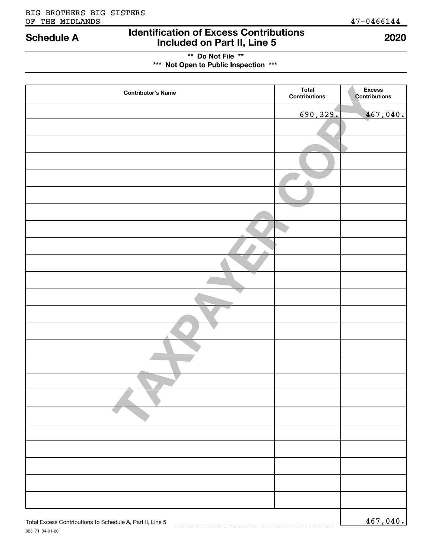## **Identification of Excess Contributions Included on Part II, Line 5 Schedule A 2020**

## **\*\* Do Not File \*\* \*\*\* Not Open to Public Inspection \*\*\***

| <b>Contributor's Name</b>                                 | <b>Total</b><br>Contributions | <b>Excess</b><br><b>Contributions</b> |
|-----------------------------------------------------------|-------------------------------|---------------------------------------|
|                                                           | 690,329.                      | 467,040.                              |
|                                                           |                               |                                       |
|                                                           |                               |                                       |
|                                                           |                               |                                       |
|                                                           |                               |                                       |
|                                                           |                               |                                       |
|                                                           |                               |                                       |
|                                                           |                               |                                       |
|                                                           |                               |                                       |
|                                                           |                               |                                       |
|                                                           |                               |                                       |
|                                                           |                               |                                       |
|                                                           |                               |                                       |
|                                                           |                               |                                       |
|                                                           |                               |                                       |
|                                                           |                               |                                       |
|                                                           |                               |                                       |
|                                                           |                               |                                       |
|                                                           |                               |                                       |
|                                                           |                               |                                       |
|                                                           |                               |                                       |
|                                                           |                               |                                       |
|                                                           |                               |                                       |
|                                                           |                               |                                       |
| Total Excess Contributions to Schedule A, Part II, Line 5 |                               | 467,040.                              |

023171 04-01-20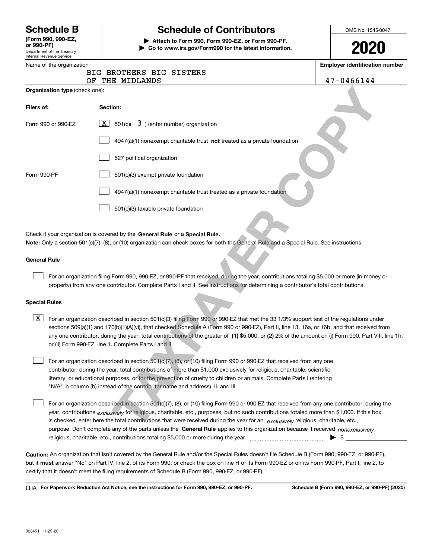Department of the Treasury **(Form 990, 990-EZ, or 990-PF)**

# **Schedule B Schedule of Contributors**

**| Attach to Form 990, Form 990-EZ, or Form 990-PF. | Go to www.irs.gov/Form990 for the latest information.** OMB No. 1545-0047

**2020**

| Internal Revenue Service                                                                                                                                                                                                                                                                                                                                                                                                                                                                                                                                                            |                                                                                                                                                                                                                                                                                                                                                                                                                                                                                                           |                                       |  |  |  |  |  |
|-------------------------------------------------------------------------------------------------------------------------------------------------------------------------------------------------------------------------------------------------------------------------------------------------------------------------------------------------------------------------------------------------------------------------------------------------------------------------------------------------------------------------------------------------------------------------------------|-----------------------------------------------------------------------------------------------------------------------------------------------------------------------------------------------------------------------------------------------------------------------------------------------------------------------------------------------------------------------------------------------------------------------------------------------------------------------------------------------------------|---------------------------------------|--|--|--|--|--|
| Name of the organization                                                                                                                                                                                                                                                                                                                                                                                                                                                                                                                                                            |                                                                                                                                                                                                                                                                                                                                                                                                                                                                                                           | <b>Employer identification number</b> |  |  |  |  |  |
| OF                                                                                                                                                                                                                                                                                                                                                                                                                                                                                                                                                                                  | BIG BROTHERS BIG SISTERS<br>THE MIDLANDS                                                                                                                                                                                                                                                                                                                                                                                                                                                                  | 47-0466144                            |  |  |  |  |  |
| Organization type (check one):                                                                                                                                                                                                                                                                                                                                                                                                                                                                                                                                                      |                                                                                                                                                                                                                                                                                                                                                                                                                                                                                                           |                                       |  |  |  |  |  |
| Filers of:                                                                                                                                                                                                                                                                                                                                                                                                                                                                                                                                                                          | Section:                                                                                                                                                                                                                                                                                                                                                                                                                                                                                                  |                                       |  |  |  |  |  |
| Form 990 or 990-EZ                                                                                                                                                                                                                                                                                                                                                                                                                                                                                                                                                                  | $\lfloor x \rfloor$<br>501(c)( $\overline{3}$ ) (enter number) organization                                                                                                                                                                                                                                                                                                                                                                                                                               |                                       |  |  |  |  |  |
|                                                                                                                                                                                                                                                                                                                                                                                                                                                                                                                                                                                     | $4947(a)(1)$ nonexempt charitable trust not treated as a private foundation                                                                                                                                                                                                                                                                                                                                                                                                                               |                                       |  |  |  |  |  |
|                                                                                                                                                                                                                                                                                                                                                                                                                                                                                                                                                                                     | 527 political organization                                                                                                                                                                                                                                                                                                                                                                                                                                                                                |                                       |  |  |  |  |  |
| Form 990-PF                                                                                                                                                                                                                                                                                                                                                                                                                                                                                                                                                                         | 501(c)(3) exempt private foundation                                                                                                                                                                                                                                                                                                                                                                                                                                                                       |                                       |  |  |  |  |  |
|                                                                                                                                                                                                                                                                                                                                                                                                                                                                                                                                                                                     | 4947(a)(1) nonexempt charitable trust treated as a private foundation                                                                                                                                                                                                                                                                                                                                                                                                                                     |                                       |  |  |  |  |  |
|                                                                                                                                                                                                                                                                                                                                                                                                                                                                                                                                                                                     | 501(c)(3) taxable private foundation                                                                                                                                                                                                                                                                                                                                                                                                                                                                      |                                       |  |  |  |  |  |
|                                                                                                                                                                                                                                                                                                                                                                                                                                                                                                                                                                                     |                                                                                                                                                                                                                                                                                                                                                                                                                                                                                                           |                                       |  |  |  |  |  |
|                                                                                                                                                                                                                                                                                                                                                                                                                                                                                                                                                                                     | Check if your organization is covered by the General Rule or a Special Rule.<br>Note: Only a section 501(c)(7), (8), or (10) organization can check boxes for both the General Rule and a Special Rule. See instructions.                                                                                                                                                                                                                                                                                 |                                       |  |  |  |  |  |
|                                                                                                                                                                                                                                                                                                                                                                                                                                                                                                                                                                                     |                                                                                                                                                                                                                                                                                                                                                                                                                                                                                                           |                                       |  |  |  |  |  |
| General Rule                                                                                                                                                                                                                                                                                                                                                                                                                                                                                                                                                                        |                                                                                                                                                                                                                                                                                                                                                                                                                                                                                                           |                                       |  |  |  |  |  |
|                                                                                                                                                                                                                                                                                                                                                                                                                                                                                                                                                                                     | For an organization filing Form 990, 990-EZ, or 990-PF that received, during the year, contributions totaling \$5,000 or more (in money or<br>property) from any one contributor. Complete Parts I and II. See instructions for determining a contributor's total contributions.                                                                                                                                                                                                                          |                                       |  |  |  |  |  |
| Special Rules                                                                                                                                                                                                                                                                                                                                                                                                                                                                                                                                                                       |                                                                                                                                                                                                                                                                                                                                                                                                                                                                                                           |                                       |  |  |  |  |  |
| $\lfloor x \rfloor$                                                                                                                                                                                                                                                                                                                                                                                                                                                                                                                                                                 | For an organization described in section 501(c)(3) filing Form 990 or 990 EZ that met the 33 1/3% support test of the regulations under<br>sections 509(a)(1) and 170(b)(1)(A)(vi), that checked Schedule A (Form 990 or 990-EZ), Part II, line 13, 16a, or 16b, and that received from<br>any one contributor, during the year, total contributions of the greater of (1) \$5,000; or (2) 2% of the amount on (i) Form 990, Part VIII, line 1h;<br>or (ii) Form 990-EZ, line 1. Complete Parts I and II. |                                       |  |  |  |  |  |
|                                                                                                                                                                                                                                                                                                                                                                                                                                                                                                                                                                                     | For an organization described in section 501(c)(7), (8), or (10) filing Form 990 or 990-EZ that received from any one<br>contributor, during the year, total contributions of more than \$1,000 exclusively for religious, charitable, scientific,<br>literary, or educational purposes, or for the prevention of cruelty to children or animals. Complete Parts I (entering<br>"N/A" in column (b) instead of the contributor name and address), II, and III.                                            |                                       |  |  |  |  |  |
| For an organization described in section 501(c)(7), (8), or (10) filing Form 990 or 990-EZ that received from any one contributor, during the<br>year, contributions exclusively for religious, charitable, etc., purposes, but no such contributions totaled more than \$1,000. If this box<br>is checked, enter here the total contributions that were received during the year for an exclusively religious, charitable, etc.,<br>purpose. Don't complete any of the parts unless the <b>General Rule</b> applies to this organization because it received <i>poperclusively</i> |                                                                                                                                                                                                                                                                                                                                                                                                                                                                                                           |                                       |  |  |  |  |  |

purpose. Don't complete any of the parts unless the **General Rule** applies to this organization because it received *nonexclusively* religious, charitable, etc., contributions totaling \$5,000 or more during the year  $\ldots$  $\ldots$  $\ldots$  $\ldots$  $\ldots$  $\ldots$ 

**Caution:**  An organization that isn't covered by the General Rule and/or the Special Rules doesn't file Schedule B (Form 990, 990-EZ, or 990-PF),  **must** but it answer "No" on Part IV, line 2, of its Form 990; or check the box on line H of its Form 990-EZ or on its Form 990-PF, Part I, line 2, to certify that it doesn't meet the filing requirements of Schedule B (Form 990, 990-EZ, or 990-PF).

**For Paperwork Reduction Act Notice, see the instructions for Form 990, 990-EZ, or 990-PF. Schedule B (Form 990, 990-EZ, or 990-PF) (2020)** LHA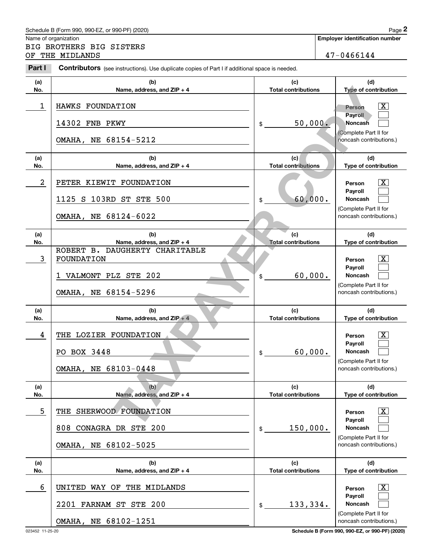### Schedule B (Form 990, 990-EZ, or 990-PF) (2020) **Page 2** Page 2 and the state of the state of the state of the state of the state of the state of the state of the state of the state of the state of the state of the state o

Name of organization

BIG BROTHERS BIG SISTERS OF THE MIDLANDS  $\vert$  47-0466144

**(a)No.(b)Name, address, and ZIP + 4 (c)Total contributions (d)Type of contribution PersonPayrollNoncash (a)No.(b)Name, address, and ZIP + 4 (c)Total contributions (d)Type of contribution PersonPayrollNoncash (a)No.(b)Name, address, and ZIP + 4 (c)Total contributions (d) Type of contribution PersonPayrollNoncash (a)No.(b)Name, address, and ZIP + 4 (c) Total contributions (d)Type of contribution PersonPayrollNoncash (a)No.(b)Name, address, and ZIP + 4 (c)Total contributions (d)Type of contribution PersonPayrollNoncash (a)No.(b)Name, address, and ZIP + 4 (c)Total contributions (d)Type of contribution PersonPayrollNoncash Contributors** (see instructions). Use duplicate copies of Part I if additional space is needed. \$(Complete Part II for noncash contributions.) \$(Complete Part II for noncash contributions.) \$(Complete Part II for noncash contributions.) \$(Complete Part II for noncash contributions.) \$(Complete Part II for noncash contributions.) \$(Complete Part II for noncash contributions.) Chedule B (Form 990, 990-EZ, or 990-PF) (2020)<br> **2Part I 2Part I Contributors** (see instructions). Use duplicate copies of Part I if additional space is needed.<br> **2Part I Contributors** (see instructions). Use duplica  $\lceil \text{X} \rceil$  $\mathcal{L}^{\text{max}}$  $\mathcal{L}^{\text{max}}$  $\boxed{\text{X}}$  $\mathcal{L}^{\text{max}}$  $\mathcal{L}^{\text{max}}$  $\lceil \text{X} \rceil$  $\mathcal{L}^{\text{max}}$  $\mathcal{L}^{\text{max}}$  $|X|$  $\mathcal{L}^{\text{max}}$  $\mathcal{L}^{\text{max}}$  $|X|$  $\mathcal{L}^{\text{max}}$  $\mathcal{L}^{\text{max}}$  $\boxed{\text{X}}$  $\mathcal{L}^{\text{max}}$  $\mathcal{L}^{\text{max}}$ **Name, address, and ZIP +4**<br>
Mome, and ZIP +4<br>
Mome, and ZIP +4<br>
TOUNDATION<br>
Name, and ZIP +4<br>
TOUNDATION<br>
DEST STE 500<br>
Name, and ZIP +4<br>
TOUNDATION<br>
DEST STE 202<br>
Name, and ZIP +4<br>
Total contributions<br>
Total contribution 1 | HAWKS FOUNDATION 50,000. 14302 FNB PKWY OMAHA, NE 68154-5212 2 PETER KIEWIT FOUNDATION AND RESOLUTION AND RESOLUTION AND RESOLUTION 60,000. 1125 S 103RD ST STE 500 OMAHA, NE 68124-6022 3 FOUNDATION Research 2 and 2 and 2 and 2 and 2 and 2 and 2 and 2 and 2 and 2 and 2 and 2 and 2 and 2 and 2 and 2 and 2 and 2 and 2 and 2 and 2 and 2 and 2 and 2 and 2 and 2 and 2 and 2 and 2 and 2 and 2 and 2 and 2 and 2 60,000. ROBERT B. DAUGHERTY CHARITABLE 1 VALMONT PLZ STE 202 OMAHA, NE 68154-5296 4 THE LOZIER FOUNDATION AND RESOLUTION AND RESOLUTION AND RESOLUTION AND RESOLUTION AND RESOLUTION AND RESOLUTION 60,000. PO BOX 3448 OMAHA, NE 68103-0448 5 THE SHERWOOD FOUNDATION FOUNDATION 150,000. 808 CONAGRA DR STE 200 OMAHA, NE 68102-5025 6 UNITED WAY OF THE MIDLANDS THE SERVICE SERVICE SERVICE SERVICE SERVICE SERVICE SERVICE SERVICE SERVICE SERVICE 133,334. 2201 FARNAM ST STE 200 OMAHA, NE 68102-1251

023452 11-25-20 **Schedule B (Form 990, 990-EZ, or 990-PF) (2020)**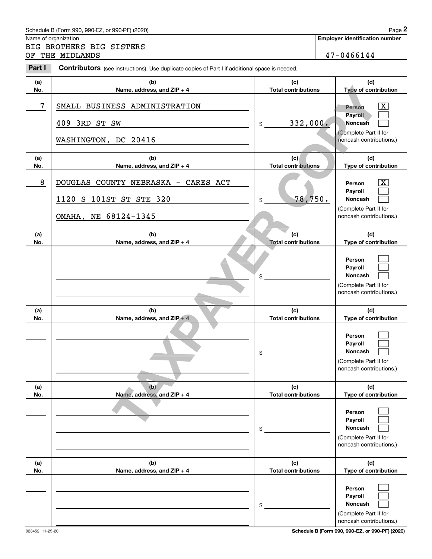|            | Schedule B (Form 990, 990-EZ, or 990-PF) (2020)                                                |                                   | Page 2                                                                                  |
|------------|------------------------------------------------------------------------------------------------|-----------------------------------|-----------------------------------------------------------------------------------------|
|            | Name of organization                                                                           |                                   | <b>Employer identification number</b>                                                   |
|            | BIG BROTHERS BIG SISTERS<br>OF THE MIDLANDS                                                    |                                   | 47-0466144                                                                              |
| Part I     | Contributors (see instructions). Use duplicate copies of Part I if additional space is needed. |                                   |                                                                                         |
| (a)        | (b)                                                                                            | (c)                               | (d)                                                                                     |
| No.        | Name, address, and ZIP + 4                                                                     | <b>Total contributions</b>        | Type of contribution                                                                    |
| 7          | SMALL BUSINESS ADMINISTRATION                                                                  |                                   | X<br>Person<br>Payroll                                                                  |
|            | 409 3RD ST SW<br>WASHINGTON, DC 20416                                                          | 332,000.<br>$\mathsf{\$}$         | Noncash<br>(Complete Part II for<br>noncash contributions.)                             |
|            |                                                                                                |                                   |                                                                                         |
| (a)<br>No. | (b)<br>Name, address, and ZIP + 4                                                              | (c)<br><b>Total contributions</b> | (d)<br>Type of contribution                                                             |
| 8          | DOUGLAS COUNTY NEBRASKA - CARES ACT                                                            |                                   | х<br>Person<br>Payroll                                                                  |
|            | 1120 S 101ST ST STE 320                                                                        | 78,750.<br>\$                     | <b>Noncash</b><br>(Complete Part II for                                                 |
|            | OMAHA, NE 68124-1345                                                                           |                                   | noncash contributions.)                                                                 |
| (a)<br>No. | (b)<br>Name, address, and ZIP + 4                                                              | (c)<br><b>Total contributions</b> | (d)<br>Type of contribution                                                             |
|            |                                                                                                | \$                                | Person<br>Payroll<br><b>Noncash</b><br>(Complete Part II for<br>noncash contributions.) |
| (a)<br>No. | (b)<br>Name, address, and $ZIP + 4$                                                            | (c)<br><b>Total contributions</b> | (d)<br>Type of contribution                                                             |
|            |                                                                                                | \$                                | Person<br>Payroll<br><b>Noncash</b><br>(Complete Part II for<br>noncash contributions.) |
| (a)<br>No. | (b)<br>Name, address, and ZIP + 4                                                              | (c)<br><b>Total contributions</b> | (d)<br>Type of contribution                                                             |
|            |                                                                                                | \$                                | Person<br>Payroll<br><b>Noncash</b><br>(Complete Part II for<br>noncash contributions.) |
| (a)<br>No. | (b)<br>Name, address, and ZIP + 4                                                              | (c)<br><b>Total contributions</b> | (d)<br>Type of contribution                                                             |
|            |                                                                                                | \$                                | Person<br>Payroll<br>Noncash<br>(Complete Part II for<br>noncash contributions.)        |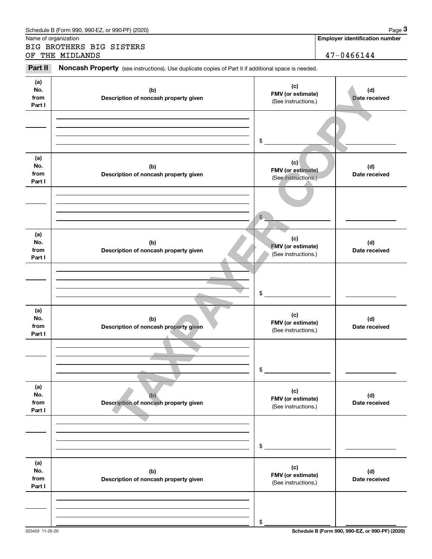|                              | Schedule B (Form 990, 990-EZ, or 990-PF) (2020)<br>Name of organization                             |                                                 | Page 3<br><b>Employer identification number</b> |
|------------------------------|-----------------------------------------------------------------------------------------------------|-------------------------------------------------|-------------------------------------------------|
|                              | BIG BROTHERS BIG SISTERS<br>OF THE MIDLANDS                                                         |                                                 | $47 - 0466144$                                  |
| Part II                      | Noncash Property (see instructions). Use duplicate copies of Part II if additional space is needed. |                                                 |                                                 |
| (a)<br>No.<br>from<br>Part I | (b)<br>Description of noncash property given                                                        | (c)<br>FMV (or estimate)<br>(See instructions.) | (d)<br><b>Date received</b>                     |
|                              |                                                                                                     | \$                                              |                                                 |
| (a)<br>No.<br>from<br>Part I | (b)<br>Description of noncash property given                                                        | (c)<br>FMV (or estimate)<br>(See instructions.) | (d)<br>Date received                            |
|                              |                                                                                                     | $\frac{1}{2}$                                   |                                                 |
| (a)<br>No.<br>from<br>Part I | (b)<br>Description of noncash property given                                                        | (c)<br>FMV (or estimate)<br>(See instructions.) | (d)<br>Date received                            |
|                              |                                                                                                     | \$                                              |                                                 |
| (a)<br>No.<br>from<br>Part I | (b)<br>Description of noncash property given                                                        | (c)<br>FMV (or estimate)<br>(See instructions.) | (d)<br>Date received                            |
|                              |                                                                                                     | \$                                              |                                                 |
| (a)<br>No.<br>from<br>Part I | (b)<br>Description of noncash property given                                                        | (c)<br>FMV (or estimate)<br>(See instructions.) | (d)<br>Date received                            |
|                              |                                                                                                     | \$                                              |                                                 |
| (a)<br>No.<br>from<br>Part I | (b)<br>Description of noncash property given                                                        | (c)<br>FMV (or estimate)<br>(See instructions.) | (d)<br>Date received                            |
|                              |                                                                                                     |                                                 |                                                 |
|                              |                                                                                                     | \$                                              |                                                 |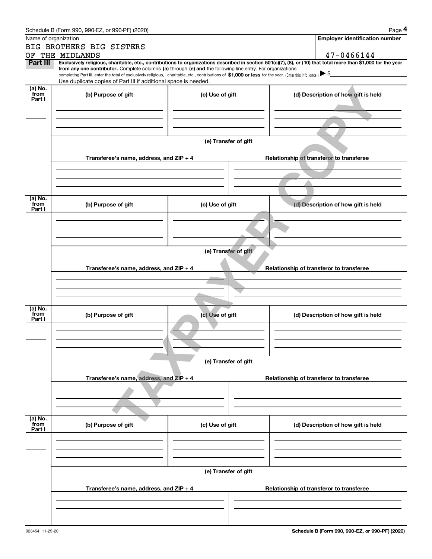|                 | Schedule B (Form 990, 990-EZ, or 990-PF) (2020)                                                                                                                                                                                                      |                      | Page 4                                                                                                                                                         |  |  |  |  |  |
|-----------------|------------------------------------------------------------------------------------------------------------------------------------------------------------------------------------------------------------------------------------------------------|----------------------|----------------------------------------------------------------------------------------------------------------------------------------------------------------|--|--|--|--|--|
|                 | Name of organization                                                                                                                                                                                                                                 |                      | <b>Employer identification number</b>                                                                                                                          |  |  |  |  |  |
|                 | BIG BROTHERS BIG SISTERS                                                                                                                                                                                                                             |                      |                                                                                                                                                                |  |  |  |  |  |
| OF              | THE MIDLANDS                                                                                                                                                                                                                                         |                      | 47-0466144                                                                                                                                                     |  |  |  |  |  |
| Part III        | from any one contributor. Complete columns (a) through (e) and the following line entry. For organizations                                                                                                                                           |                      | Exclusively religious, charitable, etc., contributions to organizations described in section 501(c)(7), (8), or (10) that total more than \$1,000 for the year |  |  |  |  |  |
|                 | completing Part III, enter the total of exclusively religious, charitable, etc., contributions of \$1,000 or less for the year. (Enter this info. once.) $\blacktriangleright$ \$<br>Use duplicate copies of Part III if additional space is needed. |                      |                                                                                                                                                                |  |  |  |  |  |
| (a) No.         |                                                                                                                                                                                                                                                      |                      |                                                                                                                                                                |  |  |  |  |  |
| from<br>Part I  | (b) Purpose of gift                                                                                                                                                                                                                                  | (c) Use of gift      | (d) Description of how gift is held                                                                                                                            |  |  |  |  |  |
|                 |                                                                                                                                                                                                                                                      |                      |                                                                                                                                                                |  |  |  |  |  |
|                 |                                                                                                                                                                                                                                                      |                      |                                                                                                                                                                |  |  |  |  |  |
|                 |                                                                                                                                                                                                                                                      |                      |                                                                                                                                                                |  |  |  |  |  |
|                 |                                                                                                                                                                                                                                                      |                      |                                                                                                                                                                |  |  |  |  |  |
|                 |                                                                                                                                                                                                                                                      | (e) Transfer of gift |                                                                                                                                                                |  |  |  |  |  |
|                 |                                                                                                                                                                                                                                                      |                      |                                                                                                                                                                |  |  |  |  |  |
|                 | Transferee's name, address, and ZIP + 4                                                                                                                                                                                                              |                      | Relationship of transferor to transferee                                                                                                                       |  |  |  |  |  |
|                 |                                                                                                                                                                                                                                                      |                      |                                                                                                                                                                |  |  |  |  |  |
|                 |                                                                                                                                                                                                                                                      |                      |                                                                                                                                                                |  |  |  |  |  |
|                 |                                                                                                                                                                                                                                                      |                      |                                                                                                                                                                |  |  |  |  |  |
|                 |                                                                                                                                                                                                                                                      |                      |                                                                                                                                                                |  |  |  |  |  |
| (a) No.         |                                                                                                                                                                                                                                                      |                      |                                                                                                                                                                |  |  |  |  |  |
| from<br>Part I  | (b) Purpose of gift                                                                                                                                                                                                                                  | (c) Use of gift      | (d) Description of how gift is held                                                                                                                            |  |  |  |  |  |
|                 |                                                                                                                                                                                                                                                      |                      |                                                                                                                                                                |  |  |  |  |  |
|                 |                                                                                                                                                                                                                                                      |                      |                                                                                                                                                                |  |  |  |  |  |
|                 |                                                                                                                                                                                                                                                      |                      |                                                                                                                                                                |  |  |  |  |  |
|                 |                                                                                                                                                                                                                                                      |                      |                                                                                                                                                                |  |  |  |  |  |
|                 |                                                                                                                                                                                                                                                      | (e) Transfer of gift |                                                                                                                                                                |  |  |  |  |  |
|                 |                                                                                                                                                                                                                                                      |                      |                                                                                                                                                                |  |  |  |  |  |
|                 | Transferee's name, address, and ZIP + 4<br>Relationship of transferor to transferee                                                                                                                                                                  |                      |                                                                                                                                                                |  |  |  |  |  |
|                 |                                                                                                                                                                                                                                                      |                      |                                                                                                                                                                |  |  |  |  |  |
|                 |                                                                                                                                                                                                                                                      |                      |                                                                                                                                                                |  |  |  |  |  |
|                 |                                                                                                                                                                                                                                                      |                      |                                                                                                                                                                |  |  |  |  |  |
| (a) No.         |                                                                                                                                                                                                                                                      |                      |                                                                                                                                                                |  |  |  |  |  |
| from            | (b) Purpose of gift                                                                                                                                                                                                                                  | (c) Use of gift      | (d) Description of how gift is held                                                                                                                            |  |  |  |  |  |
| Part I          |                                                                                                                                                                                                                                                      |                      |                                                                                                                                                                |  |  |  |  |  |
|                 |                                                                                                                                                                                                                                                      |                      |                                                                                                                                                                |  |  |  |  |  |
|                 |                                                                                                                                                                                                                                                      |                      |                                                                                                                                                                |  |  |  |  |  |
|                 |                                                                                                                                                                                                                                                      |                      |                                                                                                                                                                |  |  |  |  |  |
|                 | (e) Transfer of gift                                                                                                                                                                                                                                 |                      |                                                                                                                                                                |  |  |  |  |  |
|                 |                                                                                                                                                                                                                                                      |                      |                                                                                                                                                                |  |  |  |  |  |
|                 | Transferee's name, address, and ZIP + 4<br>Relationship of transferor to transferee                                                                                                                                                                  |                      |                                                                                                                                                                |  |  |  |  |  |
|                 |                                                                                                                                                                                                                                                      |                      |                                                                                                                                                                |  |  |  |  |  |
|                 |                                                                                                                                                                                                                                                      |                      |                                                                                                                                                                |  |  |  |  |  |
|                 |                                                                                                                                                                                                                                                      |                      |                                                                                                                                                                |  |  |  |  |  |
|                 |                                                                                                                                                                                                                                                      |                      |                                                                                                                                                                |  |  |  |  |  |
| (a) No.<br>from | (b) Purpose of gift                                                                                                                                                                                                                                  |                      |                                                                                                                                                                |  |  |  |  |  |
| Part I          |                                                                                                                                                                                                                                                      | (c) Use of gift      | (d) Description of how gift is held                                                                                                                            |  |  |  |  |  |
|                 |                                                                                                                                                                                                                                                      |                      |                                                                                                                                                                |  |  |  |  |  |
|                 |                                                                                                                                                                                                                                                      |                      |                                                                                                                                                                |  |  |  |  |  |
|                 |                                                                                                                                                                                                                                                      |                      |                                                                                                                                                                |  |  |  |  |  |
|                 |                                                                                                                                                                                                                                                      |                      |                                                                                                                                                                |  |  |  |  |  |
|                 |                                                                                                                                                                                                                                                      | (e) Transfer of gift |                                                                                                                                                                |  |  |  |  |  |
|                 |                                                                                                                                                                                                                                                      |                      |                                                                                                                                                                |  |  |  |  |  |
|                 | Transferee's name, address, and ZIP + 4                                                                                                                                                                                                              |                      | Relationship of transferor to transferee                                                                                                                       |  |  |  |  |  |
|                 |                                                                                                                                                                                                                                                      |                      |                                                                                                                                                                |  |  |  |  |  |
|                 |                                                                                                                                                                                                                                                      |                      |                                                                                                                                                                |  |  |  |  |  |
|                 |                                                                                                                                                                                                                                                      |                      |                                                                                                                                                                |  |  |  |  |  |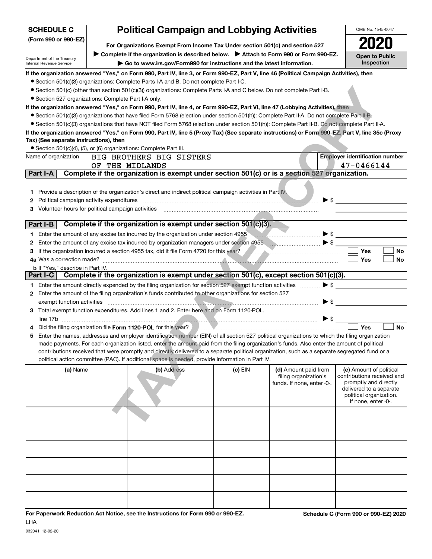| <b>SCHEDULE C</b>                                          | <b>Political Campaign and Lobbying Activities</b>                                                                                                                                                                                                  |           |                                               | OMB No. 1545-0047                                     |
|------------------------------------------------------------|----------------------------------------------------------------------------------------------------------------------------------------------------------------------------------------------------------------------------------------------------|-----------|-----------------------------------------------|-------------------------------------------------------|
| (Form 990 or 990-EZ)                                       | For Organizations Exempt From Income Tax Under section 501(c) and section 527                                                                                                                                                                      |           |                                               |                                                       |
|                                                            | > Complete if the organization is described below. > Attach to Form 990 or Form 990-EZ.                                                                                                                                                            |           |                                               |                                                       |
| Department of the Treasury<br>Internal Revenue Service     | Go to www.irs.gov/Form990 for instructions and the latest information.                                                                                                                                                                             |           |                                               | <b>Open to Public</b><br>Inspection                   |
|                                                            | If the organization answered "Yes," on Form 990, Part IV, line 3, or Form 990-EZ, Part V, line 46 (Political Campaign Activities), then                                                                                                            |           |                                               |                                                       |
|                                                            | • Section 501(c)(3) organizations: Complete Parts I-A and B. Do not complete Part I-C.                                                                                                                                                             |           |                                               |                                                       |
|                                                            | • Section 501(c) (other than section 501(c)(3)) organizations: Complete Parts I-A and C below. Do not complete Part I-B.                                                                                                                           |           |                                               |                                                       |
| • Section 527 organizations: Complete Part I-A only.       |                                                                                                                                                                                                                                                    |           |                                               |                                                       |
|                                                            | If the organization answered "Yes," on Form 990, Part IV, line 4, or Form 990-EZ, Part VI, line 47 (Lobbying Activities), then                                                                                                                     |           |                                               |                                                       |
|                                                            | • Section 501(c)(3) organizations that have filed Form 5768 (election under section 501(h)): Complete Part II-A. Do not complete Part II-B:                                                                                                        |           |                                               |                                                       |
|                                                            | • Section 501(c)(3) organizations that have NOT filed Form 5768 (election under section 501(h)): Complete Part II-B. Do not complete Part II-A.                                                                                                    |           |                                               |                                                       |
|                                                            | If the organization answered "Yes," on Form 990, Part IV, line 5 (Proxy Tax) (See separate instructions) or Form 990-EZ, Part V, line 35c (Proxy                                                                                                   |           |                                               |                                                       |
| Tax) (See separate instructions), then                     |                                                                                                                                                                                                                                                    |           |                                               |                                                       |
|                                                            | • Section 501(c)(4), (5), or (6) organizations: Complete Part III.                                                                                                                                                                                 |           |                                               |                                                       |
| Name of organization                                       | BIG BROTHERS BIG SISTERS                                                                                                                                                                                                                           |           |                                               | <b>Employer identification number</b>                 |
|                                                            | OF THE MIDLANDS                                                                                                                                                                                                                                    |           |                                               | 47-0466144                                            |
| Part I-A                                                   | Complete if the organization is exempt under section 501(c) or is a section 527 organization.                                                                                                                                                      |           |                                               |                                                       |
|                                                            |                                                                                                                                                                                                                                                    |           |                                               |                                                       |
|                                                            | 1 Provide a description of the organization's direct and indirect political campaign activities in Part IV.                                                                                                                                        |           |                                               |                                                       |
| <b>2</b> Political campaign activity expenditures          |                                                                                                                                                                                                                                                    |           |                                               | $\blacktriangleright$ \$                              |
| <b>3</b> Volunteer hours for political campaign activities |                                                                                                                                                                                                                                                    |           |                                               |                                                       |
| Part I-B                                                   | Complete if the organization is exempt under section 501(c)(3).                                                                                                                                                                                    |           |                                               |                                                       |
|                                                            | 1 Enter the amount of any excise tax incurred by the organization under section 4955                                                                                                                                                               |           |                                               | $\bullet$ \$                                          |
|                                                            | 2 Enter the amount of any excise tax incurred by organization managers under section 4955                                                                                                                                                          |           |                                               |                                                       |
|                                                            | 3 If the organization incurred a section 4955 tax, did it file Form 4720 for this year?                                                                                                                                                            |           |                                               | <b>Yes</b><br><b>No</b>                               |
|                                                            |                                                                                                                                                                                                                                                    |           |                                               | Yes<br>No                                             |
| <b>b</b> If "Yes," describe in Part IV.                    |                                                                                                                                                                                                                                                    |           |                                               |                                                       |
|                                                            | Part I-C Complete if the organization is exempt under section 501(c), except section 501(c)(3).                                                                                                                                                    |           |                                               |                                                       |
|                                                            | 1 Enter the amount directly expended by the filing organization for section 527 exempt function activities                                                                                                                                         |           | $\blacktriangleright$ \$                      |                                                       |
|                                                            | 2 Enter the amount of the filing organization's funds contributed to other organizations for section 527                                                                                                                                           |           |                                               |                                                       |
| exempt function activities                                 |                                                                                                                                                                                                                                                    |           | $\blacktriangleright$ \$                      |                                                       |
|                                                            | 3 Total exempt function expenditures. Add lines 1 and 2. Enter here and on Form 1120-POL,                                                                                                                                                          |           |                                               |                                                       |
|                                                            |                                                                                                                                                                                                                                                    |           | $\blacktriangleright$ \$                      |                                                       |
|                                                            | Did the filing organization file Form 1120-POL for this year?                                                                                                                                                                                      |           |                                               | Yes<br><b>No</b>                                      |
|                                                            | 5 Enter the names, addresses and employer identification number (EIN) of all section 527 political organizations to which the filing organization                                                                                                  |           |                                               |                                                       |
|                                                            | made payments. For each organization listed, enter the amount paid from the filing organization's funds. Also enter the amount of political                                                                                                        |           |                                               |                                                       |
|                                                            | contributions received that were promptly and directly delivered to a separate political organization, such as a separate segregated fund or a<br>political action committee (PAC). If additional space is needed, provide information in Part IV. |           |                                               |                                                       |
|                                                            |                                                                                                                                                                                                                                                    |           |                                               |                                                       |
| (a) Name                                                   | (b) Address                                                                                                                                                                                                                                        | $(c)$ EIN | (d) Amount paid from<br>filing organization's | (e) Amount of political<br>contributions received and |
|                                                            |                                                                                                                                                                                                                                                    |           | funds. If none, enter -0-.                    | promptly and directly                                 |
|                                                            |                                                                                                                                                                                                                                                    |           |                                               | delivered to a separate                               |
|                                                            |                                                                                                                                                                                                                                                    |           |                                               | political organization.<br>If none, enter -0-.        |
|                                                            |                                                                                                                                                                                                                                                    |           |                                               |                                                       |
|                                                            |                                                                                                                                                                                                                                                    |           |                                               |                                                       |
|                                                            |                                                                                                                                                                                                                                                    |           |                                               |                                                       |
|                                                            |                                                                                                                                                                                                                                                    |           |                                               |                                                       |
|                                                            |                                                                                                                                                                                                                                                    |           |                                               |                                                       |
|                                                            |                                                                                                                                                                                                                                                    |           |                                               |                                                       |
|                                                            |                                                                                                                                                                                                                                                    |           |                                               |                                                       |
|                                                            |                                                                                                                                                                                                                                                    |           |                                               |                                                       |
|                                                            |                                                                                                                                                                                                                                                    |           |                                               |                                                       |
|                                                            |                                                                                                                                                                                                                                                    |           |                                               |                                                       |
|                                                            |                                                                                                                                                                                                                                                    |           |                                               |                                                       |
|                                                            |                                                                                                                                                                                                                                                    |           |                                               |                                                       |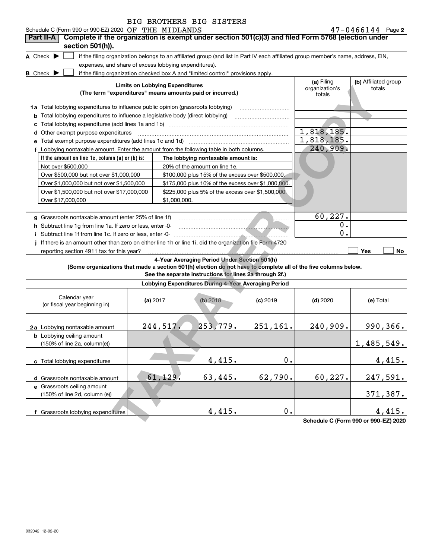| Schedule C (Form 990 or 990-EZ) 2020 OF THE MIDLANDS                                                                                | BIG BROTHERS BIG SISTERS                                                                                                          |                                                                                                         |               |                                        | $47 - 0466144$ Page 2                |
|-------------------------------------------------------------------------------------------------------------------------------------|-----------------------------------------------------------------------------------------------------------------------------------|---------------------------------------------------------------------------------------------------------|---------------|----------------------------------------|--------------------------------------|
| Complete if the organization is exempt under section 501(c)(3) and filed Form 5768 (election under<br>Part II-A<br>section 501(h)). |                                                                                                                                   |                                                                                                         |               |                                        |                                      |
| A Check $\blacktriangleright$                                                                                                       | if the filing organization belongs to an affiliated group (and list in Part IV each affiliated group member's name, address, EIN, |                                                                                                         |               |                                        |                                      |
|                                                                                                                                     | expenses, and share of excess lobbying expenditures).                                                                             |                                                                                                         |               |                                        |                                      |
| B Check D                                                                                                                           | if the filing organization checked box A and "limited control" provisions apply.                                                  |                                                                                                         |               |                                        |                                      |
|                                                                                                                                     | <b>Limits on Lobbying Expenditures</b><br>(The term "expenditures" means amounts paid or incurred.)                               |                                                                                                         |               | (a) Filing<br>organization's<br>totals | (b) Affiliated group<br>totals       |
| 1a Total lobbying expenditures to influence public opinion (grassroots lobbying)                                                    |                                                                                                                                   |                                                                                                         |               |                                        |                                      |
| <b>b</b> Total lobbying expenditures to influence a legislative body (direct lobbying)                                              |                                                                                                                                   |                                                                                                         |               |                                        |                                      |
| с                                                                                                                                   |                                                                                                                                   |                                                                                                         |               |                                        |                                      |
| <b>d</b> Other exempt purpose expenditures                                                                                          |                                                                                                                                   |                                                                                                         |               | 1,818,185.                             |                                      |
| Total exempt purpose expenditures (add lines 1c and 1d)                                                                             |                                                                                                                                   |                                                                                                         |               | 1,818,185.                             |                                      |
| f Lobbying nontaxable amount. Enter the amount from the following table in both columns.                                            |                                                                                                                                   |                                                                                                         |               | 240,909.                               |                                      |
| If the amount on line 1e, column (a) or (b) is:                                                                                     |                                                                                                                                   | The lobbying nontaxable amount is:                                                                      |               |                                        |                                      |
| Not over \$500,000                                                                                                                  |                                                                                                                                   | 20% of the amount on line 1e.                                                                           |               |                                        |                                      |
| Over \$500,000 but not over \$1,000,000                                                                                             |                                                                                                                                   | \$100,000 plus 15% of the excess over \$500,000.                                                        |               |                                        |                                      |
| Over \$1,000,000 but not over \$1,500,000                                                                                           |                                                                                                                                   | \$175,000 plus 10% of the excess over \$1,000,000.                                                      |               |                                        |                                      |
| Over \$1,500,000 but not over \$17,000,000                                                                                          |                                                                                                                                   | \$225,000 plus 5% of the excess over \$1,500,000.                                                       |               |                                        |                                      |
| Over \$17,000,000                                                                                                                   | \$1,000,000.                                                                                                                      |                                                                                                         |               |                                        |                                      |
|                                                                                                                                     |                                                                                                                                   |                                                                                                         |               |                                        |                                      |
| g Grassroots nontaxable amount (enter 25% of line 1f)                                                                               |                                                                                                                                   |                                                                                                         |               | 60,227.                                |                                      |
| <b>h</b> Subtract line 1g from line 1a. If zero or less, enter 0-                                                                   |                                                                                                                                   |                                                                                                         |               | 0.                                     |                                      |
| Subtract line 1f from line 1c. If zero or less, enter -0-                                                                           |                                                                                                                                   |                                                                                                         |               | 0.                                     |                                      |
| If there is an amount other than zero on either line 1h or line 1i, did the organization file Form 4720                             |                                                                                                                                   |                                                                                                         |               |                                        |                                      |
| reporting section 4911 tax for this year?                                                                                           |                                                                                                                                   |                                                                                                         |               |                                        | Yes<br>No                            |
| (Some organizations that made a section 501(h) election do not have to complete all of the five columns below.                      |                                                                                                                                   | 4-Year Averaging Period Under Section 501(h)<br>See the separate instructions for lines 2a through 2f.) |               |                                        |                                      |
|                                                                                                                                     |                                                                                                                                   | Lobbying Expenditures During 4-Year Averaging Period                                                    |               |                                        |                                      |
|                                                                                                                                     |                                                                                                                                   |                                                                                                         |               |                                        |                                      |
| Calendar year<br>(or fiscal year beginning in)                                                                                      | (a) $2017$                                                                                                                        | (b) 2018                                                                                                | $(c)$ 2019    | $(d)$ 2020                             | (e) Total                            |
|                                                                                                                                     |                                                                                                                                   |                                                                                                         |               |                                        |                                      |
| 2a Lobbying nontaxable amount                                                                                                       | 244,517.                                                                                                                          | 253,779.                                                                                                | 251, 161.     | 240,909.                               | 990,366.                             |
| <b>b</b> Lobbying ceiling amount                                                                                                    |                                                                                                                                   |                                                                                                         |               |                                        |                                      |
| (150% of line 2a, column(e))                                                                                                        |                                                                                                                                   |                                                                                                         |               |                                        | <u>1,485,549.</u>                    |
|                                                                                                                                     |                                                                                                                                   |                                                                                                         |               |                                        |                                      |
| c Total lobbying expenditures                                                                                                       |                                                                                                                                   | 4,415.                                                                                                  | 0.            |                                        | 4,415.                               |
| d Grassroots nontaxable amount                                                                                                      | 61, 129.                                                                                                                          | 63,445.                                                                                                 | 62,790.       | 60,227.                                | <u>247,591.</u>                      |
| e Grassroots ceiling amount                                                                                                         |                                                                                                                                   |                                                                                                         |               |                                        |                                      |
| (150% of line 2d, column (e))                                                                                                       |                                                                                                                                   |                                                                                                         |               |                                        | <u>371,387.</u>                      |
| f Grassroots lobbying expenditures                                                                                                  |                                                                                                                                   | 4,415.                                                                                                  | $\mathbf 0$ . |                                        | 4,415.                               |
|                                                                                                                                     |                                                                                                                                   |                                                                                                         |               |                                        | Schedule C (Form 990 or 990-EZ) 2020 |

|                                                                  |            | Lobbying Expenditures During 4-Year Averaging Period |            |            |            |
|------------------------------------------------------------------|------------|------------------------------------------------------|------------|------------|------------|
| Calendar year<br>(or fiscal year beginning in)                   | (a) $2017$ | (b) 2018                                             | $(c)$ 2019 | $(d)$ 2020 | (e) Total  |
| 2a Lobbying nontaxable amount                                    | 244,517.   | 253,779.                                             | 251, 161.  | 240,909.   | 990,366.   |
| <b>b</b> Lobbying ceiling amount<br>(150% of line 2a, column(e)) |            |                                                      |            |            | 1,485,549. |
| c Total lobbying expenditures                                    |            | 4,415.                                               | 0.         |            | 4,415.     |
| d Grassroots nontaxable amount                                   | 61, 129.   | 63,445.                                              | 62,790.    | 60,227.    | 247,591.   |
| e Grassroots ceiling amount<br>(150% of line 2d, column (e))     |            |                                                      |            |            | 371,387.   |
| f Grassroots lobbying expenditures                               |            | 4,415.                                               | 0.         |            | 4,415.     |

 $\Box$  No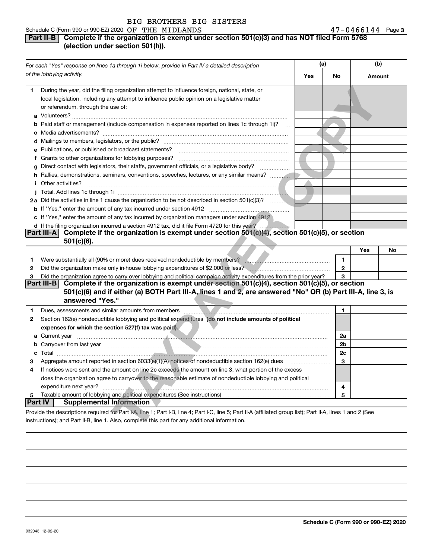### Schedule C (Form 990 or 990-EZ) 2020 Page OF THE MIDLANDS 47-0466144

### **3**

### **Part II-B** Complete if the organization is exempt under section 501(c)(3) and has NOT filed Form 5768 **(election under section 501(h)).**

|                | For each "Yes" response on lines 1a through 1i below, provide in Part IV a detailed description                                                                                                                                      | (a) |              | (b)    |    |
|----------------|--------------------------------------------------------------------------------------------------------------------------------------------------------------------------------------------------------------------------------------|-----|--------------|--------|----|
|                | of the lobbying activity.                                                                                                                                                                                                            | Yes | No           | Amount |    |
| 1              | During the year, did the filing organization attempt to influence foreign, national, state, or<br>local legislation, including any attempt to influence public opinion on a legislative matter<br>or referendum, through the use of: |     |              |        |    |
|                | <b>b</b> Paid staff or management (include compensation in expenses reported on lines 1c through 1i)?                                                                                                                                |     |              |        |    |
|                |                                                                                                                                                                                                                                      |     |              |        |    |
|                | e Publications, or published or broadcast statements?                                                                                                                                                                                |     |              |        |    |
|                | f Grants to other organizations for lobbying purposes?                                                                                                                                                                               |     |              |        |    |
|                | g Direct contact with legislators, their staffs, government officials, or a legislative body?                                                                                                                                        |     |              |        |    |
|                | h Rallies, demonstrations, seminars, conventions, speeches, lectures, or any similar means?                                                                                                                                          |     |              |        |    |
|                | <i>i</i> Other activities?                                                                                                                                                                                                           |     |              |        |    |
|                |                                                                                                                                                                                                                                      |     |              |        |    |
|                | 2a Did the activities in line 1 cause the organization to be not described in section 501(c)(3)?                                                                                                                                     |     |              |        |    |
|                |                                                                                                                                                                                                                                      |     |              |        |    |
|                | c If "Yes," enter the amount of any tax incurred by organization managers under section 4912                                                                                                                                         |     |              |        |    |
|                | d If the filing organization incurred a section 4912 tax, did it file Form 4720 for this year?                                                                                                                                       |     |              |        |    |
|                | Complete if the organization is exempt under section 501(c)(4), section 501(c)(5), or section<br> Part III-A                                                                                                                         |     |              |        |    |
|                | $501(c)(6)$ .                                                                                                                                                                                                                        |     |              |        |    |
|                |                                                                                                                                                                                                                                      |     |              | Yes    | No |
| 1              | Were substantially all (90% or more) dues received nondeductible by members? [10] www.communications.com                                                                                                                             |     | 1            |        |    |
| 2              | Did the organization make only in-house lobbying expenditures of \$2,000 or less?                                                                                                                                                    |     | $\mathbf{2}$ |        |    |
| 3              | Did the organization agree to carry over lobbying and political campaign activity expenditures from the prior year?                                                                                                                  |     | 3            |        |    |
|                | Complete if the organization is exempt under section 501(c)(4), section 501(c)(5), or section<br> Part III-B                                                                                                                         |     |              |        |    |
|                | 501(c)(6) and if either (a) BOTH Part III-A, lines 1 and 2, are answered "No" OR (b) Part III-A, line 3, is                                                                                                                          |     |              |        |    |
|                | answered "Yes."                                                                                                                                                                                                                      |     |              |        |    |
| 1              |                                                                                                                                                                                                                                      |     | 1.           |        |    |
| 2              | Section 162(e) nondeductible lobbying and political expenditures (do not include amounts of political                                                                                                                                |     |              |        |    |
|                | expenses for which the section 527(f) tax was paid).                                                                                                                                                                                 |     |              |        |    |
|                | a Current year <b>contract and the contract of the contract of the contract of the contract of the contract of the contract of the contract of the contract of the contract of the contract of the contract of the contract of t</b> |     | 2a           |        |    |
|                | b Carryover from last year measurements and contact the contract of the contract of the contract of the contract of the contract of the contract of the contract of the contract of the contract of the contract of the contra       |     | 2b           |        |    |
| c              |                                                                                                                                                                                                                                      |     | 2c           |        |    |
|                | Aggregate amount reported in section 6033(e)(1)(A) notices of nondeductible section 162(e) dues                                                                                                                                      |     | 3            |        |    |
| 4              | If notices were sent and the amount on line 2c exceeds the amount on line 3, what portion of the excess                                                                                                                              |     |              |        |    |
|                | does the organization agree to carryover to the reasonable estimate of nondeductible lobbying and political                                                                                                                          |     |              |        |    |
|                | expenditure next year?                                                                                                                                                                                                               |     | 4            |        |    |
| 5              | Taxable amount of lobbying and political expenditures (See instructions)                                                                                                                                                             |     | 5            |        |    |
| <b>Part IV</b> | <b>Supplemental Information</b>                                                                                                                                                                                                      |     |              |        |    |
|                | Provide the descriptions required for Part I-A, line 1; Part I-B, line 4; Part I-C, line 5; Part II-A (affiliated group list); Part II-A, lines 1 and 2 (See                                                                         |     |              |        |    |
|                | instructions); and Part II-B, line 1. Also, complete this part for any additional information.                                                                                                                                       |     |              |        |    |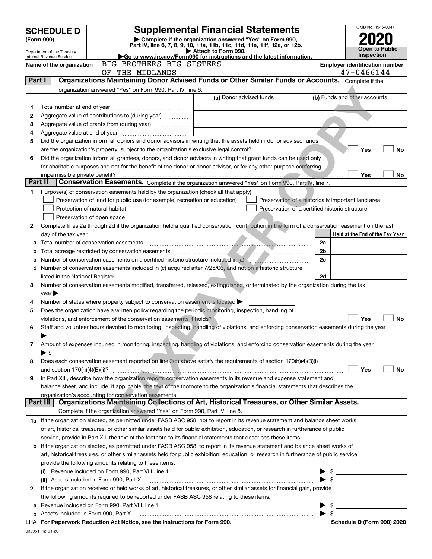|         | <b>SCHEDULE D</b>              |                                                                                                        | <b>Supplemental Financial Statements</b>                                                                                                       |      | OMB No. 1545-0047                                   |
|---------|--------------------------------|--------------------------------------------------------------------------------------------------------|------------------------------------------------------------------------------------------------------------------------------------------------|------|-----------------------------------------------------|
|         | (Form 990)                     |                                                                                                        | Complete if the organization answered "Yes" on Form 990,                                                                                       |      |                                                     |
|         | Department of the Treasury     |                                                                                                        | Part IV, line 6, 7, 8, 9, 10, 11a, 11b, 11c, 11d, 11e, 11f, 12a, or 12b.<br>Attach to Form 990.                                                |      | <b>Open to Public</b>                               |
|         | Internal Revenue Service       |                                                                                                        | Go to www.irs.gov/Form990 for instructions and the latest information.                                                                         |      | Inspection                                          |
|         | Name of the organization       | BIG BROTHERS BIG SISTERS                                                                               |                                                                                                                                                |      | <b>Employer identification number</b><br>47-0466144 |
| Part I  |                                | OF THE MIDLANDS                                                                                        | Organizations Maintaining Donor Advised Funds or Other Similar Funds or Accounts. Complete if the                                              |      |                                                     |
|         |                                | organization answered "Yes" on Form 990, Part IV, line 6.                                              |                                                                                                                                                |      |                                                     |
|         |                                |                                                                                                        | (a) Donor advised funds                                                                                                                        |      | (b) Funds and other accounts                        |
| 1       |                                |                                                                                                        |                                                                                                                                                |      |                                                     |
| 2       |                                |                                                                                                        |                                                                                                                                                |      |                                                     |
| з       |                                |                                                                                                        |                                                                                                                                                |      |                                                     |
| 4       |                                |                                                                                                        |                                                                                                                                                |      |                                                     |
| 5       |                                |                                                                                                        | Did the organization inform all donors and donor advisors in writing that the assets held in donor advised funds                               |      |                                                     |
|         |                                |                                                                                                        |                                                                                                                                                |      | Yes<br><b>No</b>                                    |
| 6       |                                |                                                                                                        | Did the organization inform all grantees, donors, and donor advisors in writing that grant funds can be used only                              |      |                                                     |
|         |                                |                                                                                                        | for charitable purposes and not for the benefit of the donor or donor advisor, or for any other purpose conferring                             |      | Yes                                                 |
| Part II | impermissible private benefit? |                                                                                                        | Conservation Easements. Complete if the organization answered "Yes" on Form 990, Part IV, line 7.                                              |      | No                                                  |
| 1       |                                | Purpose(s) of conservation easements held by the organization (check all that apply).                  |                                                                                                                                                |      |                                                     |
|         |                                | Preservation of land for public use (for example, recreation or education)                             | Preservation of a historically important land area                                                                                             |      |                                                     |
|         |                                | Protection of natural habitat                                                                          | Preservation of a certified historic structure                                                                                                 |      |                                                     |
|         |                                | Preservation of open space                                                                             |                                                                                                                                                |      |                                                     |
| 2       |                                |                                                                                                        | Complete lines 2a through 2d if the organization held a qualified conservation contribution in the form of a conservation easement on the last |      |                                                     |
|         | day of the tax year.           |                                                                                                        |                                                                                                                                                |      | Held at the End of the Tax Year                     |
|         |                                |                                                                                                        |                                                                                                                                                | 2a   |                                                     |
| b       |                                | Total acreage restricted by conservation easements                                                     |                                                                                                                                                | 2b   |                                                     |
|         |                                |                                                                                                        | Number of conservation easements on a certified historic structure included in (a) (mathematic mathematic math                                 | 2c   |                                                     |
| d       |                                |                                                                                                        | Number of conservation easements included in (c) acquired after 7/25/06, and not on a historic structure                                       |      |                                                     |
|         |                                |                                                                                                        |                                                                                                                                                | 2d   |                                                     |
| 3       |                                |                                                                                                        | Number of conservation easements modified, transferred, released, extinguished, or terminated by the organization during the tax               |      |                                                     |
| 4       | year                           | Number of states where property subject to conservation easement is located                            |                                                                                                                                                |      |                                                     |
| 5       |                                | Does the organization have a written policy regarding the periodic monitoring, inspection, handling of |                                                                                                                                                |      |                                                     |
|         |                                | violations, and enforcement of the conservation easements it holds?                                    |                                                                                                                                                |      | Yes<br><b>No</b>                                    |
|         |                                |                                                                                                        | Staff and volunteer hours devoted to monitoring, inspecting, handling of violations, and enforcing conservation easements during the year      |      |                                                     |
|         |                                |                                                                                                        |                                                                                                                                                |      |                                                     |
| 7       |                                |                                                                                                        | Amount of expenses incurred in monitoring, inspecting, handling of violations, and enforcing conservation easements during the year            |      |                                                     |
|         | ▶ \$                           |                                                                                                        |                                                                                                                                                |      |                                                     |
| 8       |                                |                                                                                                        | Does each conservation easement reported on line 2(d) above satisfy the requirements of section 170(h)(4)(B)(i)                                |      |                                                     |
|         |                                |                                                                                                        |                                                                                                                                                |      | Yes<br>No                                           |
| 9       |                                |                                                                                                        | In Part XIII, describe how the organization reports conservation easements in its revenue and expense statement and                            |      |                                                     |
|         |                                | organization's accounting for conservation easements.                                                  | balance sheet, and include, if applicable, the text of the footnote to the organization's financial statements that describes the              |      |                                                     |
|         | Part III                       |                                                                                                        | Organizations Maintaining Collections of Art, Historical Treasures, or Other Similar Assets.                                                   |      |                                                     |
|         |                                | Complete if the organization answered "Yes" on Form 990, Part IV, line 8.                              |                                                                                                                                                |      |                                                     |
|         |                                |                                                                                                        | 1a If the organization elected, as permitted under FASB ASC 958, not to report in its revenue statement and balance sheet works                |      |                                                     |
|         |                                |                                                                                                        | of art, historical treasures, or other similar assets held for public exhibition, education, or research in furtherance of public              |      |                                                     |
|         |                                |                                                                                                        | service, provide in Part XIII the text of the footnote to its financial statements that describes these items.                                 |      |                                                     |
| b       |                                |                                                                                                        | If the organization elected, as permitted under FASB ASC 958, to report in its revenue statement and balance sheet works of                    |      |                                                     |
|         |                                |                                                                                                        | art, historical treasures, or other similar assets held for public exhibition, education, or research in furtherance of public service,        |      |                                                     |
|         |                                | provide the following amounts relating to these items:                                                 |                                                                                                                                                |      |                                                     |
|         |                                |                                                                                                        |                                                                                                                                                |      | $\triangleright$ \$                                 |
|         |                                | (ii) Assets included in Form 990, Part X                                                               |                                                                                                                                                |      |                                                     |
| 2       |                                |                                                                                                        | If the organization received or held works of art, historical treasures, or other similar assets for financial gain, provide                   |      |                                                     |
| а       |                                | the following amounts required to be reported under FASB ASC 958 relating to these items:              |                                                                                                                                                |      | \$                                                  |
| b       |                                |                                                                                                        | Assets included in Form 990, Part X [11, 2000] Marten and Strategy and Strategy and Strategy Assets included in Form 990, Part X               | - \$ |                                                     |
|         |                                | LHA For Paperwork Reduction Act Notice, see the Instructions for Form 990.                             |                                                                                                                                                |      | Schedule D (Form 990) 2020                          |

032051 12-01-20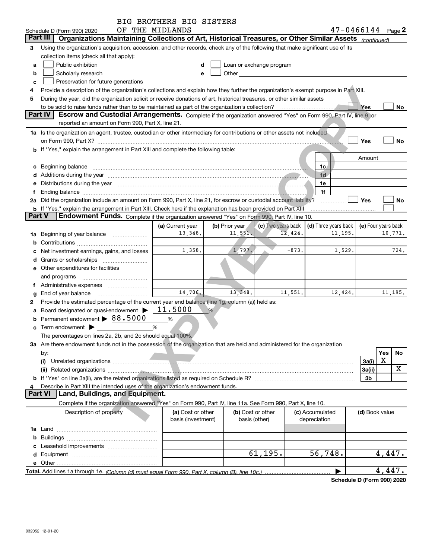|               |                                                                                                                                                                                                                                        | BIG BROTHERS BIG SISTERS |                |                                                                                                                                                                                                                                |                 |                      |                       |           |
|---------------|----------------------------------------------------------------------------------------------------------------------------------------------------------------------------------------------------------------------------------------|--------------------------|----------------|--------------------------------------------------------------------------------------------------------------------------------------------------------------------------------------------------------------------------------|-----------------|----------------------|-----------------------|-----------|
|               | Schedule D (Form 990) 2020                                                                                                                                                                                                             | OF THE MIDLANDS          |                |                                                                                                                                                                                                                                |                 |                      | $47 - 0466144$ Page 2 |           |
|               | Part III<br>Organizations Maintaining Collections of Art, Historical Treasures, or Other Similar Assets (continued)                                                                                                                    |                          |                |                                                                                                                                                                                                                                |                 |                      |                       |           |
| 3             | Using the organization's acquisition, accession, and other records, check any of the following that make significant use of its                                                                                                        |                          |                |                                                                                                                                                                                                                                |                 |                      |                       |           |
|               | collection items (check all that apply):                                                                                                                                                                                               |                          |                |                                                                                                                                                                                                                                |                 |                      |                       |           |
| а             | Public exhibition                                                                                                                                                                                                                      | d                        |                | Loan or exchange program                                                                                                                                                                                                       |                 |                      |                       |           |
| b             | Scholarly research                                                                                                                                                                                                                     | е                        |                | Other and the control of the control of the control of the control of the control of the control of the control of the control of the control of the control of the control of the control of the control of the control of th |                 |                      |                       |           |
| c             | Preservation for future generations                                                                                                                                                                                                    |                          |                |                                                                                                                                                                                                                                |                 |                      |                       |           |
| 4             | Provide a description of the organization's collections and explain how they further the organization's exempt purpose in Part XIII.                                                                                                   |                          |                |                                                                                                                                                                                                                                |                 |                      |                       |           |
| 5             | During the year, did the organization solicit or receive donations of art, historical treasures, or other similar assets                                                                                                               |                          |                |                                                                                                                                                                                                                                |                 |                      |                       |           |
|               | to be sold to raise funds rather than to be maintained as part of the organization's collection?                                                                                                                                       |                          |                |                                                                                                                                                                                                                                |                 |                      | Yes                   | No        |
|               | <b>Part IV</b><br>Escrow and Custodial Arrangements. Complete if the organization answered "Yes" on Form 990, Part IV, line 9, or                                                                                                      |                          |                |                                                                                                                                                                                                                                |                 |                      |                       |           |
|               | reported an amount on Form 990, Part X, line 21.                                                                                                                                                                                       |                          |                |                                                                                                                                                                                                                                |                 |                      |                       |           |
|               | 1a Is the organization an agent, trustee, custodian or other intermediary for contributions or other assets not included                                                                                                               |                          |                |                                                                                                                                                                                                                                |                 |                      |                       |           |
|               |                                                                                                                                                                                                                                        |                          |                |                                                                                                                                                                                                                                |                 |                      | Yes                   | No        |
|               | b If "Yes," explain the arrangement in Part XIII and complete the following table:                                                                                                                                                     |                          |                |                                                                                                                                                                                                                                |                 |                      |                       |           |
|               |                                                                                                                                                                                                                                        |                          |                |                                                                                                                                                                                                                                |                 |                      | Amount                |           |
|               |                                                                                                                                                                                                                                        |                          |                |                                                                                                                                                                                                                                |                 | 1c.                  |                       |           |
|               | d Additions during the year manufactured and a set of the year manufactured and a set of the set of the set of                                                                                                                         |                          |                |                                                                                                                                                                                                                                |                 | 1 <sub>d</sub>       |                       |           |
|               | e Distributions during the year manufactured and a control of the year manufactured and a control of the set of the set of the set of the set of the set of the set of the set of the set of the set of the set of the set of          |                          |                |                                                                                                                                                                                                                                |                 | 1e                   |                       |           |
| f             |                                                                                                                                                                                                                                        |                          |                |                                                                                                                                                                                                                                |                 | 1f                   |                       |           |
|               | 2a Did the organization include an amount on Form 990, Part X, line 21, for escrow or custodial account liability?                                                                                                                     |                          |                |                                                                                                                                                                                                                                |                 |                      | Yes                   | No        |
|               | <b>b</b> If "Yes," explain the arrangement in Part XIII. Check here if the explanation has been provided on Part XIII                                                                                                                  |                          |                |                                                                                                                                                                                                                                |                 |                      |                       |           |
| <b>Part V</b> | Endowment Funds. Complete if the organization answered "Yes" on Form 990, Part IV, line 10.                                                                                                                                            |                          |                |                                                                                                                                                                                                                                |                 |                      |                       |           |
|               |                                                                                                                                                                                                                                        | (a) Current year         | (b) Prior year | (c) Two years back                                                                                                                                                                                                             |                 | (d) Three years back | (e) Four years back   |           |
|               | 1a Beginning of year balance                                                                                                                                                                                                           | 13,348.                  | 11,551.        |                                                                                                                                                                                                                                | 12,424.         | 11,195.              |                       | 10,771.   |
| b             |                                                                                                                                                                                                                                        |                          |                |                                                                                                                                                                                                                                |                 |                      |                       |           |
|               | Net investment earnings, gains, and losses                                                                                                                                                                                             | 1,358.                   | 1,797.         |                                                                                                                                                                                                                                | $-873.$         | 1,529.               |                       | 724.      |
| d             |                                                                                                                                                                                                                                        |                          |                |                                                                                                                                                                                                                                |                 |                      |                       |           |
|               | e Other expenditures for facilities                                                                                                                                                                                                    |                          |                |                                                                                                                                                                                                                                |                 |                      |                       |           |
|               |                                                                                                                                                                                                                                        |                          |                |                                                                                                                                                                                                                                |                 |                      |                       |           |
|               | and programs                                                                                                                                                                                                                           |                          |                |                                                                                                                                                                                                                                |                 |                      |                       |           |
| f             | Administrative expenses                                                                                                                                                                                                                | 14,706.                  | 13,348.        |                                                                                                                                                                                                                                | 11,551.         | 12,424.              |                       | 11, 195.  |
| g             | End of year balance                                                                                                                                                                                                                    |                          |                |                                                                                                                                                                                                                                |                 |                      |                       |           |
| 2             | Provide the estimated percentage of the current year end balance (line 1g, column (a)) held as:                                                                                                                                        | 11.5000                  |                |                                                                                                                                                                                                                                |                 |                      |                       |           |
| a             | Board designated or quasi-endowment<br>Permanent endowment > 88.5000                                                                                                                                                                   |                          | %              |                                                                                                                                                                                                                                |                 |                      |                       |           |
| b             |                                                                                                                                                                                                                                        | %                        |                |                                                                                                                                                                                                                                |                 |                      |                       |           |
|               | $\mathbf c$ Term endowment $\blacktriangleright$                                                                                                                                                                                       | %                        |                |                                                                                                                                                                                                                                |                 |                      |                       |           |
|               | The percentages on lines 2a, 2b, and 2c should equal 100%.                                                                                                                                                                             |                          |                |                                                                                                                                                                                                                                |                 |                      |                       |           |
|               | 3a Are there endowment funds not in the possession of the organization that are held and administered for the organization                                                                                                             |                          |                |                                                                                                                                                                                                                                |                 |                      |                       |           |
|               | by:                                                                                                                                                                                                                                    |                          |                |                                                                                                                                                                                                                                |                 |                      |                       | Yes<br>No |
|               | (i)                                                                                                                                                                                                                                    |                          |                |                                                                                                                                                                                                                                |                 |                      | 3a(i)                 | X         |
|               | Related organizations with the contract of the contract of the contract of the contract of the contract of the contract of the contract of the contract of the contract of the contract of the contract of the contract of the<br>(ii) |                          |                |                                                                                                                                                                                                                                |                 |                      | 3a(ii)                | X         |
|               |                                                                                                                                                                                                                                        |                          |                |                                                                                                                                                                                                                                |                 |                      | 3b                    |           |
| 4             | Describe in Part XIII the intended uses of the organization's endowment funds.                                                                                                                                                         |                          |                |                                                                                                                                                                                                                                |                 |                      |                       |           |
|               | Land, Buildings, and Equipment.<br><b>Part VI</b>                                                                                                                                                                                      |                          |                |                                                                                                                                                                                                                                |                 |                      |                       |           |
|               | Complete if the organization answered "Yes" on Form 990, Part IV, line 11a. See Form 990, Part X, line 10.                                                                                                                             |                          |                |                                                                                                                                                                                                                                |                 |                      |                       |           |
|               | Description of property                                                                                                                                                                                                                | (a) Cost or other        |                | (b) Cost or other                                                                                                                                                                                                              | (c) Accumulated |                      | (d) Book value        |           |
|               |                                                                                                                                                                                                                                        | basis (investment)       |                | basis (other)                                                                                                                                                                                                                  |                 | depreciation         |                       |           |
|               |                                                                                                                                                                                                                                        |                          |                |                                                                                                                                                                                                                                |                 |                      |                       |           |
| b             |                                                                                                                                                                                                                                        |                          |                |                                                                                                                                                                                                                                |                 |                      |                       |           |
| c             | Leasehold improvements                                                                                                                                                                                                                 |                          |                |                                                                                                                                                                                                                                |                 |                      |                       |           |
| d             |                                                                                                                                                                                                                                        |                          |                | 61, 195.                                                                                                                                                                                                                       |                 | 56,748.              |                       | 4,447.    |
|               |                                                                                                                                                                                                                                        |                          |                |                                                                                                                                                                                                                                |                 |                      |                       |           |
|               |                                                                                                                                                                                                                                        |                          |                |                                                                                                                                                                                                                                |                 |                      |                       | 4,447.    |

**Schedule D (Form 990) 2020**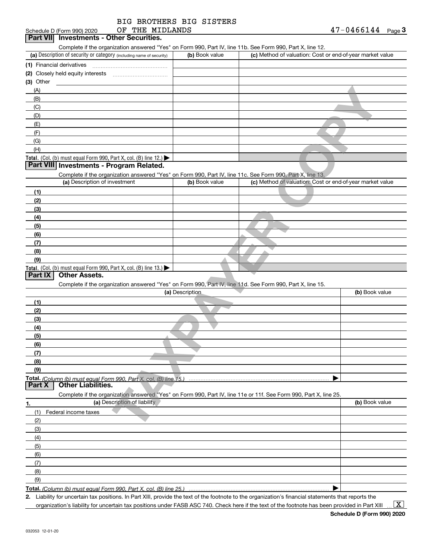|  |                    | BIG BROTHERS BIG SISTERS |
|--|--------------------|--------------------------|
|  | סחווג.זהדוא קצח קמ |                          |

| OF THE MIDLANDS<br>Schedule D (Form 990) 2020                                                                                                     |                 |                                                           | $47 - 0466144$ Page 3 |
|---------------------------------------------------------------------------------------------------------------------------------------------------|-----------------|-----------------------------------------------------------|-----------------------|
| Part VII Investments - Other Securities.                                                                                                          |                 |                                                           |                       |
| Complete if the organization answered "Yes" on Form 990, Part IV, line 11b. See Form 990, Part X, line 12.                                        |                 |                                                           |                       |
| (a) Description of security or category (including name of security)                                                                              | (b) Book value  | (c) Method of valuation: Cost or end-of-year market value |                       |
|                                                                                                                                                   |                 |                                                           |                       |
|                                                                                                                                                   |                 |                                                           |                       |
| $(3)$ Other<br><u> 1999 - Andrea Andrew Maria III (b. 19</u>                                                                                      |                 |                                                           |                       |
| (A)                                                                                                                                               |                 |                                                           |                       |
| (B)                                                                                                                                               |                 |                                                           |                       |
| (C)                                                                                                                                               |                 |                                                           |                       |
| (D)                                                                                                                                               |                 |                                                           |                       |
| (E)                                                                                                                                               |                 |                                                           |                       |
| (F)                                                                                                                                               |                 |                                                           |                       |
| (G)                                                                                                                                               |                 |                                                           |                       |
| (H)                                                                                                                                               |                 |                                                           |                       |
| Total. (Col. (b) must equal Form 990, Part X, col. (B) line 12.)                                                                                  |                 |                                                           |                       |
| Part VIII Investments - Program Related.                                                                                                          |                 |                                                           |                       |
| Complete if the organization answered "Yes" on Form 990, Part IV, line 11c. See Form 990, Part X, line 13.                                        |                 |                                                           |                       |
| (a) Description of investment                                                                                                                     | (b) Book value  | (c) Method of valuation: Cost or end-of-year market value |                       |
| (1)                                                                                                                                               |                 |                                                           |                       |
| (2)                                                                                                                                               |                 |                                                           |                       |
| (3)                                                                                                                                               |                 |                                                           |                       |
| (4)                                                                                                                                               |                 |                                                           |                       |
| (5)                                                                                                                                               |                 |                                                           |                       |
| (6)                                                                                                                                               |                 |                                                           |                       |
|                                                                                                                                                   |                 |                                                           |                       |
| (7)                                                                                                                                               |                 |                                                           |                       |
| (8)                                                                                                                                               |                 |                                                           |                       |
| (9)                                                                                                                                               |                 |                                                           |                       |
| Total. (Col. (b) must equal Form 990, Part X, col. (B) line 13.)<br>Part IX<br><b>Other Assets.</b>                                               |                 |                                                           |                       |
| Complete if the organization answered "Yes" on Form 990, Part IV, line 11d. See Form 990, Part X, line 15.                                        |                 |                                                           |                       |
|                                                                                                                                                   | (a) Description |                                                           | (b) Book value        |
| (1)                                                                                                                                               |                 |                                                           |                       |
| (2)                                                                                                                                               |                 |                                                           |                       |
| (3)                                                                                                                                               |                 |                                                           |                       |
| (4)                                                                                                                                               |                 |                                                           |                       |
| (5)                                                                                                                                               |                 |                                                           |                       |
| (6)                                                                                                                                               |                 |                                                           |                       |
| (7)                                                                                                                                               |                 |                                                           |                       |
| (8)                                                                                                                                               |                 |                                                           |                       |
| (9)                                                                                                                                               |                 |                                                           |                       |
|                                                                                                                                                   |                 |                                                           |                       |
| Total. (Column (b) must equal Form 990. Part X, col. (B) line 15.)<br>Part X<br><b>Other Liabilities.</b>                                         |                 |                                                           |                       |
|                                                                                                                                                   |                 |                                                           |                       |
| Complete if the organization answered "Yes" on Form 990, Part IV, line 11e or 11f. See Form 990, Part X, line 25.<br>(a) Description of liability |                 |                                                           |                       |
| 1.                                                                                                                                                |                 |                                                           | (b) Book value        |
| (1)<br>Federal income taxes                                                                                                                       |                 |                                                           |                       |
| (2)                                                                                                                                               |                 |                                                           |                       |
| (3)                                                                                                                                               |                 |                                                           |                       |
| (4)                                                                                                                                               |                 |                                                           |                       |
| (5)                                                                                                                                               |                 |                                                           |                       |
| (6)                                                                                                                                               |                 |                                                           |                       |
| (7)                                                                                                                                               |                 |                                                           |                       |
| (8)                                                                                                                                               |                 |                                                           |                       |
| (9)                                                                                                                                               |                 |                                                           |                       |
|                                                                                                                                                   |                 |                                                           |                       |

**2.** Liability for uncertain tax positions. In Part XIII, provide the text of the footnote to the organization's financial statements that reports the organization's liability for uncertain tax positions under FASB ASC 740. Check here if the text of the footnote has been provided in Part XIII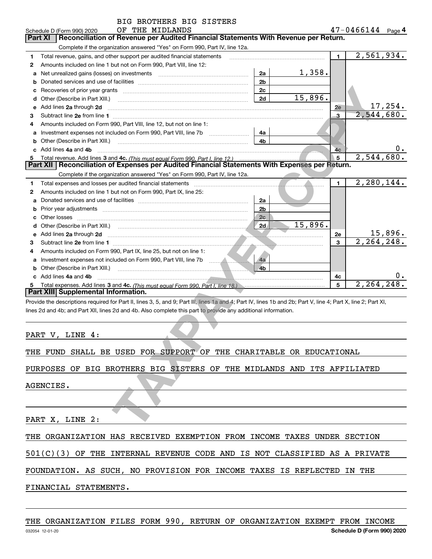| OF THE MIDLANDS<br>Schedule D (Form 990) 2020<br>Reconciliation of Revenue per Audited Financial Statements With Revenue per Return.<br>Part XI<br>Complete if the organization answered "Yes" on Form 990, Part IV, line 12a.<br>$\mathbf{1}$<br>Total revenue, gains, and other support per audited financial statements<br>1<br>Amounts included on line 1 but not on Form 990, Part VIII, line 12:<br>2<br>1,358.<br>2a<br>Net unrealized gains (losses) on investments [11] matter contracts and the unrealized gains (losses) on investments<br>а<br>2 <sub>b</sub><br>b<br>2 <sub>c</sub><br>с<br>15,896.<br>2d<br>Other (Describe in Part XIII.)<br>d<br><u> 17,254.</u><br>Add lines 2a through 2d<br>2e<br>е<br>2,544,680.<br>3<br>З<br>Amounts included on Form 990, Part VIII, line 12, but not on line 1:<br>4<br>Investment expenses not included on Form 990, Part VIII, line 7b<br>4a<br>а<br>4b<br>b<br>Add lines 4a and 4b<br>4c<br>2,544,680.<br>5<br>Total revenue. Add lines 3 and 4c. (This must equal Form 990, Part I, line 12.)<br>Part XII   Reconciliation of Expenses per Audited Financial Statements With Expenses per Return.<br>Complete if the organization answered "Yes" on Form 990, Part IV, line 12a.<br>2,280,144.<br>$\mathbf{1}$<br>1<br>Amounts included on line 1 but not on Form 990, Part IX, line 25:<br>2<br>2a<br>а<br>2 <sub>b</sub><br>b<br>2c<br>с<br>15,896.<br>$^{\prime}$ 2d<br>d<br>Add lines 2a through 2d<br>2e<br>е<br>2, 264, 248.<br>3<br>З<br>Amounts included on Form 990, Part IX, line 25, but not on line 1:<br>4<br>4a<br>а<br>4 <sub>b</sub><br>b<br>Add lines 4a and 4b<br>4c<br>2, 264, 248<br>5<br>Total expenses. Add lines 3 and 4c. (This must equal Form 990. Part I. line 18.)<br>Part XIII Supplemental Information.<br>Provide the descriptions required for Part II, lines 3, 5, and 9; Part III, lines 1a and 4; Part IV, lines 1b and 2b; Part V, line 4; Part X, line 2; Part XI,<br>lines 2d and 4b; and Part XII, lines 2d and 4b. Also complete this part to provide any additional information. |                          |
|--------------------------------------------------------------------------------------------------------------------------------------------------------------------------------------------------------------------------------------------------------------------------------------------------------------------------------------------------------------------------------------------------------------------------------------------------------------------------------------------------------------------------------------------------------------------------------------------------------------------------------------------------------------------------------------------------------------------------------------------------------------------------------------------------------------------------------------------------------------------------------------------------------------------------------------------------------------------------------------------------------------------------------------------------------------------------------------------------------------------------------------------------------------------------------------------------------------------------------------------------------------------------------------------------------------------------------------------------------------------------------------------------------------------------------------------------------------------------------------------------------------------------------------------------------------------------------------------------------------------------------------------------------------------------------------------------------------------------------------------------------------------------------------------------------------------------------------------------------------------------------------------------------------------------------------------------------------------------------------------------------------------------------------------------------------------------------------|--------------------------|
|                                                                                                                                                                                                                                                                                                                                                                                                                                                                                                                                                                                                                                                                                                                                                                                                                                                                                                                                                                                                                                                                                                                                                                                                                                                                                                                                                                                                                                                                                                                                                                                                                                                                                                                                                                                                                                                                                                                                                                                                                                                                                      | $47 - 0466144$ Page 4    |
|                                                                                                                                                                                                                                                                                                                                                                                                                                                                                                                                                                                                                                                                                                                                                                                                                                                                                                                                                                                                                                                                                                                                                                                                                                                                                                                                                                                                                                                                                                                                                                                                                                                                                                                                                                                                                                                                                                                                                                                                                                                                                      |                          |
|                                                                                                                                                                                                                                                                                                                                                                                                                                                                                                                                                                                                                                                                                                                                                                                                                                                                                                                                                                                                                                                                                                                                                                                                                                                                                                                                                                                                                                                                                                                                                                                                                                                                                                                                                                                                                                                                                                                                                                                                                                                                                      |                          |
|                                                                                                                                                                                                                                                                                                                                                                                                                                                                                                                                                                                                                                                                                                                                                                                                                                                                                                                                                                                                                                                                                                                                                                                                                                                                                                                                                                                                                                                                                                                                                                                                                                                                                                                                                                                                                                                                                                                                                                                                                                                                                      | $\overline{2,561,934}$ . |
|                                                                                                                                                                                                                                                                                                                                                                                                                                                                                                                                                                                                                                                                                                                                                                                                                                                                                                                                                                                                                                                                                                                                                                                                                                                                                                                                                                                                                                                                                                                                                                                                                                                                                                                                                                                                                                                                                                                                                                                                                                                                                      |                          |
|                                                                                                                                                                                                                                                                                                                                                                                                                                                                                                                                                                                                                                                                                                                                                                                                                                                                                                                                                                                                                                                                                                                                                                                                                                                                                                                                                                                                                                                                                                                                                                                                                                                                                                                                                                                                                                                                                                                                                                                                                                                                                      |                          |
|                                                                                                                                                                                                                                                                                                                                                                                                                                                                                                                                                                                                                                                                                                                                                                                                                                                                                                                                                                                                                                                                                                                                                                                                                                                                                                                                                                                                                                                                                                                                                                                                                                                                                                                                                                                                                                                                                                                                                                                                                                                                                      |                          |
|                                                                                                                                                                                                                                                                                                                                                                                                                                                                                                                                                                                                                                                                                                                                                                                                                                                                                                                                                                                                                                                                                                                                                                                                                                                                                                                                                                                                                                                                                                                                                                                                                                                                                                                                                                                                                                                                                                                                                                                                                                                                                      |                          |
|                                                                                                                                                                                                                                                                                                                                                                                                                                                                                                                                                                                                                                                                                                                                                                                                                                                                                                                                                                                                                                                                                                                                                                                                                                                                                                                                                                                                                                                                                                                                                                                                                                                                                                                                                                                                                                                                                                                                                                                                                                                                                      |                          |
|                                                                                                                                                                                                                                                                                                                                                                                                                                                                                                                                                                                                                                                                                                                                                                                                                                                                                                                                                                                                                                                                                                                                                                                                                                                                                                                                                                                                                                                                                                                                                                                                                                                                                                                                                                                                                                                                                                                                                                                                                                                                                      |                          |
|                                                                                                                                                                                                                                                                                                                                                                                                                                                                                                                                                                                                                                                                                                                                                                                                                                                                                                                                                                                                                                                                                                                                                                                                                                                                                                                                                                                                                                                                                                                                                                                                                                                                                                                                                                                                                                                                                                                                                                                                                                                                                      |                          |
|                                                                                                                                                                                                                                                                                                                                                                                                                                                                                                                                                                                                                                                                                                                                                                                                                                                                                                                                                                                                                                                                                                                                                                                                                                                                                                                                                                                                                                                                                                                                                                                                                                                                                                                                                                                                                                                                                                                                                                                                                                                                                      |                          |
|                                                                                                                                                                                                                                                                                                                                                                                                                                                                                                                                                                                                                                                                                                                                                                                                                                                                                                                                                                                                                                                                                                                                                                                                                                                                                                                                                                                                                                                                                                                                                                                                                                                                                                                                                                                                                                                                                                                                                                                                                                                                                      |                          |
|                                                                                                                                                                                                                                                                                                                                                                                                                                                                                                                                                                                                                                                                                                                                                                                                                                                                                                                                                                                                                                                                                                                                                                                                                                                                                                                                                                                                                                                                                                                                                                                                                                                                                                                                                                                                                                                                                                                                                                                                                                                                                      |                          |
|                                                                                                                                                                                                                                                                                                                                                                                                                                                                                                                                                                                                                                                                                                                                                                                                                                                                                                                                                                                                                                                                                                                                                                                                                                                                                                                                                                                                                                                                                                                                                                                                                                                                                                                                                                                                                                                                                                                                                                                                                                                                                      | $0$ .                    |
|                                                                                                                                                                                                                                                                                                                                                                                                                                                                                                                                                                                                                                                                                                                                                                                                                                                                                                                                                                                                                                                                                                                                                                                                                                                                                                                                                                                                                                                                                                                                                                                                                                                                                                                                                                                                                                                                                                                                                                                                                                                                                      |                          |
|                                                                                                                                                                                                                                                                                                                                                                                                                                                                                                                                                                                                                                                                                                                                                                                                                                                                                                                                                                                                                                                                                                                                                                                                                                                                                                                                                                                                                                                                                                                                                                                                                                                                                                                                                                                                                                                                                                                                                                                                                                                                                      |                          |
|                                                                                                                                                                                                                                                                                                                                                                                                                                                                                                                                                                                                                                                                                                                                                                                                                                                                                                                                                                                                                                                                                                                                                                                                                                                                                                                                                                                                                                                                                                                                                                                                                                                                                                                                                                                                                                                                                                                                                                                                                                                                                      |                          |
|                                                                                                                                                                                                                                                                                                                                                                                                                                                                                                                                                                                                                                                                                                                                                                                                                                                                                                                                                                                                                                                                                                                                                                                                                                                                                                                                                                                                                                                                                                                                                                                                                                                                                                                                                                                                                                                                                                                                                                                                                                                                                      |                          |
|                                                                                                                                                                                                                                                                                                                                                                                                                                                                                                                                                                                                                                                                                                                                                                                                                                                                                                                                                                                                                                                                                                                                                                                                                                                                                                                                                                                                                                                                                                                                                                                                                                                                                                                                                                                                                                                                                                                                                                                                                                                                                      |                          |
|                                                                                                                                                                                                                                                                                                                                                                                                                                                                                                                                                                                                                                                                                                                                                                                                                                                                                                                                                                                                                                                                                                                                                                                                                                                                                                                                                                                                                                                                                                                                                                                                                                                                                                                                                                                                                                                                                                                                                                                                                                                                                      |                          |
|                                                                                                                                                                                                                                                                                                                                                                                                                                                                                                                                                                                                                                                                                                                                                                                                                                                                                                                                                                                                                                                                                                                                                                                                                                                                                                                                                                                                                                                                                                                                                                                                                                                                                                                                                                                                                                                                                                                                                                                                                                                                                      |                          |
|                                                                                                                                                                                                                                                                                                                                                                                                                                                                                                                                                                                                                                                                                                                                                                                                                                                                                                                                                                                                                                                                                                                                                                                                                                                                                                                                                                                                                                                                                                                                                                                                                                                                                                                                                                                                                                                                                                                                                                                                                                                                                      |                          |
|                                                                                                                                                                                                                                                                                                                                                                                                                                                                                                                                                                                                                                                                                                                                                                                                                                                                                                                                                                                                                                                                                                                                                                                                                                                                                                                                                                                                                                                                                                                                                                                                                                                                                                                                                                                                                                                                                                                                                                                                                                                                                      |                          |
|                                                                                                                                                                                                                                                                                                                                                                                                                                                                                                                                                                                                                                                                                                                                                                                                                                                                                                                                                                                                                                                                                                                                                                                                                                                                                                                                                                                                                                                                                                                                                                                                                                                                                                                                                                                                                                                                                                                                                                                                                                                                                      |                          |
|                                                                                                                                                                                                                                                                                                                                                                                                                                                                                                                                                                                                                                                                                                                                                                                                                                                                                                                                                                                                                                                                                                                                                                                                                                                                                                                                                                                                                                                                                                                                                                                                                                                                                                                                                                                                                                                                                                                                                                                                                                                                                      | <u>15,896.</u>           |
|                                                                                                                                                                                                                                                                                                                                                                                                                                                                                                                                                                                                                                                                                                                                                                                                                                                                                                                                                                                                                                                                                                                                                                                                                                                                                                                                                                                                                                                                                                                                                                                                                                                                                                                                                                                                                                                                                                                                                                                                                                                                                      |                          |
|                                                                                                                                                                                                                                                                                                                                                                                                                                                                                                                                                                                                                                                                                                                                                                                                                                                                                                                                                                                                                                                                                                                                                                                                                                                                                                                                                                                                                                                                                                                                                                                                                                                                                                                                                                                                                                                                                                                                                                                                                                                                                      |                          |
|                                                                                                                                                                                                                                                                                                                                                                                                                                                                                                                                                                                                                                                                                                                                                                                                                                                                                                                                                                                                                                                                                                                                                                                                                                                                                                                                                                                                                                                                                                                                                                                                                                                                                                                                                                                                                                                                                                                                                                                                                                                                                      |                          |
|                                                                                                                                                                                                                                                                                                                                                                                                                                                                                                                                                                                                                                                                                                                                                                                                                                                                                                                                                                                                                                                                                                                                                                                                                                                                                                                                                                                                                                                                                                                                                                                                                                                                                                                                                                                                                                                                                                                                                                                                                                                                                      |                          |
|                                                                                                                                                                                                                                                                                                                                                                                                                                                                                                                                                                                                                                                                                                                                                                                                                                                                                                                                                                                                                                                                                                                                                                                                                                                                                                                                                                                                                                                                                                                                                                                                                                                                                                                                                                                                                                                                                                                                                                                                                                                                                      |                          |
|                                                                                                                                                                                                                                                                                                                                                                                                                                                                                                                                                                                                                                                                                                                                                                                                                                                                                                                                                                                                                                                                                                                                                                                                                                                                                                                                                                                                                                                                                                                                                                                                                                                                                                                                                                                                                                                                                                                                                                                                                                                                                      |                          |
|                                                                                                                                                                                                                                                                                                                                                                                                                                                                                                                                                                                                                                                                                                                                                                                                                                                                                                                                                                                                                                                                                                                                                                                                                                                                                                                                                                                                                                                                                                                                                                                                                                                                                                                                                                                                                                                                                                                                                                                                                                                                                      |                          |
|                                                                                                                                                                                                                                                                                                                                                                                                                                                                                                                                                                                                                                                                                                                                                                                                                                                                                                                                                                                                                                                                                                                                                                                                                                                                                                                                                                                                                                                                                                                                                                                                                                                                                                                                                                                                                                                                                                                                                                                                                                                                                      |                          |
| PART V, LINE 4:                                                                                                                                                                                                                                                                                                                                                                                                                                                                                                                                                                                                                                                                                                                                                                                                                                                                                                                                                                                                                                                                                                                                                                                                                                                                                                                                                                                                                                                                                                                                                                                                                                                                                                                                                                                                                                                                                                                                                                                                                                                                      |                          |
| THE FUND SHALL BE USED FOR SUPPORT OF THE CHARITABLE OR EDUCATIONAL                                                                                                                                                                                                                                                                                                                                                                                                                                                                                                                                                                                                                                                                                                                                                                                                                                                                                                                                                                                                                                                                                                                                                                                                                                                                                                                                                                                                                                                                                                                                                                                                                                                                                                                                                                                                                                                                                                                                                                                                                  |                          |
| PURPOSES OF BIG BROTHERS BIG SISTERS OF THE MIDLANDS AND ITS AFFILIATED                                                                                                                                                                                                                                                                                                                                                                                                                                                                                                                                                                                                                                                                                                                                                                                                                                                                                                                                                                                                                                                                                                                                                                                                                                                                                                                                                                                                                                                                                                                                                                                                                                                                                                                                                                                                                                                                                                                                                                                                              |                          |
| AGENCIES.                                                                                                                                                                                                                                                                                                                                                                                                                                                                                                                                                                                                                                                                                                                                                                                                                                                                                                                                                                                                                                                                                                                                                                                                                                                                                                                                                                                                                                                                                                                                                                                                                                                                                                                                                                                                                                                                                                                                                                                                                                                                            |                          |
|                                                                                                                                                                                                                                                                                                                                                                                                                                                                                                                                                                                                                                                                                                                                                                                                                                                                                                                                                                                                                                                                                                                                                                                                                                                                                                                                                                                                                                                                                                                                                                                                                                                                                                                                                                                                                                                                                                                                                                                                                                                                                      |                          |
| PART X, LINE 2:                                                                                                                                                                                                                                                                                                                                                                                                                                                                                                                                                                                                                                                                                                                                                                                                                                                                                                                                                                                                                                                                                                                                                                                                                                                                                                                                                                                                                                                                                                                                                                                                                                                                                                                                                                                                                                                                                                                                                                                                                                                                      |                          |

| THE FUND SHALL BE USED FOR SUPPORT OF THE CHARITABLE OR EDUCATIONAL |  |  |  |  |  |  |  |  |  |
|---------------------------------------------------------------------|--|--|--|--|--|--|--|--|--|
|---------------------------------------------------------------------|--|--|--|--|--|--|--|--|--|

PART X, LINE 2: THE ORGANIZATION HAS RECEIVED EXEMPTION FROM INCOME TAXES UNDER SECTION

501(C)(3) OF THE INTERNAL REVENUE CODE AND IS NOT CLASSIFIED AS A PRIVATE

FOUNDATION. AS SUCH, NO PROVISION FOR INCOME TAXES IS REFLECTED IN THE

FINANCIAL STATEMENTS.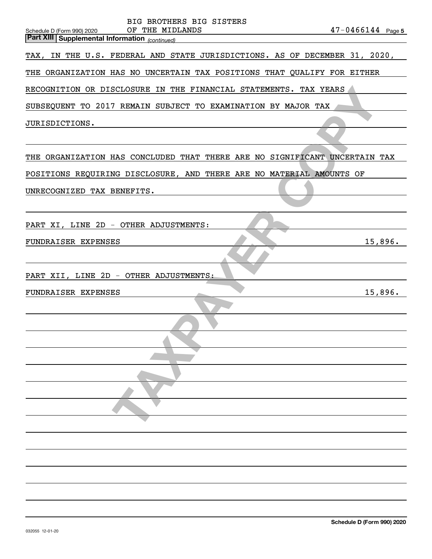| BIG BROTHERS BIG SISTERS<br>$47 - 0466144$ Page 5<br>OF THE MIDLANDS<br>Schedule D (Form 990) 2020<br>Part XIII Supplemental Information (continued) |
|------------------------------------------------------------------------------------------------------------------------------------------------------|
| IN THE U.S. FEDERAL AND STATE JURISDICTIONS. AS OF DECEMBER 31, 2020,<br>TAX,                                                                        |
| ORGANIZATION HAS NO UNCERTAIN TAX POSITIONS THAT QUALIFY FOR EITHER<br>THE                                                                           |
| RECOGNITION OR DISCLOSURE IN THE FINANCIAL STATEMENTS. TAX YEARS                                                                                     |
| SUBSEQUENT TO 2017 REMAIN SUBJECT TO EXAMINATION BY MAJOR TAX                                                                                        |
| JURISDICTIONS.                                                                                                                                       |
|                                                                                                                                                      |
| ORGANIZATION HAS CONCLUDED THAT THERE ARE NO SIGNIFICANT UNCERTAIN TAX<br>THE                                                                        |
| POSITIONS REQUIRING DISCLOSURE, AND THERE ARE NO MATERIAL AMOUNTS OF                                                                                 |
| UNRECOGNIZED TAX BENEFITS.                                                                                                                           |
|                                                                                                                                                      |
| PART XI, LINE 2D - OTHER ADJUSTMENTS:                                                                                                                |
| 15,896.<br>FUNDRAISER EXPENSES                                                                                                                       |
|                                                                                                                                                      |
| PART XII, LINE 2D - OTHER ADJUSTMENTS:                                                                                                               |
| 15,896.<br>FUNDRAISER EXPENSES                                                                                                                       |
|                                                                                                                                                      |
|                                                                                                                                                      |
|                                                                                                                                                      |
|                                                                                                                                                      |
|                                                                                                                                                      |
|                                                                                                                                                      |
|                                                                                                                                                      |
|                                                                                                                                                      |
|                                                                                                                                                      |
|                                                                                                                                                      |
|                                                                                                                                                      |
|                                                                                                                                                      |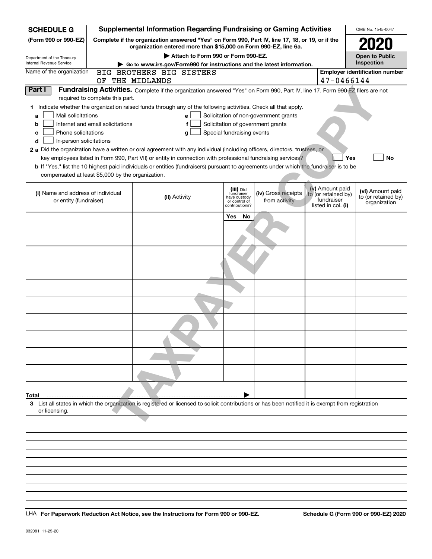| <b>SCHEDULE G</b>                                 |                                  | <b>Supplemental Information Regarding Fundraising or Gaming Activities</b>                                                                                          |     |                                         |                                       |                                  | OMB No. 1545-0047                       |
|---------------------------------------------------|----------------------------------|---------------------------------------------------------------------------------------------------------------------------------------------------------------------|-----|-----------------------------------------|---------------------------------------|----------------------------------|-----------------------------------------|
| (Form 990 or 990-EZ)                              |                                  | Complete if the organization answered "Yes" on Form 990, Part IV, line 17, 18, or 19, or if the<br>organization entered more than \$15,000 on Form 990-EZ, line 6a. |     |                                         |                                       |                                  | 2020                                    |
| Department of the Treasury                        |                                  | Attach to Form 990 or Form 990-EZ.                                                                                                                                  |     |                                         |                                       |                                  | <b>Open to Public</b>                   |
| Internal Revenue Service                          |                                  | Go to www.irs.gov/Form990 for instructions and the latest information.                                                                                              |     |                                         |                                       |                                  | Inspection                              |
| Name of the organization                          |                                  | BIG BROTHERS BIG SISTERS                                                                                                                                            |     |                                         |                                       |                                  | <b>Employer identification number</b>   |
|                                                   |                                  | OF THE MIDLANDS                                                                                                                                                     |     |                                         |                                       | 47-0466144                       |                                         |
| Part I                                            | required to complete this part.  | Fundraising Activities. Complete if the organization answered "Yes" on Form 990, Part IV, line 17. Form 990-EZ filers are not                                       |     |                                         |                                       |                                  |                                         |
|                                                   |                                  | 1 Indicate whether the organization raised funds through any of the following activities. Check all that apply.                                                     |     |                                         |                                       |                                  |                                         |
| Mail solicitations<br>a                           |                                  | е                                                                                                                                                                   |     |                                         | Solicitation of non-government grants |                                  |                                         |
| b                                                 | Internet and email solicitations | f                                                                                                                                                                   |     |                                         | Solicitation of government grants     |                                  |                                         |
| Phone solicitations<br>с                          |                                  | Special fundraising events<br>g                                                                                                                                     |     |                                         |                                       |                                  |                                         |
| In-person solicitations<br>d                      |                                  |                                                                                                                                                                     |     |                                         |                                       |                                  |                                         |
|                                                   |                                  | 2 a Did the organization have a written or oral agreement with any individual (including officers, directors, trustees, or                                          |     |                                         |                                       |                                  |                                         |
|                                                   |                                  | key employees listed in Form 990, Part VII) or entity in connection with professional fundraising services?                                                         |     |                                         |                                       |                                  | Yes<br>No                               |
|                                                   |                                  | b If "Yes," list the 10 highest paid individuals or entities (fundraisers) pursuant to agreements under which the fundraiser is to be                               |     |                                         |                                       |                                  |                                         |
| compensated at least \$5,000 by the organization. |                                  |                                                                                                                                                                     |     |                                         |                                       |                                  |                                         |
|                                                   |                                  |                                                                                                                                                                     |     |                                         |                                       | (v) Amount paid                  |                                         |
| (i) Name and address of individual                |                                  | (ii) Activity                                                                                                                                                       |     | (iii) Did<br>fundraiser<br>have custody | (iv) Gross receipts                   | to (or retained by)              | (vi) Amount paid<br>to (or retained by) |
| or entity (fundraiser)                            |                                  |                                                                                                                                                                     |     | or control of<br>contributions?         | from activity                         | fundraiser<br>listed in col. (i) | organization                            |
|                                                   |                                  |                                                                                                                                                                     | Yes | No                                      |                                       |                                  |                                         |
|                                                   |                                  |                                                                                                                                                                     |     |                                         |                                       |                                  |                                         |
|                                                   |                                  |                                                                                                                                                                     |     |                                         |                                       |                                  |                                         |
|                                                   |                                  |                                                                                                                                                                     |     |                                         |                                       |                                  |                                         |
|                                                   |                                  |                                                                                                                                                                     |     |                                         |                                       |                                  |                                         |
|                                                   |                                  |                                                                                                                                                                     |     |                                         |                                       |                                  |                                         |
|                                                   |                                  |                                                                                                                                                                     |     |                                         |                                       |                                  |                                         |
|                                                   |                                  |                                                                                                                                                                     |     |                                         |                                       |                                  |                                         |
|                                                   |                                  |                                                                                                                                                                     |     |                                         |                                       |                                  |                                         |
|                                                   |                                  |                                                                                                                                                                     |     |                                         |                                       |                                  |                                         |
|                                                   |                                  |                                                                                                                                                                     |     |                                         |                                       |                                  |                                         |
|                                                   |                                  |                                                                                                                                                                     |     |                                         |                                       |                                  |                                         |
|                                                   |                                  |                                                                                                                                                                     |     |                                         |                                       |                                  |                                         |
| Total                                             |                                  |                                                                                                                                                                     |     |                                         |                                       |                                  |                                         |
| or licensing.                                     |                                  | 3 List all states in which the organization is registered or licensed to solicit contributions or has been notified it is exempt from registration                  |     |                                         |                                       |                                  |                                         |
|                                                   |                                  |                                                                                                                                                                     |     |                                         |                                       |                                  |                                         |
|                                                   |                                  |                                                                                                                                                                     |     |                                         |                                       |                                  |                                         |
|                                                   |                                  |                                                                                                                                                                     |     |                                         |                                       |                                  |                                         |
|                                                   |                                  |                                                                                                                                                                     |     |                                         |                                       |                                  |                                         |
|                                                   |                                  |                                                                                                                                                                     |     |                                         |                                       |                                  |                                         |

LHA For Paperwork Reduction Act Notice, see the Instructions for Form 990 or 990-EZ. Schedule G (Form 990 or 990-EZ) 2020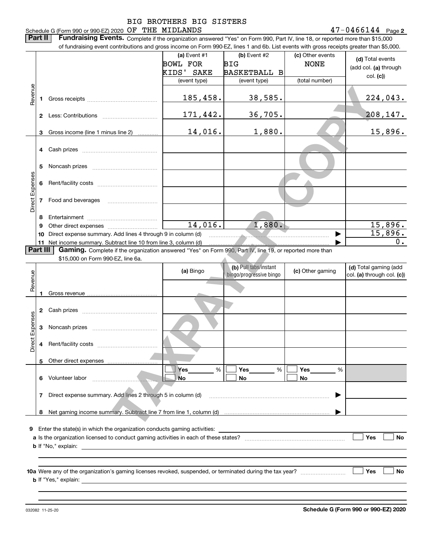|                 | Part II  | Schedule G (Form 990 or 990-EZ) 2020 OF THE MIDLANDS<br>Fundraising Events. Complete if the organization answered "Yes" on Form 990, Part IV, line 18, or reported more than \$15,000 | BIG BROTHERS BIG SISTERS                                 |                                                                     |                                                   | $47 - 0466144$ Page 2                                 |
|-----------------|----------|---------------------------------------------------------------------------------------------------------------------------------------------------------------------------------------|----------------------------------------------------------|---------------------------------------------------------------------|---------------------------------------------------|-------------------------------------------------------|
|                 |          | of fundraising event contributions and gross income on Form 990-EZ, lines 1 and 6b. List events with gross receipts greater than \$5,000.                                             |                                                          |                                                                     |                                                   |                                                       |
|                 |          |                                                                                                                                                                                       | (a) Event $#1$<br>BOWL FOR<br>KIDS' SAKE<br>(event type) | (b) Event $#2$<br><b>BIG</b><br><b>BASKETBALL B</b><br>(event type) | (c) Other events<br><b>NONE</b><br>(total number) | (d) Total events<br>(add col. (a) through<br>col. (c) |
| Revenue         | 1.       |                                                                                                                                                                                       | 185,458.                                                 | 38,585.                                                             |                                                   | 224,043.                                              |
|                 |          |                                                                                                                                                                                       | 171,442.                                                 | 36,705.                                                             |                                                   | 208,147.                                              |
|                 | 3        | Gross income (line 1 minus line 2)                                                                                                                                                    | 14,016.                                                  | 1,880.                                                              |                                                   | 15,896.                                               |
|                 | 4        | Cash prizes                                                                                                                                                                           |                                                          |                                                                     |                                                   |                                                       |
|                 | 5.       |                                                                                                                                                                                       |                                                          |                                                                     |                                                   |                                                       |
|                 | 6        |                                                                                                                                                                                       |                                                          |                                                                     |                                                   |                                                       |
| Direct Expenses |          | 7 Food and beverages                                                                                                                                                                  |                                                          |                                                                     |                                                   |                                                       |
|                 | 8<br>9   |                                                                                                                                                                                       | 14,016.                                                  | 1,880.                                                              |                                                   | 15,896.                                               |
|                 |          | 10 Direct expense summary. Add lines 4 through 9 in column (d)                                                                                                                        |                                                          |                                                                     |                                                   | 15,896.                                               |
|                 | Part III | 11 Net income summary. Subtract line 10 from line 3, column (d)<br>Gaming. Complete if the organization answered "Yes" on Form 990, Part IV, line 19, or reported more than           |                                                          |                                                                     |                                                   | 0.                                                    |
|                 |          | \$15,000 on Form 990-EZ, line 6a.                                                                                                                                                     |                                                          |                                                                     |                                                   |                                                       |
| Revenue         |          |                                                                                                                                                                                       | (a) Bingo                                                | (b) Pull tabs/instant<br>bingo/progressive bingo                    | (c) Other gaming                                  | (d) Total gaming (add<br>col. (a) through col. (c))   |
|                 |          |                                                                                                                                                                                       |                                                          |                                                                     |                                                   |                                                       |
| ses             |          | 2 Cash prizes                                                                                                                                                                         |                                                          |                                                                     |                                                   |                                                       |
|                 | З        |                                                                                                                                                                                       |                                                          |                                                                     |                                                   |                                                       |
| Direct Exper    | 4        |                                                                                                                                                                                       |                                                          |                                                                     |                                                   |                                                       |
|                 | 5        |                                                                                                                                                                                       |                                                          |                                                                     |                                                   |                                                       |
|                 |          | 6 Volunteer labor<br>the contract of the contract of                                                                                                                                  | Yes<br>$\%$<br>No                                        | Yes<br>%<br>No                                                      | Yes<br>%<br>No                                    |                                                       |
|                 |          | 7 Direct expense summary. Add lines 2 through 5 in column (d)                                                                                                                         |                                                          |                                                                     |                                                   |                                                       |
|                 | 8        |                                                                                                                                                                                       |                                                          |                                                                     |                                                   |                                                       |
| 9               |          | Enter the state(s) in which the organization conducts gaming activities:                                                                                                              |                                                          |                                                                     |                                                   | Yes<br><b>No</b>                                      |
|                 |          |                                                                                                                                                                                       |                                                          |                                                                     |                                                   |                                                       |
|                 |          |                                                                                                                                                                                       |                                                          |                                                                     |                                                   | <b>Yes</b><br><b>No</b>                               |
|                 |          |                                                                                                                                                                                       |                                                          |                                                                     |                                                   |                                                       |

032082 11-25-20

**Schedule G (Form 990 or 990-EZ) 2020**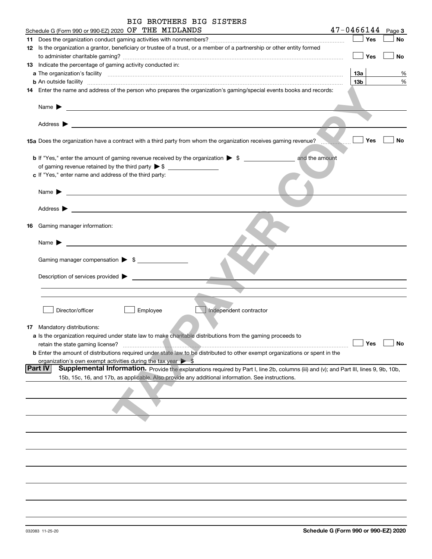|     | BIG BROTHERS BIG SISTERS                                                                                                                            |                 |                              | $47 - 0466144$ Page 3 |
|-----|-----------------------------------------------------------------------------------------------------------------------------------------------------|-----------------|------------------------------|-----------------------|
|     | Schedule G (Form 990 or 990-EZ) 2020 OF THE MIDLANDS                                                                                                |                 |                              |                       |
|     |                                                                                                                                                     |                 | Yes                          | No                    |
|     | 12 Is the organization a grantor, beneficiary or trustee of a trust, or a member of a partnership or other entity formed                            |                 |                              |                       |
|     |                                                                                                                                                     |                 | $\overline{\phantom{a}}$ Yes | No                    |
|     | 13 Indicate the percentage of gaming activity conducted in:                                                                                         |                 |                              |                       |
|     |                                                                                                                                                     | 13a             |                              | %                     |
|     |                                                                                                                                                     | 13 <sub>b</sub> |                              | %                     |
|     | 14 Enter the name and address of the person who prepares the organization's gaming/special events books and records:                                |                 |                              |                       |
|     |                                                                                                                                                     |                 |                              |                       |
|     | Address $\blacktriangleright$                                                                                                                       |                 |                              |                       |
|     | 15a Does the organization have a contract with a third party from whom the organization receives gaming revenue?                                    |                 | Yes                          | No                    |
|     | <b>b</b> If "Yes," enter the amount of gaming revenue received by the organization $\triangleright$ \$ and the amount                               |                 |                              |                       |
|     | of gaming revenue retained by the third party $\triangleright$ \$                                                                                   |                 |                              |                       |
|     | c If "Yes," enter name and address of the third party:                                                                                              |                 |                              |                       |
|     | Name $\blacktriangleright$                                                                                                                          |                 |                              |                       |
|     |                                                                                                                                                     |                 |                              |                       |
|     | Address $\blacktriangleright$<br><u> 1980 - Jan Stein Stein, Amerikaansk politiker († 1908)</u>                                                     |                 |                              |                       |
| 16. | Gaming manager information:                                                                                                                         |                 |                              |                       |
|     | Name $\blacktriangleright$<br><u> 1986 - Johann Harry Harry Harry Harry Harry Harry Harry Harry Harry Harry Harry Harry Harry Harry Harry Harry</u> |                 |                              |                       |
|     |                                                                                                                                                     |                 |                              |                       |
|     | Gaming manager compensation > \$                                                                                                                    |                 |                              |                       |
|     | Description of services provided $\blacktriangleright$                                                                                              |                 |                              |                       |
|     |                                                                                                                                                     |                 |                              |                       |
|     |                                                                                                                                                     |                 |                              |                       |
|     | Director/officer<br>Employee<br>Independent contractor                                                                                              |                 |                              |                       |
|     | 17 Mandatory distributions:                                                                                                                         |                 |                              |                       |
|     | a Is the organization required under state law to make charitable distributions from the gaming proceeds to                                         |                 |                              |                       |
|     | retain the state gaming license?                                                                                                                    |                 | Yes                          | <b>No</b>             |
|     | <b>b</b> Enter the amount of distributions required under state law to be distributed to other exempt organizations or spent in the                 |                 |                              |                       |
|     | organization's own exempt activities during the tax year $\triangleright$ \$                                                                        |                 |                              |                       |
|     | Part IV<br>Supplemental Information. Provide the explanations required by Part I, line 2b, columns (iii) and (v); and Part III, lines 9, 9b, 10b,   |                 |                              |                       |
|     | 15b, 15c, 16, and 17b, as applicable. Also provide any additional information. See instructions.                                                    |                 |                              |                       |
|     |                                                                                                                                                     |                 |                              |                       |
|     |                                                                                                                                                     |                 |                              |                       |
|     |                                                                                                                                                     |                 |                              |                       |
|     |                                                                                                                                                     |                 |                              |                       |
|     |                                                                                                                                                     |                 |                              |                       |
|     |                                                                                                                                                     |                 |                              |                       |
|     |                                                                                                                                                     |                 |                              |                       |
|     |                                                                                                                                                     |                 |                              |                       |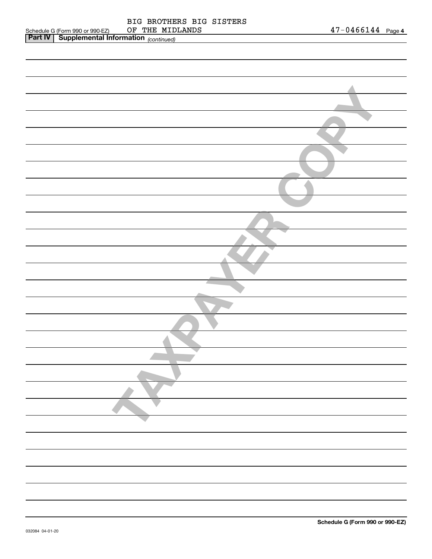|                                    | BIG BROTHERS BIG SISTERS |                       |  |
|------------------------------------|--------------------------|-----------------------|--|
| Schedule G (Form 990 or 990-EZ)    | OF THE MIDLANDS          | $47 - 0466144$ Page 4 |  |
| Dout W. Curricus and Lafe unsetted |                          |                       |  |

| Part IV<br><b>Supplemental Information</b> (continued) |  |
|--------------------------------------------------------|--|
|                                                        |  |
|                                                        |  |
|                                                        |  |
|                                                        |  |
|                                                        |  |
|                                                        |  |
|                                                        |  |
|                                                        |  |
|                                                        |  |
|                                                        |  |
|                                                        |  |
|                                                        |  |
|                                                        |  |
|                                                        |  |
|                                                        |  |
|                                                        |  |
|                                                        |  |
|                                                        |  |
|                                                        |  |
|                                                        |  |
|                                                        |  |
|                                                        |  |
|                                                        |  |
|                                                        |  |
|                                                        |  |
|                                                        |  |
|                                                        |  |
|                                                        |  |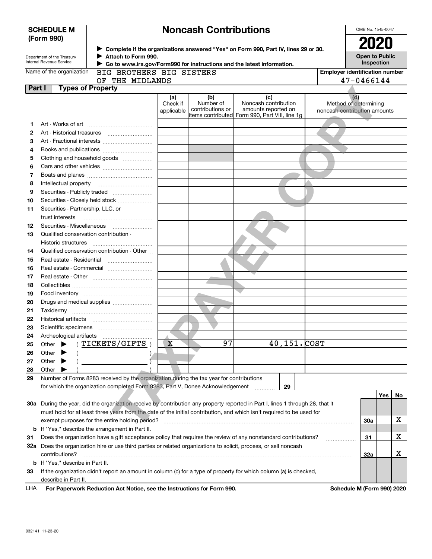|        | <b>SCHEDULE M</b>                                                                                |                                                                                                                                                                                       |                        | <b>Noncash Contributions</b>                       |                                                                                                                                |  | OMB No. 1545-0047                                     |     |    |
|--------|--------------------------------------------------------------------------------------------------|---------------------------------------------------------------------------------------------------------------------------------------------------------------------------------------|------------------------|----------------------------------------------------|--------------------------------------------------------------------------------------------------------------------------------|--|-------------------------------------------------------|-----|----|
|        | (Form 990)<br>Department of the Treasury<br>Internal Revenue Service                             | > Complete if the organizations answered "Yes" on Form 990, Part IV, lines 29 or 30.<br>Attach to Form 990.<br>Go to www.irs.gov/Form990 for instructions and the latest information. |                        | <b>2020</b><br><b>Open to Public</b><br>Inspection |                                                                                                                                |  |                                                       |     |    |
|        | Name of the organization                                                                         | BIG BROTHERS BIG SISTERS                                                                                                                                                              |                        |                                                    |                                                                                                                                |  | <b>Employer identification number</b>                 |     |    |
|        |                                                                                                  | OF THE MIDLANDS                                                                                                                                                                       |                        |                                                    |                                                                                                                                |  | 47-0466144                                            |     |    |
| Part I | <b>Types of Property</b>                                                                         |                                                                                                                                                                                       |                        |                                                    |                                                                                                                                |  |                                                       |     |    |
|        |                                                                                                  |                                                                                                                                                                                       | (a)                    | (b)                                                | (c)                                                                                                                            |  | (d)                                                   |     |    |
|        |                                                                                                  |                                                                                                                                                                                       | Check if<br>applicable | Number of<br>contributions or                      | Noncash contribution<br>amounts reported on<br>items contributed Form 990, Part VIII, line 1g                                  |  | Method of determining<br>noncash contribution amounts |     |    |
| 1      |                                                                                                  |                                                                                                                                                                                       |                        |                                                    |                                                                                                                                |  |                                                       |     |    |
| 2      |                                                                                                  |                                                                                                                                                                                       |                        |                                                    |                                                                                                                                |  |                                                       |     |    |
| з      |                                                                                                  |                                                                                                                                                                                       |                        |                                                    |                                                                                                                                |  |                                                       |     |    |
| 4      |                                                                                                  |                                                                                                                                                                                       |                        |                                                    |                                                                                                                                |  |                                                       |     |    |
| 5      |                                                                                                  | Clothing and household goods                                                                                                                                                          |                        |                                                    |                                                                                                                                |  |                                                       |     |    |
| 6      |                                                                                                  |                                                                                                                                                                                       |                        |                                                    |                                                                                                                                |  |                                                       |     |    |
| 7      |                                                                                                  |                                                                                                                                                                                       |                        |                                                    |                                                                                                                                |  |                                                       |     |    |
| 8      |                                                                                                  |                                                                                                                                                                                       |                        |                                                    |                                                                                                                                |  |                                                       |     |    |
| 9      |                                                                                                  |                                                                                                                                                                                       |                        |                                                    |                                                                                                                                |  |                                                       |     |    |
| 10     |                                                                                                  | Securities - Closely held stock                                                                                                                                                       |                        |                                                    |                                                                                                                                |  |                                                       |     |    |
| 11     | Securities - Partnership, LLC, or                                                                |                                                                                                                                                                                       |                        |                                                    |                                                                                                                                |  |                                                       |     |    |
|        | trust interests                                                                                  |                                                                                                                                                                                       |                        |                                                    |                                                                                                                                |  |                                                       |     |    |
| 12     |                                                                                                  |                                                                                                                                                                                       |                        |                                                    |                                                                                                                                |  |                                                       |     |    |
| 13     | Qualified conservation contribution -                                                            |                                                                                                                                                                                       |                        |                                                    |                                                                                                                                |  |                                                       |     |    |
|        | Historic structures                                                                              |                                                                                                                                                                                       |                        |                                                    |                                                                                                                                |  |                                                       |     |    |
| 14     |                                                                                                  | Qualified conservation contribution - Other                                                                                                                                           |                        |                                                    |                                                                                                                                |  |                                                       |     |    |
| 15     |                                                                                                  |                                                                                                                                                                                       |                        |                                                    |                                                                                                                                |  |                                                       |     |    |
| 16     |                                                                                                  | Real estate - Commercial                                                                                                                                                              |                        |                                                    |                                                                                                                                |  |                                                       |     |    |
| 17     |                                                                                                  |                                                                                                                                                                                       |                        |                                                    |                                                                                                                                |  |                                                       |     |    |
| 18     |                                                                                                  |                                                                                                                                                                                       |                        |                                                    |                                                                                                                                |  |                                                       |     |    |
| 19     |                                                                                                  |                                                                                                                                                                                       |                        |                                                    |                                                                                                                                |  |                                                       |     |    |
| 20     |                                                                                                  |                                                                                                                                                                                       |                        |                                                    |                                                                                                                                |  |                                                       |     |    |
| 21     |                                                                                                  |                                                                                                                                                                                       |                        |                                                    |                                                                                                                                |  |                                                       |     |    |
| 22     |                                                                                                  |                                                                                                                                                                                       |                        |                                                    |                                                                                                                                |  |                                                       |     |    |
| 23     |                                                                                                  |                                                                                                                                                                                       |                        |                                                    |                                                                                                                                |  |                                                       |     |    |
| 24     | Archeological artifacts                                                                          |                                                                                                                                                                                       |                        |                                                    |                                                                                                                                |  |                                                       |     |    |
| 25     | Other                                                                                            | TICKETS/GIFTS                                                                                                                                                                         | x                      | 97                                                 | 40,151.COST                                                                                                                    |  |                                                       |     |    |
| 26     | Other                                                                                            |                                                                                                                                                                                       |                        |                                                    |                                                                                                                                |  |                                                       |     |    |
| 27     | Other                                                                                            |                                                                                                                                                                                       |                        |                                                    |                                                                                                                                |  |                                                       |     |    |
| 28     | Other                                                                                            |                                                                                                                                                                                       |                        |                                                    |                                                                                                                                |  |                                                       |     |    |
| 29     |                                                                                                  | Number of Forms 8283 received by the organization during the tax year for contributions                                                                                               |                        |                                                    |                                                                                                                                |  |                                                       |     |    |
|        |                                                                                                  | for which the organization completed Form 8283, Part V, Donee Acknowledgement                                                                                                         |                        |                                                    | 29                                                                                                                             |  |                                                       |     |    |
|        |                                                                                                  |                                                                                                                                                                                       |                        |                                                    |                                                                                                                                |  |                                                       | Yes | No |
|        |                                                                                                  |                                                                                                                                                                                       |                        |                                                    | 30a During the year, did the organization receive by contribution any property reported in Part I, lines 1 through 28, that it |  |                                                       |     |    |
|        |                                                                                                  |                                                                                                                                                                                       |                        |                                                    | must hold for at least three years from the date of the initial contribution, and which isn't required to be used for          |  |                                                       |     |    |
|        |                                                                                                  |                                                                                                                                                                                       |                        |                                                    |                                                                                                                                |  | <b>30a</b>                                            |     | х  |
| b      | exempt purposes for the entire holding period?<br>If "Yes," describe the arrangement in Part II. |                                                                                                                                                                                       |                        |                                                    |                                                                                                                                |  |                                                       |     |    |
| 31     |                                                                                                  |                                                                                                                                                                                       |                        |                                                    | Does the organization have a gift acceptance policy that requires the review of any nonstandard contributions?                 |  | 31                                                    |     | Х  |
|        |                                                                                                  |                                                                                                                                                                                       |                        |                                                    | 32a Does the organization hire or use third parties or related organizations to solicit, process, or sell noncash              |  |                                                       |     |    |
|        | contributions?                                                                                   |                                                                                                                                                                                       |                        |                                                    |                                                                                                                                |  | 32a                                                   |     | х  |
| b      | If "Yes," describe in Part II.                                                                   |                                                                                                                                                                                       |                        |                                                    |                                                                                                                                |  |                                                       |     |    |
| 33     |                                                                                                  |                                                                                                                                                                                       |                        |                                                    | If the organization didn't report an amount in column (c) for a type of property for which column (a) is checked,              |  |                                                       |     |    |
|        | describe in Part II.                                                                             |                                                                                                                                                                                       |                        |                                                    |                                                                                                                                |  |                                                       |     |    |
| LHA    |                                                                                                  | For Paperwork Reduction Act Notice, see the Instructions for Form 990.                                                                                                                |                        |                                                    |                                                                                                                                |  | Schedule M (Form 990) 2020                            |     |    |
|        |                                                                                                  |                                                                                                                                                                                       |                        |                                                    |                                                                                                                                |  |                                                       |     |    |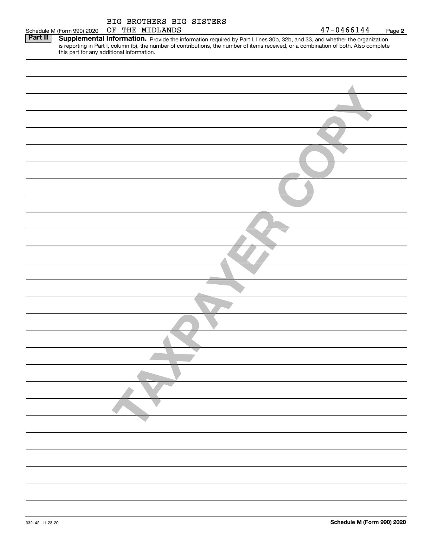|         |                            |  |                 | BIG BROTHERS BIG SISTERS |  |                                                                                                                                                                                                                                   |        |
|---------|----------------------------|--|-----------------|--------------------------|--|-----------------------------------------------------------------------------------------------------------------------------------------------------------------------------------------------------------------------------------|--------|
|         | Schedule M (Form 990) 2020 |  | OF THE MIDLANDS |                          |  | $47 - 0466144$                                                                                                                                                                                                                    | Page 2 |
| Part II |                            |  |                 |                          |  | Supplemental Information. Provide the information required by Part I, lines 30b, 32b, and 33, and whether the organization<br>is reporting in Part I, column (b), the number of contributions, the number of items received, or a |        |
|         |                            |  |                 |                          |  |                                                                                                                                                                                                                                   |        |
|         |                            |  |                 |                          |  |                                                                                                                                                                                                                                   |        |
|         |                            |  |                 |                          |  |                                                                                                                                                                                                                                   |        |
|         |                            |  |                 |                          |  |                                                                                                                                                                                                                                   |        |
|         |                            |  |                 |                          |  |                                                                                                                                                                                                                                   |        |
|         |                            |  |                 |                          |  |                                                                                                                                                                                                                                   |        |
|         |                            |  |                 |                          |  |                                                                                                                                                                                                                                   |        |
|         |                            |  |                 |                          |  |                                                                                                                                                                                                                                   |        |
|         |                            |  |                 |                          |  |                                                                                                                                                                                                                                   |        |
|         |                            |  |                 |                          |  |                                                                                                                                                                                                                                   |        |
|         |                            |  |                 |                          |  |                                                                                                                                                                                                                                   |        |
|         |                            |  |                 |                          |  |                                                                                                                                                                                                                                   |        |
|         |                            |  |                 |                          |  |                                                                                                                                                                                                                                   |        |
|         |                            |  |                 |                          |  |                                                                                                                                                                                                                                   |        |
|         |                            |  |                 |                          |  |                                                                                                                                                                                                                                   |        |
|         |                            |  |                 |                          |  |                                                                                                                                                                                                                                   |        |
|         |                            |  |                 |                          |  |                                                                                                                                                                                                                                   |        |
|         |                            |  |                 |                          |  |                                                                                                                                                                                                                                   |        |
|         |                            |  |                 |                          |  |                                                                                                                                                                                                                                   |        |
|         |                            |  |                 |                          |  |                                                                                                                                                                                                                                   |        |
|         |                            |  |                 |                          |  |                                                                                                                                                                                                                                   |        |
|         |                            |  |                 |                          |  |                                                                                                                                                                                                                                   |        |
|         |                            |  |                 |                          |  |                                                                                                                                                                                                                                   |        |
|         |                            |  |                 |                          |  |                                                                                                                                                                                                                                   |        |
|         |                            |  |                 |                          |  |                                                                                                                                                                                                                                   |        |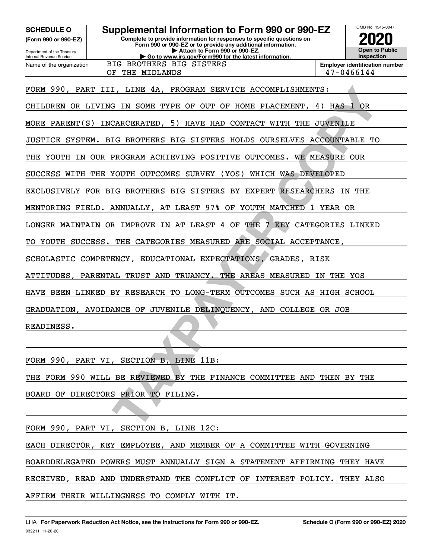**(Form 990 or 990-EZ)**

Department of the Treasury Internal Revenue Service Name of the organization

#### OMB No. 1545-0047 **Complete to provide information for responses to specific questions on Form 990 or 990-EZ or to provide any additional information. | Attach to Form 990 or 990-EZ. | Go to www.irs.gov/Form990 for the latest information. Open to Public InspectionSCHEDULE O Supplemental Information to Form 990 or 990-EZ 2020**

OF THE MIDLANDS  $\vert$  47-0466144 BIG BROTHERS BIG SISTERS

**Employer identification number**

I, LINE 4A, PROGRAM SERVICE ACCOMPLISHMENTS:<br>
TAX SOME TYPE OF OUT OF HOME PLACEMENT, 4) HAS 1 OR<br>
CARCERATED, 5) HAVE HAD CONTACT WITH THE JUVENILE<br>
TO BROTHERS BIG SISTERS HOLDS OURSELVES ACCOUNTABLE TO<br>
PROGRAM ACHIEVIN FORM 990, PART III, LINE 4A, PROGRAM SERVICE ACCOMPLISHMENTS: CHILDREN OR LIVING IN SOME TYPE OF OUT OF HOME PLACEMENT, 4) HAS 1 OR MORE PARENT(S) INCARCERATED, 5) HAVE HAD CONTACT WITH THE JUVENILE JUSTICE SYSTEM. BIG BROTHERS BIG SISTERS HOLDS OURSELVES ACCOUNTABLE TO THE YOUTH IN OUR PROGRAM ACHIEVING POSITIVE OUTCOMES. WE MEASURE OUR SUCCESS WITH THE YOUTH OUTCOMES SURVEY (YOS) WHICH WAS DEVELOPED EXCLUSIVELY FOR BIG BROTHERS BIG SISTERS BY EXPERT RESEARCHERS IN THE MENTORING FIELD. ANNUALLY, AT LEAST 97% OF YOUTH MATCHED 1 YEAR OR LONGER MAINTAIN OR IMPROVE IN AT LEAST 4 OF THE 7 KEY CATEGORIES LINKED TO YOUTH SUCCESS. THE CATEGORIES MEASURED ARE SOCIAL ACCEPTANCE, SCHOLASTIC COMPETENCY, EDUCATIONAL EXPECTATIONS, GRADES, RISK ATTITUDES, PARENTAL TRUST AND TRUANCY. THE AREAS MEASURED IN THE YOS HAVE BEEN LINKED BY RESEARCH TO LONG-TERM OUTCOMES SUCH AS HIGH SCHOOL GRADUATION, AVOIDANCE OF JUVENILE DELINQUENCY, AND COLLEGE OR JOB READINESS.

FORM 990, PART VI, SECTION B, LINE 11B: THE FORM 990 WILL BE REVIEWED BY THE FINANCE COMMITTEE AND THEN BY THE BOARD OF DIRECTORS PRIOR TO FILING.

FORM 990, PART VI, SECTION B, LINE 12C:

EACH DIRECTOR, KEY EMPLOYEE, AND MEMBER OF A COMMITTEE WITH GOVERNING BOARDDELEGATED POWERS MUST ANNUALLY SIGN A STATEMENT AFFIRMING THEY HAVE RECEIVED, READ AND UNDERSTAND THE CONFLICT OF INTEREST POLICY. THEY ALSO AFFIRM THEIR WILLINGNESS TO COMPLY WITH IT.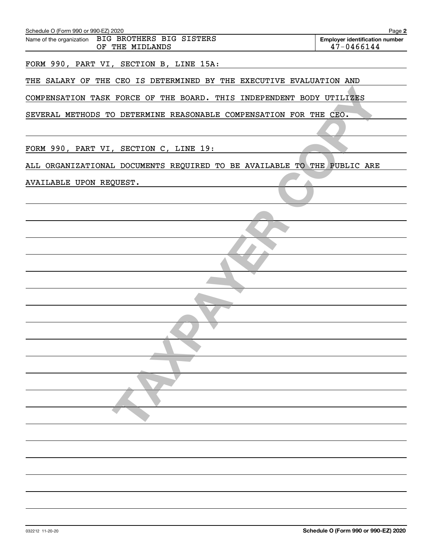| Schedule O (Form 990 or 990-EZ) 2020                                    | Page 2                                              |
|-------------------------------------------------------------------------|-----------------------------------------------------|
| Name of the organization BIG BROTHERS BIG SISTERS<br>OF THE MIDLANDS    | <b>Employer identification number</b><br>47-0466144 |
|                                                                         |                                                     |
| FORM 990, PART VI, SECTION B, LINE 15A:                                 |                                                     |
| THE SALARY OF THE CEO IS DETERMINED BY THE EXECUTIVE EVALUATION AND     |                                                     |
| COMPENSATION TASK FORCE OF THE BOARD. THIS INDEPENDENT BODY UTILIZES    |                                                     |
| SEVERAL METHODS TO DETERMINE REASONABLE COMPENSATION FOR THE CEO.       |                                                     |
|                                                                         |                                                     |
| FORM 990, PART VI, SECTION C, LINE 19:                                  |                                                     |
| ALL ORGANIZATIONAL DOCUMENTS REQUIRED TO BE AVAILABLE TO THE PUBLIC ARE |                                                     |
| AVAILABLE UPON REQUEST.                                                 |                                                     |
|                                                                         |                                                     |
|                                                                         |                                                     |
|                                                                         |                                                     |
|                                                                         |                                                     |
|                                                                         |                                                     |
|                                                                         |                                                     |
|                                                                         |                                                     |
|                                                                         |                                                     |
|                                                                         |                                                     |
|                                                                         |                                                     |
|                                                                         |                                                     |
|                                                                         |                                                     |
|                                                                         |                                                     |
|                                                                         |                                                     |
|                                                                         |                                                     |
|                                                                         |                                                     |
|                                                                         |                                                     |
|                                                                         |                                                     |
|                                                                         |                                                     |
|                                                                         |                                                     |
|                                                                         |                                                     |
|                                                                         |                                                     |